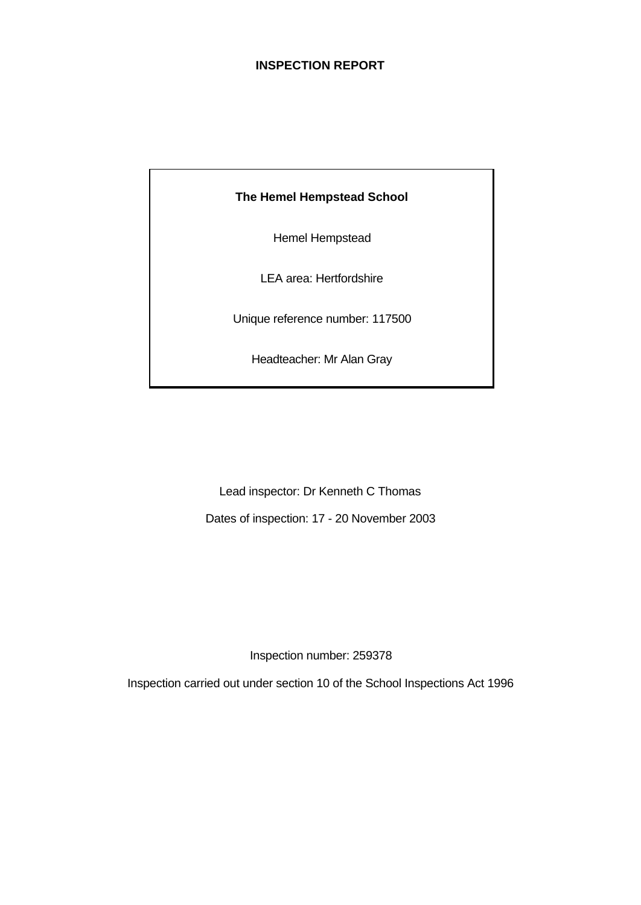### **INSPECTION REPORT**

# **The Hemel Hempstead School**

Hemel Hempstead

LEA area: Hertfordshire

Unique reference number: 117500

Headteacher: Mr Alan Gray

Lead inspector: Dr Kenneth C Thomas Dates of inspection: 17 - 20 November 2003

Inspection number: 259378

Inspection carried out under section 10 of the School Inspections Act 1996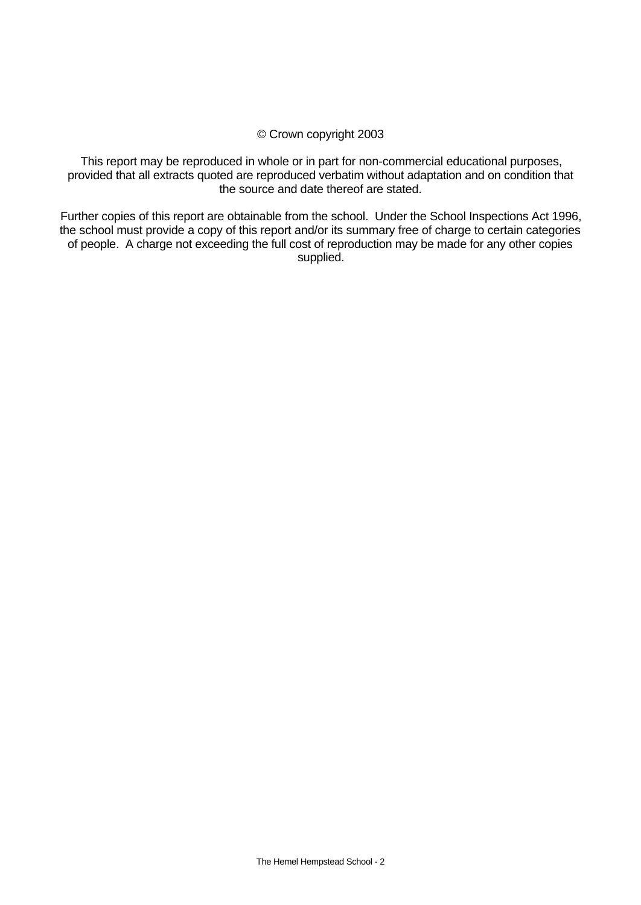### © Crown copyright 2003

This report may be reproduced in whole or in part for non-commercial educational purposes, provided that all extracts quoted are reproduced verbatim without adaptation and on condition that the source and date thereof are stated.

Further copies of this report are obtainable from the school. Under the School Inspections Act 1996, the school must provide a copy of this report and/or its summary free of charge to certain categories of people. A charge not exceeding the full cost of reproduction may be made for any other copies supplied.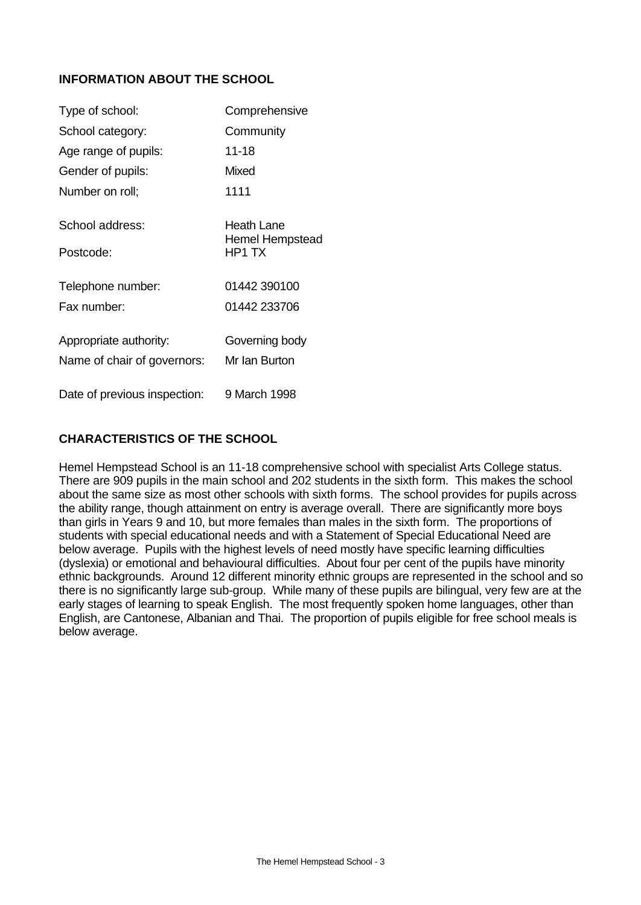## **INFORMATION ABOUT THE SCHOOL**

| Type of school:              | Comprehensive                        |
|------------------------------|--------------------------------------|
| School category:             | Community                            |
| Age range of pupils:         | 11-18                                |
| Gender of pupils:            | Mixed                                |
| Number on roll;              | 1111                                 |
| School address:              | Heath Lane<br><b>Hemel Hempstead</b> |
| Postcode:                    | HP1 TX                               |
| Telephone number:            | 01442 390100                         |
| Fax number:                  | 01442 233706                         |
| Appropriate authority:       | Governing body                       |
| Name of chair of governors:  | Mr Ian Burton                        |
| Date of previous inspection: | 9 March 1998                         |

### **CHARACTERISTICS OF THE SCHOOL**

Hemel Hempstead School is an 11-18 comprehensive school with specialist Arts College status. There are 909 pupils in the main school and 202 students in the sixth form. This makes the school about the same size as most other schools with sixth forms. The school provides for pupils across the ability range, though attainment on entry is average overall. There are significantly more boys than girls in Years 9 and 10, but more females than males in the sixth form. The proportions of students with special educational needs and with a Statement of Special Educational Need are below average. Pupils with the highest levels of need mostly have specific learning difficulties (dyslexia) or emotional and behavioural difficulties. About four per cent of the pupils have minority ethnic backgrounds. Around 12 different minority ethnic groups are represented in the school and so there is no significantly large sub-group. While many of these pupils are bilingual, very few are at the early stages of learning to speak English. The most frequently spoken home languages, other than English, are Cantonese, Albanian and Thai. The proportion of pupils eligible for free school meals is below average.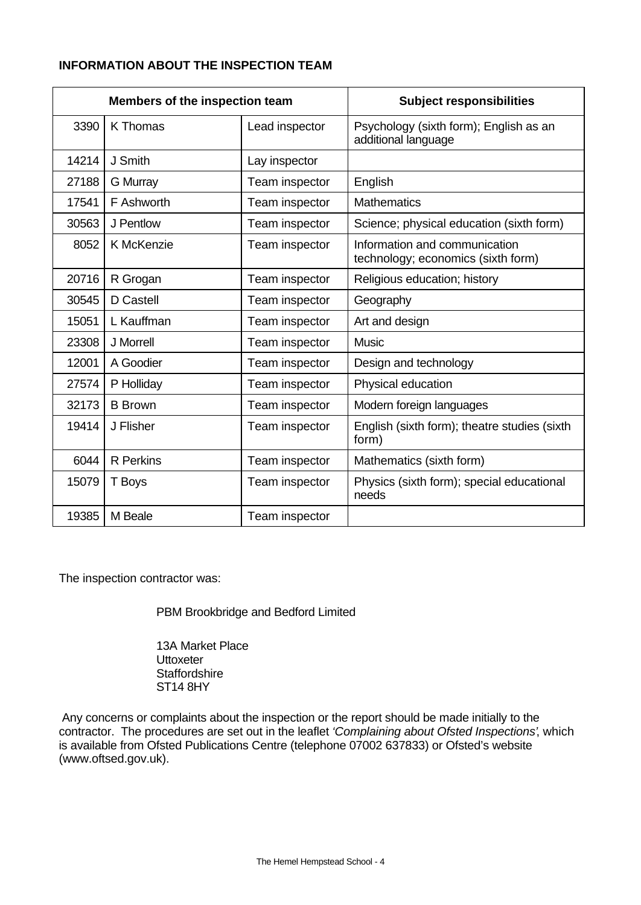# **INFORMATION ABOUT THE INSPECTION TEAM**

|       | Members of the inspection team |                | <b>Subject responsibilities</b>                                     |
|-------|--------------------------------|----------------|---------------------------------------------------------------------|
| 3390  | <b>K</b> Thomas                | Lead inspector | Psychology (sixth form); English as an<br>additional language       |
| 14214 | J Smith                        | Lay inspector  |                                                                     |
| 27188 | <b>G</b> Murray                | Team inspector | English                                                             |
| 17541 | F Ashworth                     | Team inspector | <b>Mathematics</b>                                                  |
| 30563 | J Pentlow                      | Team inspector | Science; physical education (sixth form)                            |
| 8052  | K McKenzie                     | Team inspector | Information and communication<br>technology; economics (sixth form) |
| 20716 | R Grogan                       | Team inspector | Religious education; history                                        |
| 30545 | D Castell                      | Team inspector | Geography                                                           |
| 15051 | L Kauffman                     | Team inspector | Art and design                                                      |
| 23308 | J Morrell                      | Team inspector | <b>Music</b>                                                        |
| 12001 | A Goodier                      | Team inspector | Design and technology                                               |
| 27574 | P Holliday                     | Team inspector | Physical education                                                  |
| 32173 | <b>B</b> Brown                 | Team inspector | Modern foreign languages                                            |
| 19414 | J Flisher                      | Team inspector | English (sixth form); theatre studies (sixth<br>form)               |
| 6044  | <b>R</b> Perkins               | Team inspector | Mathematics (sixth form)                                            |
| 15079 | T Boys                         | Team inspector | Physics (sixth form); special educational<br>needs                  |
| 19385 | M Beale                        | Team inspector |                                                                     |

The inspection contractor was:

PBM Brookbridge and Bedford Limited

13A Market Place **Uttoxeter Staffordshire** ST14 8HY

 Any concerns or complaints about the inspection or the report should be made initially to the contractor. The procedures are set out in the leaflet *'Complaining about Ofsted Inspections'*, which is available from Ofsted Publications Centre (telephone 07002 637833) or Ofsted's website (www.oftsed.gov.uk).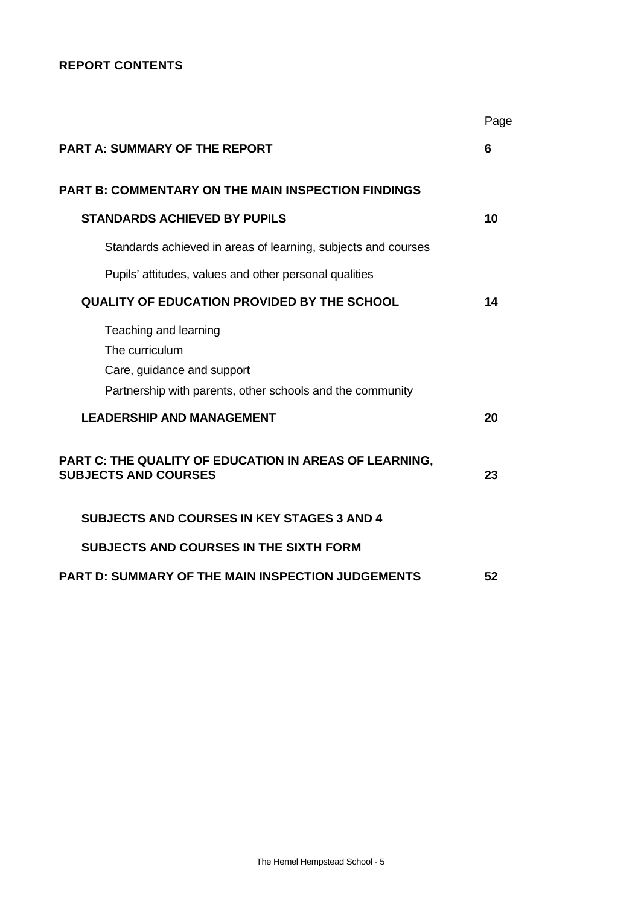# **REPORT CONTENTS**

|                                                                                                                                    | Page |
|------------------------------------------------------------------------------------------------------------------------------------|------|
| <b>PART A: SUMMARY OF THE REPORT</b>                                                                                               | 6    |
| <b>PART B: COMMENTARY ON THE MAIN INSPECTION FINDINGS</b>                                                                          |      |
| <b>STANDARDS ACHIEVED BY PUPILS</b>                                                                                                | 10   |
| Standards achieved in areas of learning, subjects and courses                                                                      |      |
| Pupils' attitudes, values and other personal qualities                                                                             |      |
| <b>QUALITY OF EDUCATION PROVIDED BY THE SCHOOL</b>                                                                                 | 14   |
| Teaching and learning<br>The curriculum<br>Care, guidance and support<br>Partnership with parents, other schools and the community |      |
| <b>LEADERSHIP AND MANAGEMENT</b>                                                                                                   | 20   |
| PART C: THE QUALITY OF EDUCATION IN AREAS OF LEARNING,<br><b>SUBJECTS AND COURSES</b>                                              | 23   |
| <b>SUBJECTS AND COURSES IN KEY STAGES 3 AND 4</b>                                                                                  |      |
| <b>SUBJECTS AND COURSES IN THE SIXTH FORM</b>                                                                                      |      |
| <b>PART D: SUMMARY OF THE MAIN INSPECTION JUDGEMENTS</b>                                                                           | 52   |
|                                                                                                                                    |      |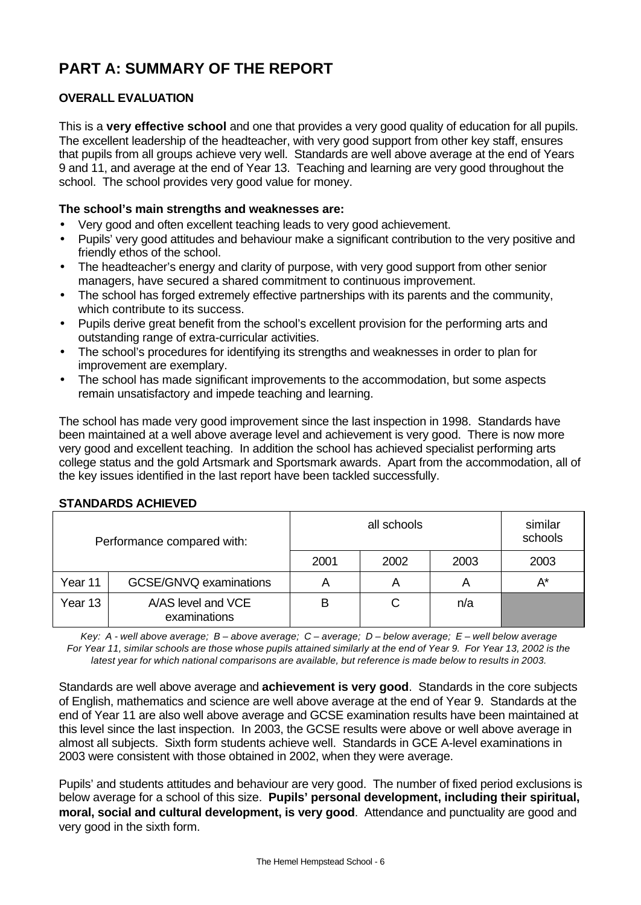# **PART A: SUMMARY OF THE REPORT**

# **OVERALL EVALUATION**

This is a **very effective school** and one that provides a very good quality of education for all pupils. The excellent leadership of the headteacher, with very good support from other key staff, ensures that pupils from all groups achieve very well. Standards are well above average at the end of Years 9 and 11, and average at the end of Year 13. Teaching and learning are very good throughout the school. The school provides very good value for money.

### **The school's main strengths and weaknesses are:**

- Very good and often excellent teaching leads to very good achievement.
- Pupils' very good attitudes and behaviour make a significant contribution to the very positive and friendly ethos of the school.
- The headteacher's energy and clarity of purpose, with very good support from other senior managers, have secured a shared commitment to continuous improvement.
- The school has forged extremely effective partnerships with its parents and the community, which contribute to its success.
- Pupils derive great benefit from the school's excellent provision for the performing arts and outstanding range of extra-curricular activities.
- The school's procedures for identifying its strengths and weaknesses in order to plan for improvement are exemplary.
- The school has made significant improvements to the accommodation, but some aspects remain unsatisfactory and impede teaching and learning.

The school has made very good improvement since the last inspection in 1998. Standards have been maintained at a well above average level and achievement is very good. There is now more very good and excellent teaching. In addition the school has achieved specialist performing arts college status and the gold Artsmark and Sportsmark awards. Apart from the accommodation, all of the key issues identified in the last report have been tackled successfully.

|         | Performance compared with:         | similar<br>all schools<br>schools |      |                         |       |
|---------|------------------------------------|-----------------------------------|------|-------------------------|-------|
|         |                                    | 2001                              | 2002 | 2003                    | 2003  |
| Year 11 | GCSE/GNVQ examinations             | A                                 | A    | $\overline{\mathsf{A}}$ | $A^*$ |
| Year 13 | A/AS level and VCE<br>examinations | в                                 | С    | n/a                     |       |

### **STANDARDS ACHIEVED**

*Key: A - well above average; B – above average; C – average; D – below average; E – well below average For Year 11, similar schools are those whose pupils attained similarly at the end of Year 9. For Year 13, 2002 is the latest year for which national comparisons are available, but reference is made below to results in 2003.*

Standards are well above average and **achievement is very good**. Standards in the core subjects of English, mathematics and science are well above average at the end of Year 9. Standards at the end of Year 11 are also well above average and GCSE examination results have been maintained at this level since the last inspection. In 2003, the GCSE results were above or well above average in almost all subjects. Sixth form students achieve well. Standards in GCE A-level examinations in 2003 were consistent with those obtained in 2002, when they were average.

Pupils' and students attitudes and behaviour are very good. The number of fixed period exclusions is below average for a school of this size. **Pupils' personal development, including their spiritual, moral, social and cultural development, is very good**. Attendance and punctuality are good and very good in the sixth form.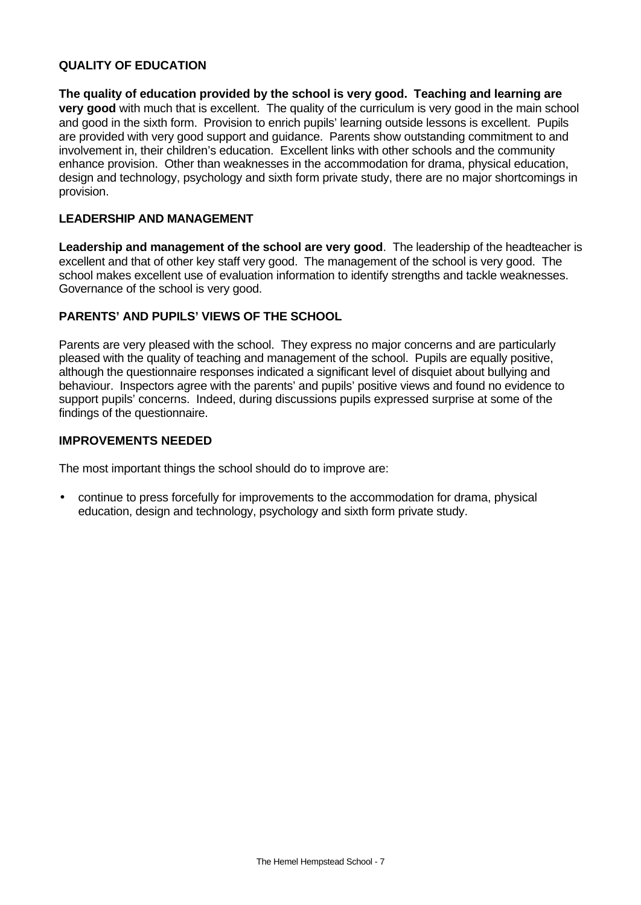### **QUALITY OF EDUCATION**

**The quality of education provided by the school is very good. Teaching and learning are very good** with much that is excellent. The quality of the curriculum is very good in the main school and good in the sixth form. Provision to enrich pupils' learning outside lessons is excellent.Pupils are provided with very good support and guidance. Parents show outstanding commitment to and involvement in, their children's education. Excellent links with other schools and the community enhance provision. Other than weaknesses in the accommodation for drama, physical education, design and technology, psychology and sixth form private study, there are no major shortcomings in provision.

### **LEADERSHIP AND MANAGEMENT**

**Leadership and management of the school are very good**. The leadership of the headteacher is excellent and that of other key staff very good. The management of the school is very good. The school makes excellent use of evaluation information to identify strengths and tackle weaknesses. Governance of the school is very good.

### **PARENTS' AND PUPILS' VIEWS OF THE SCHOOL**

Parents are very pleased with the school. They express no major concerns and are particularly pleased with the quality of teaching and management of the school. Pupils are equally positive, although the questionnaire responses indicated a significant level of disquiet about bullying and behaviour. Inspectors agree with the parents' and pupils' positive views and found no evidence to support pupils' concerns. Indeed, during discussions pupils expressed surprise at some of the findings of the questionnaire.

### **IMPROVEMENTS NEEDED**

The most important things the school should do to improve are:

• continue to press forcefully for improvements to the accommodation for drama, physical education, design and technology, psychology and sixth form private study.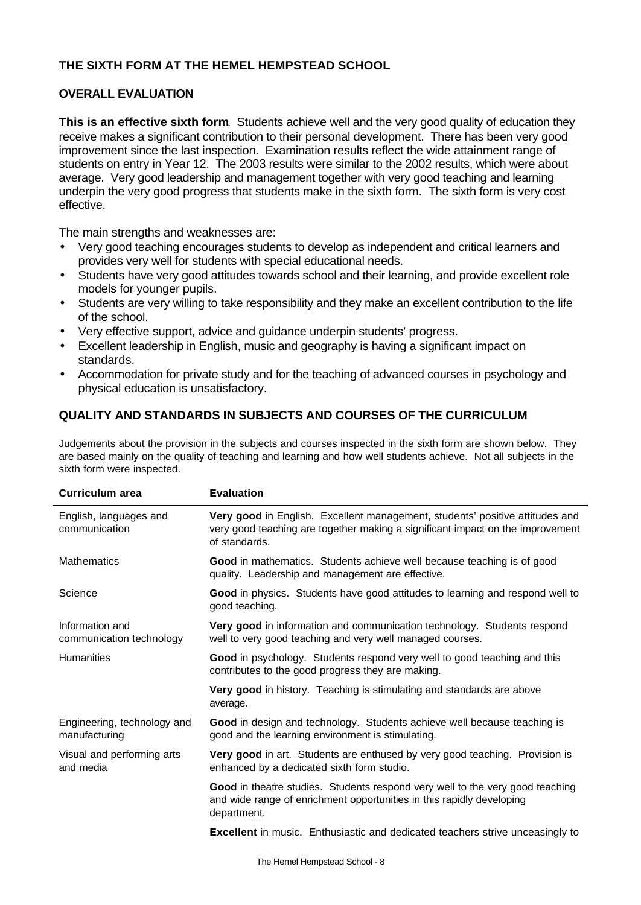## **THE SIXTH FORM AT THE HEMEL HEMPSTEAD SCHOOL**

### **OVERALL EVALUATION**

**This is an effective sixth form**. Students achieve well and the very good quality of education they receive makes a significant contribution to their personal development. There has been very good improvement since the last inspection. Examination results reflect the wide attainment range of students on entry in Year 12. The 2003 results were similar to the 2002 results, which were about average. Very good leadership and management together with very good teaching and learning underpin the very good progress that students make in the sixth form. The sixth form is very cost effective.

The main strengths and weaknesses are:

- Very good teaching encourages students to develop as independent and critical learners and provides very well for students with special educational needs.
- Students have very good attitudes towards school and their learning, and provide excellent role models for younger pupils.
- Students are very willing to take responsibility and they make an excellent contribution to the life of the school.
- Very effective support, advice and guidance underpin students' progress.
- Excellent leadership in English, music and geography is having a significant impact on standards.
- Accommodation for private study and for the teaching of advanced courses in psychology and physical education is unsatisfactory.

### **QUALITY AND STANDARDS IN SUBJECTS AND COURSES OF THE CURRICULUM**

Judgements about the provision in the subjects and courses inspected in the sixth form are shown below. They are based mainly on the quality of teaching and learning and how well students achieve. Not all subjects in the sixth form were inspected.

| Curriculum area                              | <b>Evaluation</b>                                                                                                                                                               |
|----------------------------------------------|---------------------------------------------------------------------------------------------------------------------------------------------------------------------------------|
| English, languages and<br>communication      | Very good in English. Excellent management, students' positive attitudes and<br>very good teaching are together making a significant impact on the improvement<br>of standards. |
| <b>Mathematics</b>                           | Good in mathematics. Students achieve well because teaching is of good<br>quality. Leadership and management are effective.                                                     |
| Science                                      | Good in physics. Students have good attitudes to learning and respond well to<br>good teaching.                                                                                 |
| Information and<br>communication technology  | Very good in information and communication technology. Students respond<br>well to very good teaching and very well managed courses.                                            |
| <b>Humanities</b>                            | Good in psychology. Students respond very well to good teaching and this<br>contributes to the good progress they are making.                                                   |
|                                              | Very good in history. Teaching is stimulating and standards are above<br>average.                                                                                               |
| Engineering, technology and<br>manufacturing | Good in design and technology. Students achieve well because teaching is<br>good and the learning environment is stimulating.                                                   |
| Visual and performing arts<br>and media      | Very good in art. Students are enthused by very good teaching. Provision is<br>enhanced by a dedicated sixth form studio.                                                       |
|                                              | Good in theatre studies. Students respond very well to the very good teaching<br>and wide range of enrichment opportunities in this rapidly developing<br>department.           |
|                                              | <b>Excellent</b> in music. Enthusiastic and dedicated teachers strive unceasingly to                                                                                            |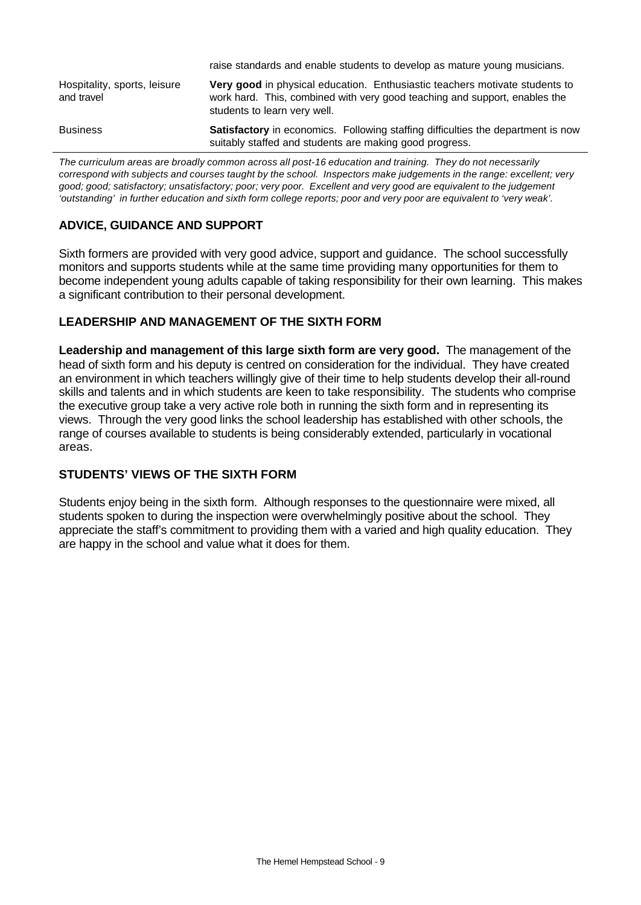| <b>Business</b>                            | Satisfactory in economics. Following staffing difficulties the department is now<br>suitably staffed and students are making good progress.                                                      |
|--------------------------------------------|--------------------------------------------------------------------------------------------------------------------------------------------------------------------------------------------------|
| Hospitality, sports, leisure<br>and travel | <b>Very good</b> in physical education. Enthusiastic teachers motivate students to<br>work hard. This, combined with very good teaching and support, enables the<br>students to learn very well. |
|                                            | raise standards and enable students to develop as mature young musicians.                                                                                                                        |

*The curriculum areas are broadly common across all post-16 education and training. They do not necessarily correspond with subjects and courses taught by the school. Inspectors make judgements in the range: excellent; very good; good; satisfactory; unsatisfactory; poor; very poor. Excellent and very good are equivalent to the judgement 'outstanding' in further education and sixth form college reports; poor and very poor are equivalent to 'very weak'.*

# **ADVICE, GUIDANCE AND SUPPORT**

Sixth formers are provided with very good advice, support and guidance. The school successfully monitors and supports students while at the same time providing many opportunities for them to become independent young adults capable of taking responsibility for their own learning. This makes a significant contribution to their personal development.

### **LEADERSHIP AND MANAGEMENT OF THE SIXTH FORM**

**Leadership and management of this large sixth form are very good.** The management of the head of sixth form and his deputy is centred on consideration for the individual. They have created an environment in which teachers willingly give of their time to help students develop their all-round skills and talents and in which students are keen to take responsibility. The students who comprise the executive group take a very active role both in running the sixth form and in representing its views. Through the very good links the school leadership has established with other schools, the range of courses available to students is being considerably extended, particularly in vocational areas.

## **STUDENTS' VIEWS OF THE SIXTH FORM**

Students enjoy being in the sixth form. Although responses to the questionnaire were mixed, all students spoken to during the inspection were overwhelmingly positive about the school. They appreciate the staff's commitment to providing them with a varied and high quality education. They are happy in the school and value what it does for them.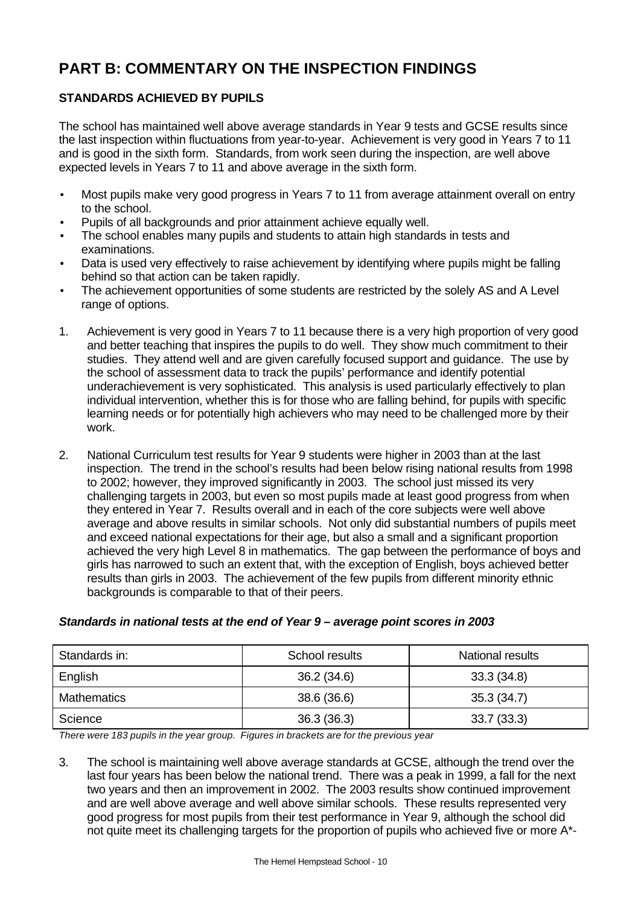# **PART B: COMMENTARY ON THE INSPECTION FINDINGS**

# **STANDARDS ACHIEVED BY PUPILS**

The school has maintained well above average standards in Year 9 tests and GCSE results since the last inspection within fluctuations from year-to-year. Achievement is very good in Years 7 to 11 and is good in the sixth form. Standards, from work seen during the inspection, are well above expected levels in Years 7 to 11 and above average in the sixth form.

- Most pupils make very good progress in Years 7 to 11 from average attainment overall on entry to the school.
- Pupils of all backgrounds and prior attainment achieve equally well.
- The school enables many pupils and students to attain high standards in tests and examinations.
- Data is used very effectively to raise achievement by identifying where pupils might be falling behind so that action can be taken rapidly.
- The achievement opportunities of some students are restricted by the solely AS and A Level range of options.
- 1. Achievement is very good in Years 7 to 11 because there is a very high proportion of very good and better teaching that inspires the pupils to do well. They show much commitment to their studies. They attend well and are given carefully focused support and guidance. The use by the school of assessment data to track the pupils' performance and identify potential underachievement is very sophisticated. This analysis is used particularly effectively to plan individual intervention, whether this is for those who are falling behind, for pupils with specific learning needs or for potentially high achievers who may need to be challenged more by their work.
- 2. National Curriculum test results for Year 9 students were higher in 2003 than at the last inspection. The trend in the school's results had been below rising national results from 1998 to 2002; however, they improved significantly in 2003. The school just missed its very challenging targets in 2003, but even so most pupils made at least good progress from when they entered in Year 7. Results overall and in each of the core subjects were well above average and above results in similar schools. Not only did substantial numbers of pupils meet and exceed national expectations for their age, but also a small and a significant proportion achieved the very high Level 8 in mathematics. The gap between the performance of boys and girls has narrowed to such an extent that, with the exception of English, boys achieved better results than girls in 2003. The achievement of the few pupils from different minority ethnic backgrounds is comparable to that of their peers.

| Standards in: | School results | National results |
|---------------|----------------|------------------|
| English       | 36.2(34.6)     | 33.3(34.8)       |
| Mathematics   | 38.6 (36.6)    | 35.3(34.7)       |
| Science       | 36.3(36.3)     | 33.7(33.3)       |

## *Standards in national tests at the end of Year 9 – average point scores in 2003*

*There were 183 pupils in the year group. Figures in brackets are for the previous year*

3. The school is maintaining well above average standards at GCSE, although the trend over the last four years has been below the national trend. There was a peak in 1999, a fall for the next two years and then an improvement in 2002. The 2003 results show continued improvement and are well above average and well above similar schools. These results represented very good progress for most pupils from their test performance in Year 9, although the school did not quite meet its challenging targets for the proportion of pupils who achieved five or more A\*-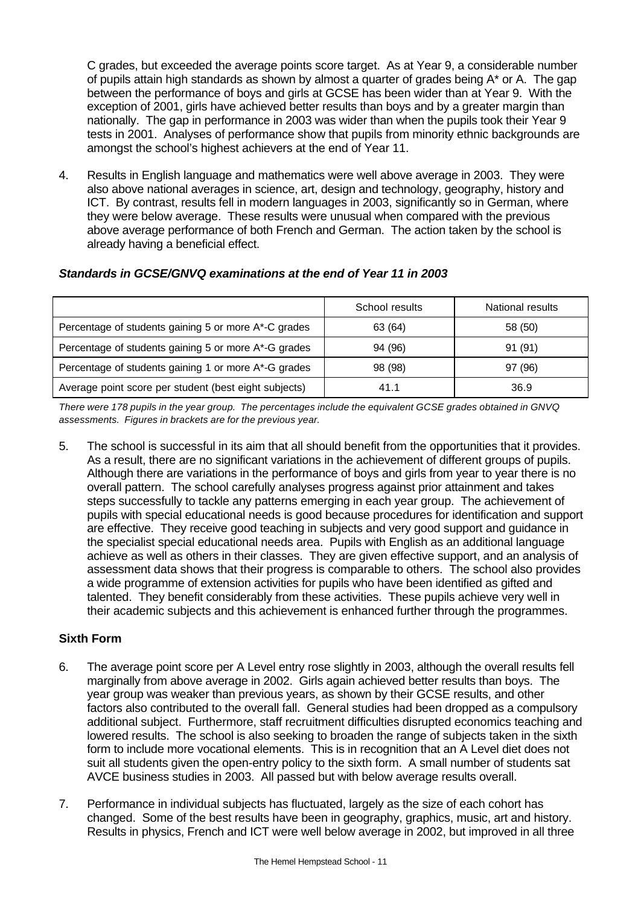C grades, but exceeded the average points score target. As at Year 9, a considerable number of pupils attain high standards as shown by almost a quarter of grades being A\* or A. The gap between the performance of boys and girls at GCSE has been wider than at Year 9. With the exception of 2001, girls have achieved better results than boys and by a greater margin than nationally. The gap in performance in 2003 was wider than when the pupils took their Year 9 tests in 2001. Analyses of performance show that pupils from minority ethnic backgrounds are amongst the school's highest achievers at the end of Year 11.

4. Results in English language and mathematics were well above average in 2003. They were also above national averages in science, art, design and technology, geography, history and ICT. By contrast, results fell in modern languages in 2003, significantly so in German, where they were below average. These results were unusual when compared with the previous above average performance of both French and German. The action taken by the school is already having a beneficial effect.

## *Standards in GCSE/GNVQ examinations at the end of Year 11 in 2003*

|                                                       | School results | National results |
|-------------------------------------------------------|----------------|------------------|
| Percentage of students gaining 5 or more A*-C grades  | 63 (64)        | 58 (50)          |
| Percentage of students gaining 5 or more A*-G grades  | 94 (96)        | 91 (91)          |
| Percentage of students gaining 1 or more A*-G grades  | 98 (98)        | 97 (96)          |
| Average point score per student (best eight subjects) | 41.1           | 36.9             |

*There were 178 pupils in the year group. The percentages include the equivalent GCSE grades obtained in GNVQ assessments. Figures in brackets are for the previous year.*

5. The school is successful in its aim that all should benefit from the opportunities that it provides. As a result, there are no significant variations in the achievement of different groups of pupils. Although there are variations in the performance of boys and girls from year to year there is no overall pattern. The school carefully analyses progress against prior attainment and takes steps successfully to tackle any patterns emerging in each year group. The achievement of pupils with special educational needs is good because procedures for identification and support are effective. They receive good teaching in subjects and very good support and guidance in the specialist special educational needs area. Pupils with English as an additional language achieve as well as others in their classes. They are given effective support, and an analysis of assessment data shows that their progress is comparable to others. The school also provides a wide programme of extension activities for pupils who have been identified as gifted and talented. They benefit considerably from these activities. These pupils achieve very well in their academic subjects and this achievement is enhanced further through the programmes.

## **Sixth Form**

- 6. The average point score per A Level entry rose slightly in 2003, although the overall results fell marginally from above average in 2002. Girls again achieved better results than boys. The year group was weaker than previous years, as shown by their GCSE results, and other factors also contributed to the overall fall. General studies had been dropped as a compulsory additional subject. Furthermore, staff recruitment difficulties disrupted economics teaching and lowered results. The school is also seeking to broaden the range of subjects taken in the sixth form to include more vocational elements. This is in recognition that an A Level diet does not suit all students given the open-entry policy to the sixth form. A small number of students sat AVCE business studies in 2003. All passed but with below average results overall.
- 7. Performance in individual subjects has fluctuated, largely as the size of each cohort has changed. Some of the best results have been in geography, graphics, music, art and history. Results in physics, French and ICT were well below average in 2002, but improved in all three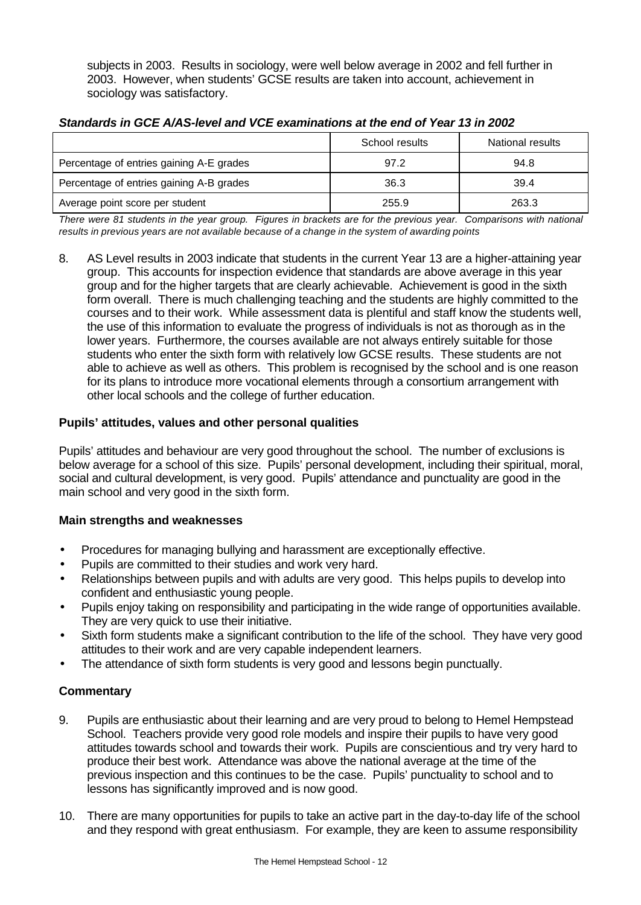subjects in 2003. Results in sociology, were well below average in 2002 and fell further in 2003. However, when students' GCSE results are taken into account, achievement in sociology was satisfactory.

|                                          | School results | National results |
|------------------------------------------|----------------|------------------|
| Percentage of entries gaining A-E grades | 97.2           | 94.8             |
| Percentage of entries gaining A-B grades | 36.3           | 39.4             |
| Average point score per student          | 255.9          | 263.3            |

### *Standards in GCE A/AS-level and VCE examinations at the end of Year 13 in 2002*

*There were 81 students in the year group. Figures in brackets are for the previous year. Comparisons with national results in previous years are not available because of a change in the system of awarding points*

8. AS Level results in 2003 indicate that students in the current Year 13 are a higher-attaining year group. This accounts for inspection evidence that standards are above average in this year group and for the higher targets that are clearly achievable. Achievement is good in the sixth form overall. There is much challenging teaching and the students are highly committed to the courses and to their work. While assessment data is plentiful and staff know the students well, the use of this information to evaluate the progress of individuals is not as thorough as in the lower years. Furthermore, the courses available are not always entirely suitable for those students who enter the sixth form with relatively low GCSE results. These students are not able to achieve as well as others. This problem is recognised by the school and is one reason for its plans to introduce more vocational elements through a consortium arrangement with other local schools and the college of further education.

## **Pupils' attitudes, values and other personal qualities**

Pupils' attitudes and behaviour are very good throughout the school. The number of exclusions is below average for a school of this size. Pupils' personal development, including their spiritual, moral, social and cultural development, is very good. Pupils' attendance and punctuality are good in the main school and very good in the sixth form.

### **Main strengths and weaknesses**

- Procedures for managing bullying and harassment are exceptionally effective.
- Pupils are committed to their studies and work very hard.
- Relationships between pupils and with adults are very good. This helps pupils to develop into confident and enthusiastic young people.
- Pupils enjoy taking on responsibility and participating in the wide range of opportunities available. They are very quick to use their initiative.
- Sixth form students make a significant contribution to the life of the school. They have very good attitudes to their work and are very capable independent learners.
- The attendance of sixth form students is very good and lessons begin punctually.

- 9. Pupils are enthusiastic about their learning and are very proud to belong to Hemel Hempstead School. Teachers provide very good role models and inspire their pupils to have very good attitudes towards school and towards their work. Pupils are conscientious and try very hard to produce their best work. Attendance was above the national average at the time of the previous inspection and this continues to be the case. Pupils' punctuality to school and to lessons has significantly improved and is now good.
- 10. There are many opportunities for pupils to take an active part in the day-to-day life of the school and they respond with great enthusiasm. For example, they are keen to assume responsibility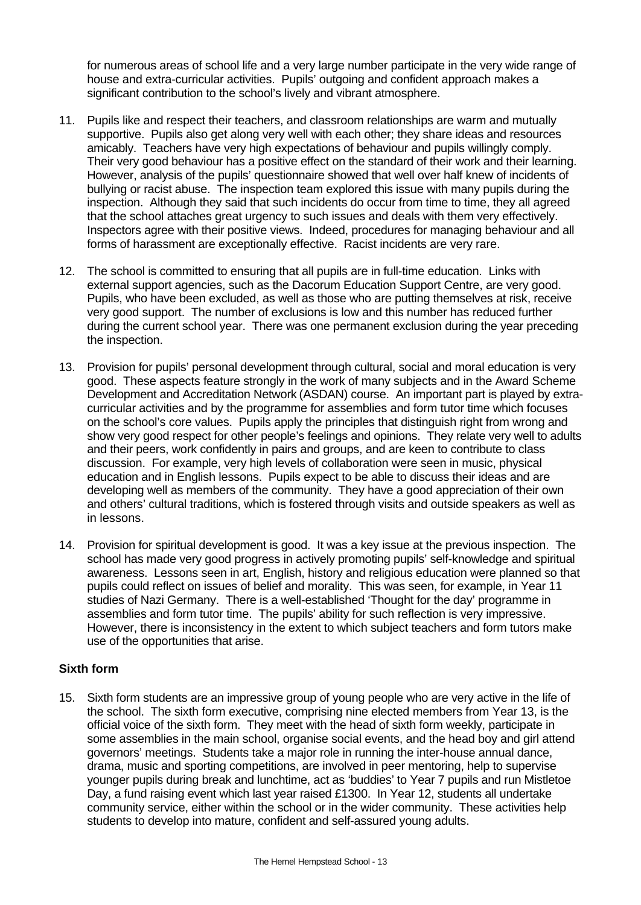for numerous areas of school life and a very large number participate in the very wide range of house and extra-curricular activities. Pupils' outgoing and confident approach makes a significant contribution to the school's lively and vibrant atmosphere.

- 11. Pupils like and respect their teachers, and classroom relationships are warm and mutually supportive. Pupils also get along very well with each other; they share ideas and resources amicably. Teachers have very high expectations of behaviour and pupils willingly comply. Their very good behaviour has a positive effect on the standard of their work and their learning. However, analysis of the pupils' questionnaire showed that well over half knew of incidents of bullying or racist abuse. The inspection team explored this issue with many pupils during the inspection. Although they said that such incidents do occur from time to time, they all agreed that the school attaches great urgency to such issues and deals with them very effectively. Inspectors agree with their positive views. Indeed, procedures for managing behaviour and all forms of harassment are exceptionally effective. Racist incidents are very rare.
- 12. The school is committed to ensuring that all pupils are in full-time education. Links with external support agencies, such as the Dacorum Education Support Centre, are very good. Pupils, who have been excluded, as well as those who are putting themselves at risk, receive very good support. The number of exclusions is low and this number has reduced further during the current school year. There was one permanent exclusion during the year preceding the inspection.
- 13. Provision for pupils' personal development through cultural, social and moral education is very good. These aspects feature strongly in the work of many subjects and in the Award Scheme Development and Accreditation Network (ASDAN) course. An important part is played by extracurricular activities and by the programme for assemblies and form tutor time which focuses on the school's core values. Pupils apply the principles that distinguish right from wrong and show very good respect for other people's feelings and opinions. They relate very well to adults and their peers, work confidently in pairs and groups, and are keen to contribute to class discussion. For example, very high levels of collaboration were seen in music, physical education and in English lessons. Pupils expect to be able to discuss their ideas and are developing well as members of the community. They have a good appreciation of their own and others' cultural traditions, which is fostered through visits and outside speakers as well as in lessons.
- 14. Provision for spiritual development is good. It was a key issue at the previous inspection. The school has made very good progress in actively promoting pupils' self-knowledge and spiritual awareness. Lessons seen in art, English, history and religious education were planned so that pupils could reflect on issues of belief and morality. This was seen, for example, in Year 11 studies of Nazi Germany. There is a well-established 'Thought for the day' programme in assemblies and form tutor time. The pupils' ability for such reflection is very impressive. However, there is inconsistency in the extent to which subject teachers and form tutors make use of the opportunities that arise.

### **Sixth form**

15. Sixth form students are an impressive group of young people who are very active in the life of the school. The sixth form executive, comprising nine elected members from Year 13, is the official voice of the sixth form. They meet with the head of sixth form weekly, participate in some assemblies in the main school, organise social events, and the head boy and girl attend governors' meetings. Students take a major role in running the inter-house annual dance, drama, music and sporting competitions, are involved in peer mentoring, help to supervise younger pupils during break and lunchtime, act as 'buddies' to Year 7 pupils and run Mistletoe Day, a fund raising event which last year raised £1300. In Year 12, students all undertake community service, either within the school or in the wider community. These activities help students to develop into mature, confident and self-assured young adults.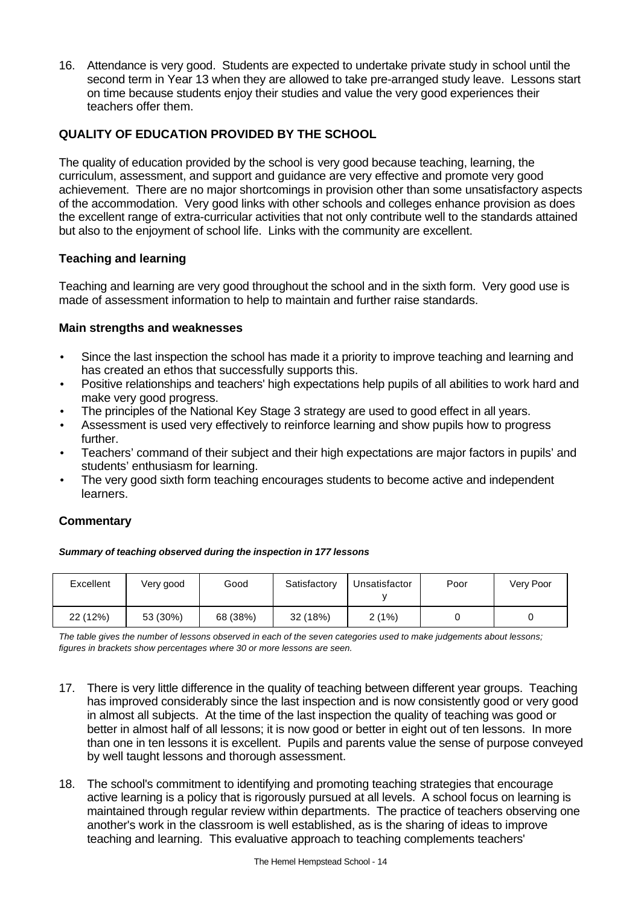16. Attendance is very good. Students are expected to undertake private study in school until the second term in Year 13 when they are allowed to take pre-arranged study leave. Lessons start on time because students enjoy their studies and value the very good experiences their teachers offer them.

# **QUALITY OF EDUCATION PROVIDED BY THE SCHOOL**

The quality of education provided by the school is very good because teaching, learning, the curriculum, assessment, and support and guidance are very effective and promote very good achievement. There are no major shortcomings in provision other than some unsatisfactory aspects of the accommodation. Very good links with other schools and colleges enhance provision as does the excellent range of extra-curricular activities that not only contribute well to the standards attained but also to the enjoyment of school life. Links with the community are excellent.

### **Teaching and learning**

Teaching and learning are very good throughout the school and in the sixth form. Very good use is made of assessment information to help to maintain and further raise standards.

### **Main strengths and weaknesses**

- Since the last inspection the school has made it a priority to improve teaching and learning and has created an ethos that successfully supports this.
- Positive relationships and teachers' high expectations help pupils of all abilities to work hard and make very good progress.
- The principles of the National Key Stage 3 strategy are used to good effect in all years.
- Assessment is used very effectively to reinforce learning and show pupils how to progress further.
- Teachers' command of their subject and their high expectations are major factors in pupils' and students' enthusiasm for learning.
- The very good sixth form teaching encourages students to become active and independent learners.

## **Commentary**

| Excellent | Very good | Good     | Satisfactory | Unsatisfactor | Poor | Very Poor |
|-----------|-----------|----------|--------------|---------------|------|-----------|
| 22 (12%)  | 53 (30%)  | 68 (38%) | 32 (18%)     | 2(1%)         |      |           |

*The table gives the number of lessons observed in each of the seven categories used to make judgements about lessons; figures in brackets show percentages where 30 or more lessons are seen.*

- 17. There is very little difference in the quality of teaching between different year groups. Teaching has improved considerably since the last inspection and is now consistently good or very good in almost all subjects. At the time of the last inspection the quality of teaching was good or better in almost half of all lessons; it is now good or better in eight out of ten lessons. In more than one in ten lessons it is excellent. Pupils and parents value the sense of purpose conveyed by well taught lessons and thorough assessment.
- 18. The school's commitment to identifying and promoting teaching strategies that encourage active learning is a policy that is rigorously pursued at all levels. A school focus on learning is maintained through regular review within departments. The practice of teachers observing one another's work in the classroom is well established, as is the sharing of ideas to improve teaching and learning. This evaluative approach to teaching complements teachers'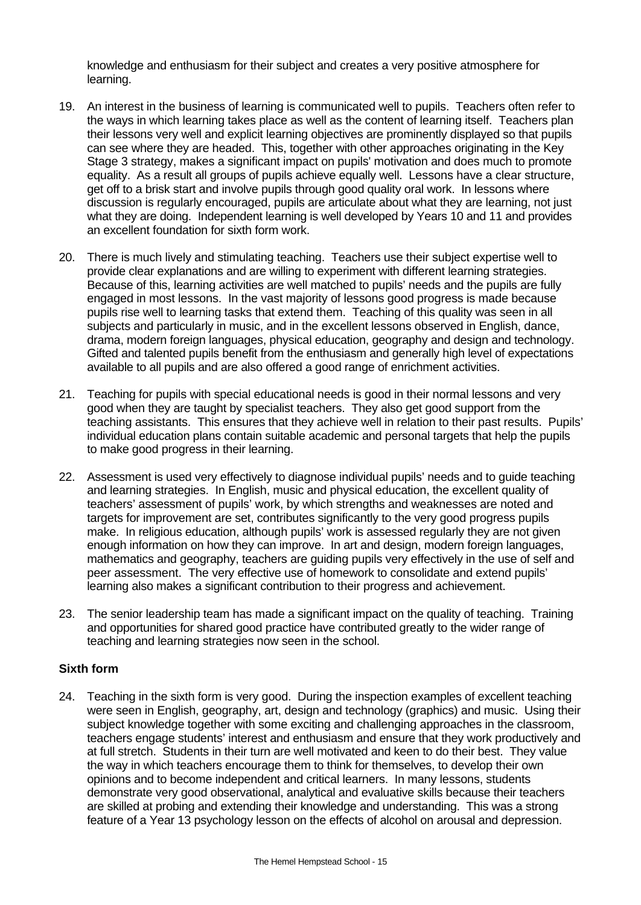knowledge and enthusiasm for their subject and creates a very positive atmosphere for learning.

- 19. An interest in the business of learning is communicated well to pupils. Teachers often refer to the ways in which learning takes place as well as the content of learning itself. Teachers plan their lessons very well and explicit learning objectives are prominently displayed so that pupils can see where they are headed. This, together with other approaches originating in the Key Stage 3 strategy, makes a significant impact on pupils' motivation and does much to promote equality. As a result all groups of pupils achieve equally well. Lessons have a clear structure, get off to a brisk start and involve pupils through good quality oral work. In lessons where discussion is regularly encouraged, pupils are articulate about what they are learning, not just what they are doing. Independent learning is well developed by Years 10 and 11 and provides an excellent foundation for sixth form work.
- 20. There is much lively and stimulating teaching. Teachers use their subject expertise well to provide clear explanations and are willing to experiment with different learning strategies. Because of this, learning activities are well matched to pupils' needs and the pupils are fully engaged in most lessons. In the vast majority of lessons good progress is made because pupils rise well to learning tasks that extend them. Teaching of this quality was seen in all subjects and particularly in music, and in the excellent lessons observed in English, dance, drama, modern foreign languages, physical education, geography and design and technology. Gifted and talented pupils benefit from the enthusiasm and generally high level of expectations available to all pupils and are also offered a good range of enrichment activities.
- 21. Teaching for pupils with special educational needs is good in their normal lessons and very good when they are taught by specialist teachers. They also get good support from the teaching assistants. This ensures that they achieve well in relation to their past results. Pupils' individual education plans contain suitable academic and personal targets that help the pupils to make good progress in their learning.
- 22. Assessment is used very effectively to diagnose individual pupils' needs and to guide teaching and learning strategies. In English, music and physical education, the excellent quality of teachers' assessment of pupils' work, by which strengths and weaknesses are noted and targets for improvement are set, contributes significantly to the very good progress pupils make. In religious education, although pupils' work is assessed regularly they are not given enough information on how they can improve. In art and design, modern foreign languages, mathematics and geography, teachers are guiding pupils very effectively in the use of self and peer assessment. The very effective use of homework to consolidate and extend pupils' learning also makes a significant contribution to their progress and achievement.
- 23. The senior leadership team has made a significant impact on the quality of teaching. Training and opportunities for shared good practice have contributed greatly to the wider range of teaching and learning strategies now seen in the school.

### **Sixth form**

24. Teaching in the sixth form is very good. During the inspection examples of excellent teaching were seen in English, geography, art, design and technology (graphics) and music. Using their subject knowledge together with some exciting and challenging approaches in the classroom, teachers engage students' interest and enthusiasm and ensure that they work productively and at full stretch. Students in their turn are well motivated and keen to do their best. They value the way in which teachers encourage them to think for themselves, to develop their own opinions and to become independent and critical learners. In many lessons, students demonstrate very good observational, analytical and evaluative skills because their teachers are skilled at probing and extending their knowledge and understanding. This was a strong feature of a Year 13 psychology lesson on the effects of alcohol on arousal and depression.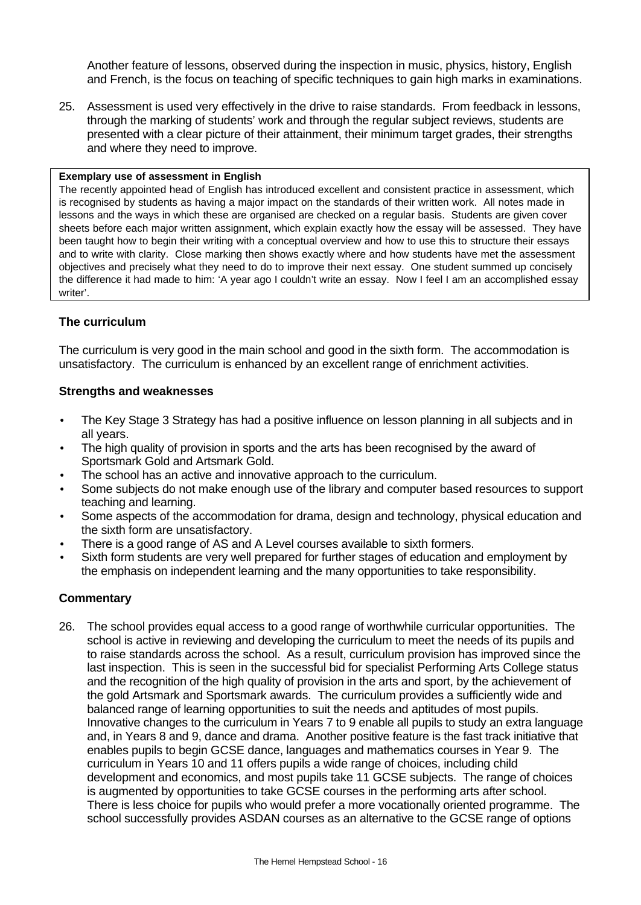Another feature of lessons, observed during the inspection in music, physics, history, English and French, is the focus on teaching of specific techniques to gain high marks in examinations.

25. Assessment is used very effectively in the drive to raise standards. From feedback in lessons, through the marking of students' work and through the regular subject reviews, students are presented with a clear picture of their attainment, their minimum target grades, their strengths and where they need to improve.

#### **Exemplary use of assessment in English**

The recently appointed head of English has introduced excellent and consistent practice in assessment, which is recognised by students as having a major impact on the standards of their written work. All notes made in lessons and the ways in which these are organised are checked on a regular basis. Students are given cover sheets before each major written assignment, which explain exactly how the essay will be assessed. They have been taught how to begin their writing with a conceptual overview and how to use this to structure their essays and to write with clarity. Close marking then shows exactly where and how students have met the assessment objectives and precisely what they need to do to improve their next essay. One student summed up concisely the difference it had made to him: 'A year ago I couldn't write an essay. Now I feel I am an accomplished essay writer'.

### **The curriculum**

The curriculum is very good in the main school and good in the sixth form. The accommodation is unsatisfactory. The curriculum is enhanced by an excellent range of enrichment activities.

#### **Strengths and weaknesses**

- The Key Stage 3 Strategy has had a positive influence on lesson planning in all subjects and in all years.
- The high quality of provision in sports and the arts has been recognised by the award of Sportsmark Gold and Artsmark Gold.
- The school has an active and innovative approach to the curriculum.
- Some subjects do not make enough use of the library and computer based resources to support teaching and learning.
- Some aspects of the accommodation for drama, design and technology, physical education and the sixth form are unsatisfactory.
- There is a good range of AS and A Level courses available to sixth formers.
- Sixth form students are very well prepared for further stages of education and employment by the emphasis on independent learning and the many opportunities to take responsibility.

### **Commentary**

26. The school provides equal access to a good range of worthwhile curricular opportunities. The school is active in reviewing and developing the curriculum to meet the needs of its pupils and to raise standards across the school. As a result, curriculum provision has improved since the last inspection. This is seen in the successful bid for specialist Performing Arts College status and the recognition of the high quality of provision in the arts and sport, by the achievement of the gold Artsmark and Sportsmark awards. The curriculum provides a sufficiently wide and balanced range of learning opportunities to suit the needs and aptitudes of most pupils. Innovative changes to the curriculum in Years 7 to 9 enable all pupils to study an extra language and, in Years 8 and 9, dance and drama. Another positive feature is the fast track initiative that enables pupils to begin GCSE dance, languages and mathematics courses in Year 9. The curriculum in Years 10 and 11 offers pupils a wide range of choices, including child development and economics, and most pupils take 11 GCSE subjects. The range of choices is augmented by opportunities to take GCSE courses in the performing arts after school. There is less choice for pupils who would prefer a more vocationally oriented programme. The school successfully provides ASDAN courses as an alternative to the GCSE range of options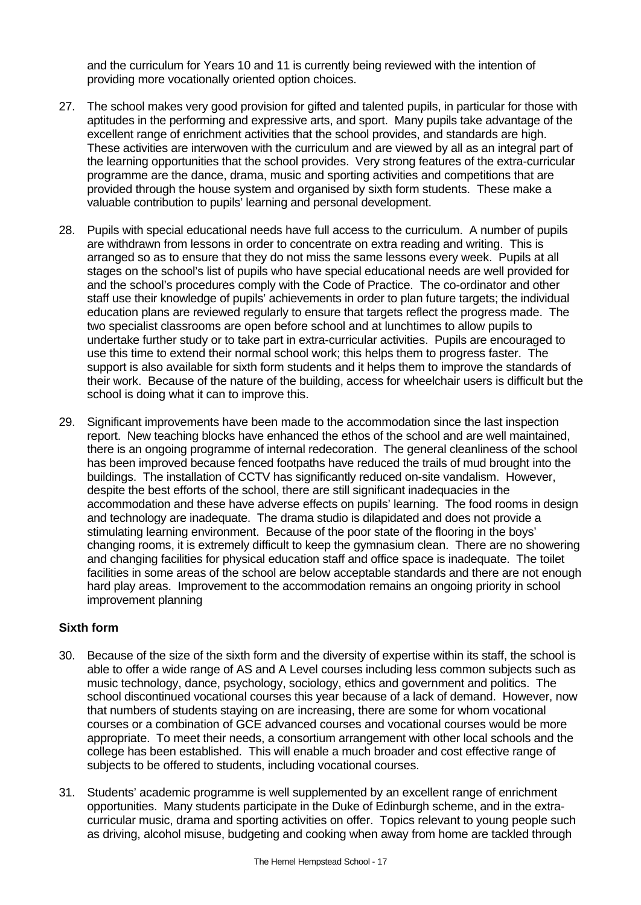and the curriculum for Years 10 and 11 is currently being reviewed with the intention of providing more vocationally oriented option choices.

- 27. The school makes very good provision for gifted and talented pupils, in particular for those with aptitudes in the performing and expressive arts, and sport. Many pupils take advantage of the excellent range of enrichment activities that the school provides, and standards are high. These activities are interwoven with the curriculum and are viewed by all as an integral part of the learning opportunities that the school provides. Very strong features of the extra-curricular programme are the dance, drama, music and sporting activities and competitions that are provided through the house system and organised by sixth form students. These make a valuable contribution to pupils' learning and personal development.
- 28. Pupils with special educational needs have full access to the curriculum. A number of pupils are withdrawn from lessons in order to concentrate on extra reading and writing. This is arranged so as to ensure that they do not miss the same lessons every week. Pupils at all stages on the school's list of pupils who have special educational needs are well provided for and the school's procedures comply with the Code of Practice. The co-ordinator and other staff use their knowledge of pupils' achievements in order to plan future targets; the individual education plans are reviewed regularly to ensure that targets reflect the progress made. The two specialist classrooms are open before school and at lunchtimes to allow pupils to undertake further study or to take part in extra-curricular activities. Pupils are encouraged to use this time to extend their normal school work; this helps them to progress faster. The support is also available for sixth form students and it helps them to improve the standards of their work. Because of the nature of the building, access for wheelchair users is difficult but the school is doing what it can to improve this.
- 29. Significant improvements have been made to the accommodation since the last inspection report. New teaching blocks have enhanced the ethos of the school and are well maintained, there is an ongoing programme of internal redecoration. The general cleanliness of the school has been improved because fenced footpaths have reduced the trails of mud brought into the buildings. The installation of CCTV has significantly reduced on-site vandalism. However, despite the best efforts of the school, there are still significant inadequacies in the accommodation and these have adverse effects on pupils' learning. The food rooms in design and technology are inadequate. The drama studio is dilapidated and does not provide a stimulating learning environment. Because of the poor state of the flooring in the boys' changing rooms, it is extremely difficult to keep the gymnasium clean. There are no showering and changing facilities for physical education staff and office space is inadequate. The toilet facilities in some areas of the school are below acceptable standards and there are not enough hard play areas. Improvement to the accommodation remains an ongoing priority in school improvement planning

#### **Sixth form**

- 30. Because of the size of the sixth form and the diversity of expertise within its staff, the school is able to offer a wide range of AS and A Level courses including less common subjects such as music technology, dance, psychology, sociology, ethics and government and politics. The school discontinued vocational courses this year because of a lack of demand. However, now that numbers of students staying on are increasing, there are some for whom vocational courses or a combination of GCE advanced courses and vocational courses would be more appropriate. To meet their needs, a consortium arrangement with other local schools and the college has been established. This will enable a much broader and cost effective range of subjects to be offered to students, including vocational courses.
- 31. Students' academic programme is well supplemented by an excellent range of enrichment opportunities. Many students participate in the Duke of Edinburgh scheme, and in the extracurricular music, drama and sporting activities on offer. Topics relevant to young people such as driving, alcohol misuse, budgeting and cooking when away from home are tackled through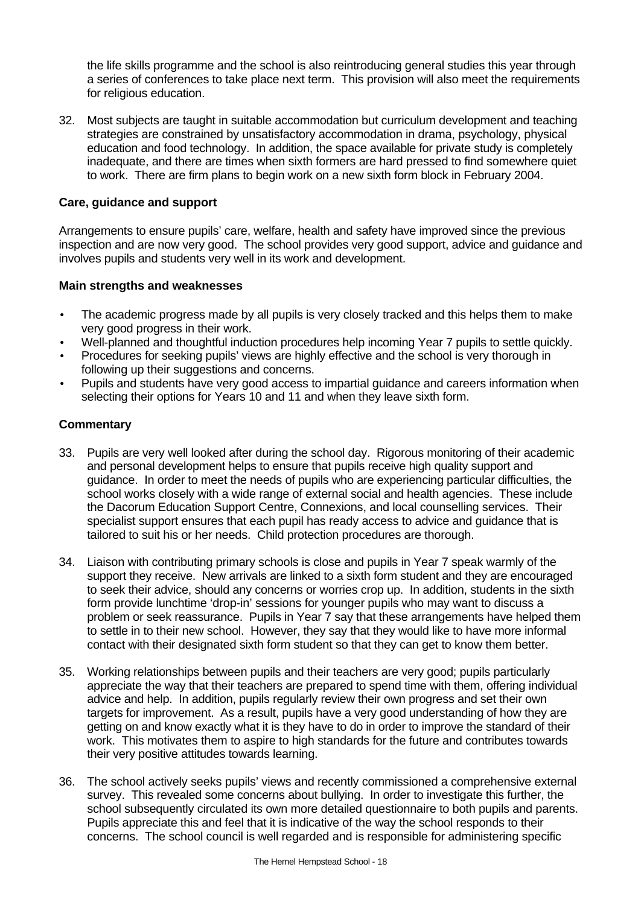the life skills programme and the school is also reintroducing general studies this year through a series of conferences to take place next term. This provision will also meet the requirements for religious education.

32. Most subjects are taught in suitable accommodation but curriculum development and teaching strategies are constrained by unsatisfactory accommodation in drama, psychology, physical education and food technology. In addition, the space available for private study is completely inadequate, and there are times when sixth formers are hard pressed to find somewhere quiet to work. There are firm plans to begin work on a new sixth form block in February 2004.

### **Care, guidance and support**

Arrangements to ensure pupils' care, welfare, health and safety have improved since the previous inspection and are now very good. The school provides very good support, advice and guidance and involves pupils and students very well in its work and development.

### **Main strengths and weaknesses**

- The academic progress made by all pupils is very closely tracked and this helps them to make very good progress in their work.
- Well-planned and thoughtful induction procedures help incoming Year 7 pupils to settle quickly.
- Procedures for seeking pupils' views are highly effective and the school is very thorough in following up their suggestions and concerns.
- Pupils and students have very good access to impartial guidance and careers information when selecting their options for Years 10 and 11 and when they leave sixth form.

- 33. Pupils are very well looked after during the school day. Rigorous monitoring of their academic and personal development helps to ensure that pupils receive high quality support and guidance. In order to meet the needs of pupils who are experiencing particular difficulties, the school works closely with a wide range of external social and health agencies. These include the Dacorum Education Support Centre, Connexions, and local counselling services. Their specialist support ensures that each pupil has ready access to advice and guidance that is tailored to suit his or her needs. Child protection procedures are thorough.
- 34. Liaison with contributing primary schools is close and pupils in Year 7 speak warmly of the support they receive. New arrivals are linked to a sixth form student and they are encouraged to seek their advice, should any concerns or worries crop up. In addition, students in the sixth form provide lunchtime 'drop-in' sessions for younger pupils who may want to discuss a problem or seek reassurance. Pupils in Year 7 say that these arrangements have helped them to settle in to their new school. However, they say that they would like to have more informal contact with their designated sixth form student so that they can get to know them better.
- 35. Working relationships between pupils and their teachers are very good; pupils particularly appreciate the way that their teachers are prepared to spend time with them, offering individual advice and help. In addition, pupils regularly review their own progress and set their own targets for improvement. As a result, pupils have a very good understanding of how they are getting on and know exactly what it is they have to do in order to improve the standard of their work. This motivates them to aspire to high standards for the future and contributes towards their very positive attitudes towards learning.
- 36. The school actively seeks pupils' views and recently commissioned a comprehensive external survey. This revealed some concerns about bullying. In order to investigate this further, the school subsequently circulated its own more detailed questionnaire to both pupils and parents. Pupils appreciate this and feel that it is indicative of the way the school responds to their concerns. The school council is well regarded and is responsible for administering specific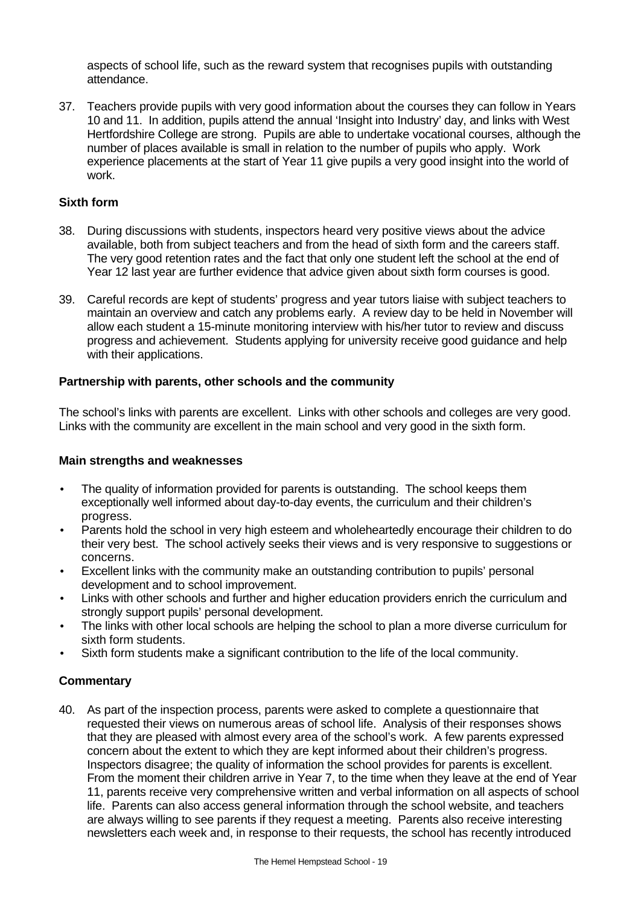aspects of school life, such as the reward system that recognises pupils with outstanding attendance.

37. Teachers provide pupils with very good information about the courses they can follow in Years 10 and 11. In addition, pupils attend the annual 'Insight into Industry' day, and links with West Hertfordshire College are strong. Pupils are able to undertake vocational courses, although the number of places available is small in relation to the number of pupils who apply. Work experience placements at the start of Year 11 give pupils a very good insight into the world of work.

### **Sixth form**

- 38. During discussions with students, inspectors heard very positive views about the advice available, both from subject teachers and from the head of sixth form and the careers staff. The very good retention rates and the fact that only one student left the school at the end of Year 12 last year are further evidence that advice given about sixth form courses is good.
- 39. Careful records are kept of students' progress and year tutors liaise with subject teachers to maintain an overview and catch any problems early. A review day to be held in November will allow each student a 15-minute monitoring interview with his/her tutor to review and discuss progress and achievement. Students applying for university receive good guidance and help with their applications.

### **Partnership with parents, other schools and the community**

The school's links with parents are excellent. Links with other schools and colleges are very good. Links with the community are excellent in the main school and very good in the sixth form.

### **Main strengths and weaknesses**

- The quality of information provided for parents is outstanding. The school keeps them exceptionally well informed about day-to-day events, the curriculum and their children's progress.
- Parents hold the school in very high esteem and wholeheartedly encourage their children to do their very best. The school actively seeks their views and is very responsive to suggestions or concerns.
- Excellent links with the community make an outstanding contribution to pupils' personal development and to school improvement.
- Links with other schools and further and higher education providers enrich the curriculum and strongly support pupils' personal development.
- The links with other local schools are helping the school to plan a more diverse curriculum for sixth form students.
- Sixth form students make a significant contribution to the life of the local community.

### **Commentary**

40. As part of the inspection process, parents were asked to complete a questionnaire that requested their views on numerous areas of school life. Analysis of their responses shows that they are pleased with almost every area of the school's work. A few parents expressed concern about the extent to which they are kept informed about their children's progress. Inspectors disagree; the quality of information the school provides for parents is excellent. From the moment their children arrive in Year 7, to the time when they leave at the end of Year 11, parents receive very comprehensive written and verbal information on all aspects of school life. Parents can also access general information through the school website, and teachers are always willing to see parents if they request a meeting. Parents also receive interesting newsletters each week and, in response to their requests, the school has recently introduced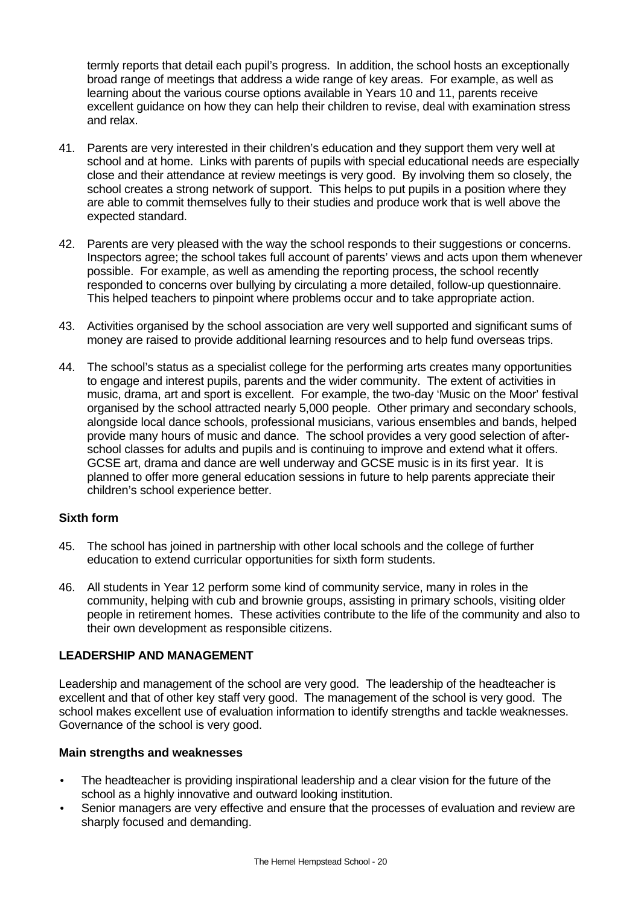termly reports that detail each pupil's progress. In addition, the school hosts an exceptionally broad range of meetings that address a wide range of key areas. For example, as well as learning about the various course options available in Years 10 and 11, parents receive excellent guidance on how they can help their children to revise, deal with examination stress and relax.

- 41. Parents are very interested in their children's education and they support them very well at school and at home. Links with parents of pupils with special educational needs are especially close and their attendance at review meetings is very good. By involving them so closely, the school creates a strong network of support. This helps to put pupils in a position where they are able to commit themselves fully to their studies and produce work that is well above the expected standard.
- 42. Parents are very pleased with the way the school responds to their suggestions or concerns. Inspectors agree; the school takes full account of parents' views and acts upon them whenever possible. For example, as well as amending the reporting process, the school recently responded to concerns over bullying by circulating a more detailed, follow-up questionnaire. This helped teachers to pinpoint where problems occur and to take appropriate action.
- 43. Activities organised by the school association are very well supported and significant sums of money are raised to provide additional learning resources and to help fund overseas trips.
- 44. The school's status as a specialist college for the performing arts creates many opportunities to engage and interest pupils, parents and the wider community. The extent of activities in music, drama, art and sport is excellent. For example, the two-day 'Music on the Moor' festival organised by the school attracted nearly 5,000 people. Other primary and secondary schools, alongside local dance schools, professional musicians, various ensembles and bands, helped provide many hours of music and dance. The school provides a very good selection of afterschool classes for adults and pupils and is continuing to improve and extend what it offers. GCSE art, drama and dance are well underway and GCSE music is in its first year. It is planned to offer more general education sessions in future to help parents appreciate their children's school experience better.

### **Sixth form**

- 45. The school has joined in partnership with other local schools and the college of further education to extend curricular opportunities for sixth form students.
- 46. All students in Year 12 perform some kind of community service, many in roles in the community, helping with cub and brownie groups, assisting in primary schools, visiting older people in retirement homes. These activities contribute to the life of the community and also to their own development as responsible citizens.

### **LEADERSHIP AND MANAGEMENT**

Leadership and management of the school are very good. The leadership of the headteacher is excellent and that of other key staff very good. The management of the school is very good. The school makes excellent use of evaluation information to identify strengths and tackle weaknesses. Governance of the school is very good.

- The headteacher is providing inspirational leadership and a clear vision for the future of the school as a highly innovative and outward looking institution.
- Senior managers are very effective and ensure that the processes of evaluation and review are sharply focused and demanding.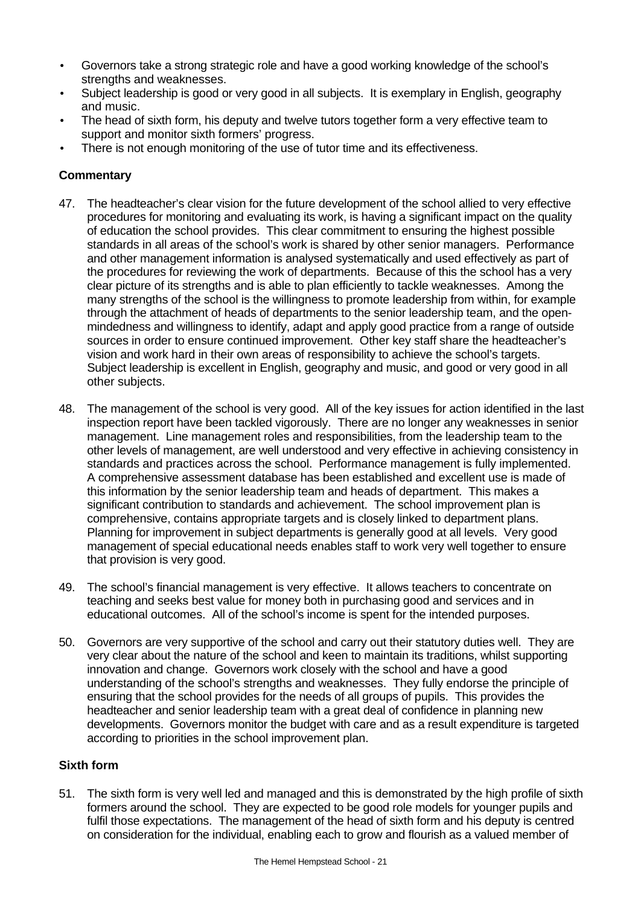- Governors take a strong strategic role and have a good working knowledge of the school's strengths and weaknesses.
- Subject leadership is good or very good in all subjects. It is exemplary in English, geography and music.
- The head of sixth form, his deputy and twelve tutors together form a very effective team to support and monitor sixth formers' progress.
- There is not enough monitoring of the use of tutor time and its effectiveness.

- 47. The headteacher's clear vision for the future development of the school allied to very effective procedures for monitoring and evaluating its work, is having a significant impact on the quality of education the school provides. This clear commitment to ensuring the highest possible standards in all areas of the school's work is shared by other senior managers. Performance and other management information is analysed systematically and used effectively as part of the procedures for reviewing the work of departments. Because of this the school has a very clear picture of its strengths and is able to plan efficiently to tackle weaknesses. Among the many strengths of the school is the willingness to promote leadership from within, for example through the attachment of heads of departments to the senior leadership team, and the openmindedness and willingness to identify, adapt and apply good practice from a range of outside sources in order to ensure continued improvement. Other key staff share the headteacher's vision and work hard in their own areas of responsibility to achieve the school's targets. Subject leadership is excellent in English, geography and music, and good or very good in all other subjects.
- 48. The management of the school is very good. All of the key issues for action identified in the last inspection report have been tackled vigorously. There are no longer any weaknesses in senior management. Line management roles and responsibilities, from the leadership team to the other levels of management, are well understood and very effective in achieving consistency in standards and practices across the school. Performance management is fully implemented. A comprehensive assessment database has been established and excellent use is made of this information by the senior leadership team and heads of department. This makes a significant contribution to standards and achievement. The school improvement plan is comprehensive, contains appropriate targets and is closely linked to department plans. Planning for improvement in subject departments is generally good at all levels. Very good management of special educational needs enables staff to work very well together to ensure that provision is very good.
- 49. The school's financial management is very effective. It allows teachers to concentrate on teaching and seeks best value for money both in purchasing good and services and in educational outcomes. All of the school's income is spent for the intended purposes.
- 50. Governors are very supportive of the school and carry out their statutory duties well. They are very clear about the nature of the school and keen to maintain its traditions, whilst supporting innovation and change. Governors work closely with the school and have a good understanding of the school's strengths and weaknesses. They fully endorse the principle of ensuring that the school provides for the needs of all groups of pupils. This provides the headteacher and senior leadership team with a great deal of confidence in planning new developments. Governors monitor the budget with care and as a result expenditure is targeted according to priorities in the school improvement plan.

### **Sixth form**

51. The sixth form is very well led and managed and this is demonstrated by the high profile of sixth formers around the school. They are expected to be good role models for younger pupils and fulfil those expectations. The management of the head of sixth form and his deputy is centred on consideration for the individual, enabling each to grow and flourish as a valued member of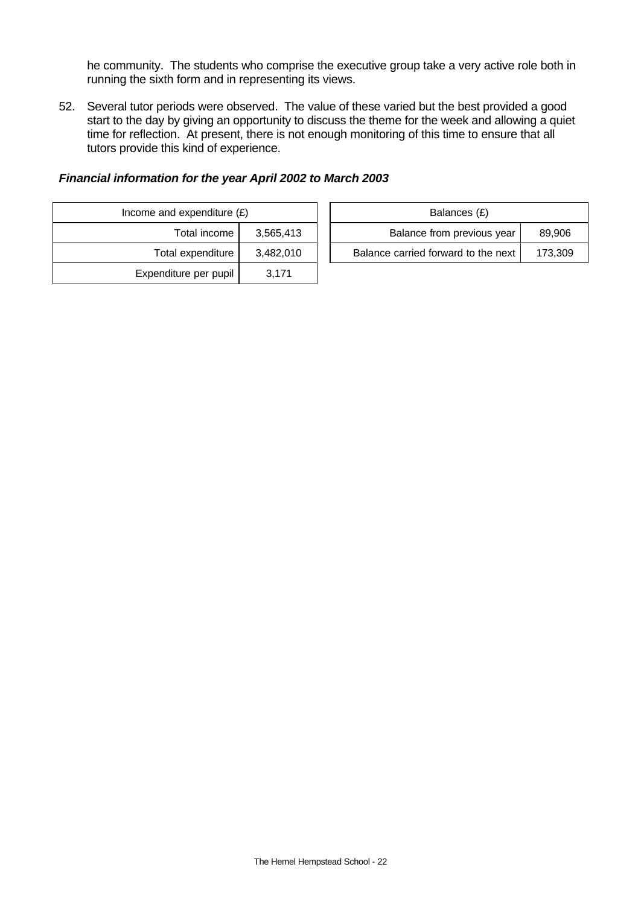he community. The students who comprise the executive group take a very active role both in running the sixth form and in representing its views.

52. Several tutor periods were observed. The value of these varied but the best provided a good start to the day by giving an opportunity to discuss the theme for the week and allowing a quiet time for reflection. At present, there is not enough monitoring of this time to ensure that all tutors provide this kind of experience.

| Balances (£)                   |           | Income and expenditure $(E)$ |  |
|--------------------------------|-----------|------------------------------|--|
| Balance from previous          | 3,565,413 | Total income                 |  |
| Balance carried forward to the | 3,482,010 | Total expenditure            |  |
|                                | 3.171     | Expenditure per pupil        |  |

|  | Financial information for the year April 2002 to March 2003 |
|--|-------------------------------------------------------------|
|--|-------------------------------------------------------------|

| and expenditure (£) |           | Balances (£)                        |         |  |  |  |
|---------------------|-----------|-------------------------------------|---------|--|--|--|
| Total income        | 3.565.413 | Balance from previous year          | 89,906  |  |  |  |
| Total expenditure   | 3.482.010 | Balance carried forward to the next | 173.309 |  |  |  |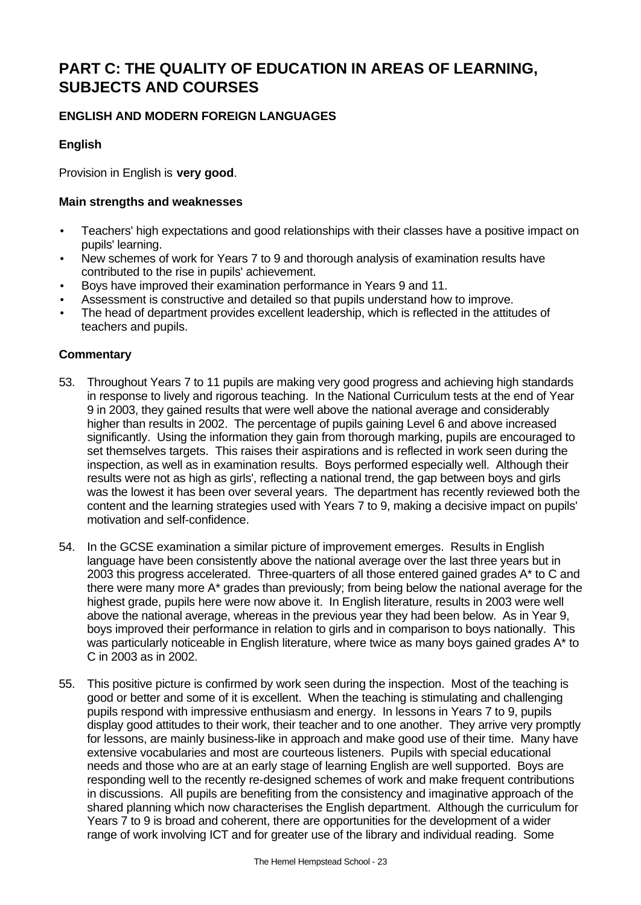# **PART C: THE QUALITY OF EDUCATION IN AREAS OF LEARNING, SUBJECTS AND COURSES**

# **ENGLISH AND MODERN FOREIGN LANGUAGES**

# **English**

Provision in English is **very good**.

### **Main strengths and weaknesses**

- Teachers' high expectations and good relationships with their classes have a positive impact on pupils' learning.
- New schemes of work for Years 7 to 9 and thorough analysis of examination results have contributed to the rise in pupils' achievement.
- Boys have improved their examination performance in Years 9 and 11.
- Assessment is constructive and detailed so that pupils understand how to improve.
- The head of department provides excellent leadership, which is reflected in the attitudes of teachers and pupils.

- 53. Throughout Years 7 to 11 pupils are making very good progress and achieving high standards in response to lively and rigorous teaching. In the National Curriculum tests at the end of Year 9 in 2003, they gained results that were well above the national average and considerably higher than results in 2002. The percentage of pupils gaining Level 6 and above increased significantly. Using the information they gain from thorough marking, pupils are encouraged to set themselves targets. This raises their aspirations and is reflected in work seen during the inspection, as well as in examination results. Boys performed especially well. Although their results were not as high as girls', reflecting a national trend, the gap between boys and girls was the lowest it has been over several years. The department has recently reviewed both the content and the learning strategies used with Years 7 to 9, making a decisive impact on pupils' motivation and self-confidence.
- 54. In the GCSE examination a similar picture of improvement emerges. Results in English language have been consistently above the national average over the last three years but in 2003 this progress accelerated. Three-quarters of all those entered gained grades A\* to C and there were many more A\* grades than previously; from being below the national average for the highest grade, pupils here were now above it. In English literature, results in 2003 were well above the national average, whereas in the previous year they had been below. As in Year 9, boys improved their performance in relation to girls and in comparison to boys nationally. This was particularly noticeable in English literature, where twice as many boys gained grades A\* to C in 2003 as in 2002.
- 55. This positive picture is confirmed by work seen during the inspection. Most of the teaching is good or better and some of it is excellent. When the teaching is stimulating and challenging pupils respond with impressive enthusiasm and energy. In lessons in Years 7 to 9, pupils display good attitudes to their work, their teacher and to one another. They arrive very promptly for lessons, are mainly business-like in approach and make good use of their time. Many have extensive vocabularies and most are courteous listeners. Pupils with special educational needs and those who are at an early stage of learning English are well supported. Boys are responding well to the recently re-designed schemes of work and make frequent contributions in discussions. All pupils are benefiting from the consistency and imaginative approach of the shared planning which now characterises the English department. Although the curriculum for Years 7 to 9 is broad and coherent, there are opportunities for the development of a wider range of work involving ICT and for greater use of the library and individual reading. Some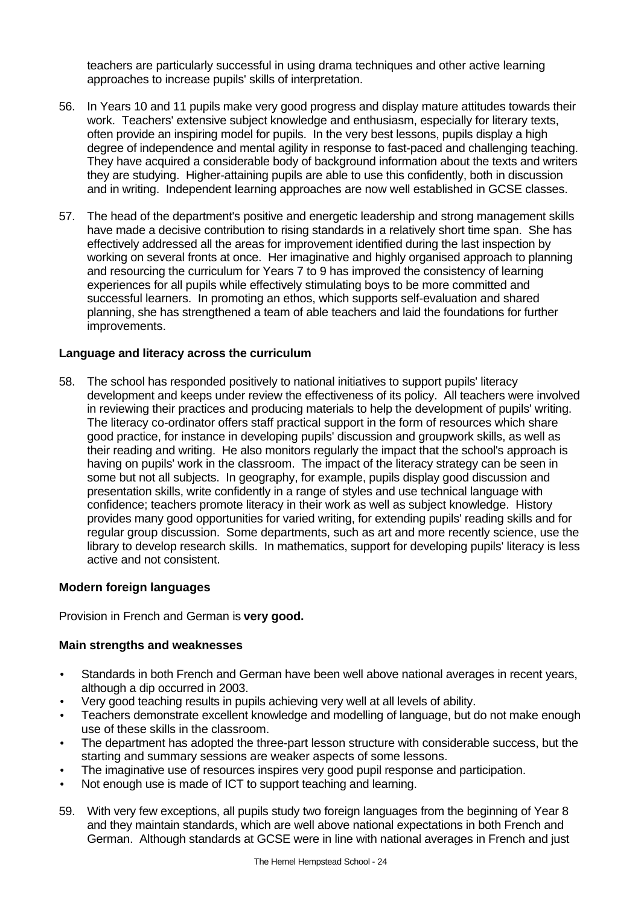teachers are particularly successful in using drama techniques and other active learning approaches to increase pupils' skills of interpretation.

- 56. In Years 10 and 11 pupils make very good progress and display mature attitudes towards their work. Teachers' extensive subject knowledge and enthusiasm, especially for literary texts, often provide an inspiring model for pupils. In the very best lessons, pupils display a high degree of independence and mental agility in response to fast-paced and challenging teaching. They have acquired a considerable body of background information about the texts and writers they are studying. Higher-attaining pupils are able to use this confidently, both in discussion and in writing. Independent learning approaches are now well established in GCSE classes.
- 57. The head of the department's positive and energetic leadership and strong management skills have made a decisive contribution to rising standards in a relatively short time span. She has effectively addressed all the areas for improvement identified during the last inspection by working on several fronts at once. Her imaginative and highly organised approach to planning and resourcing the curriculum for Years 7 to 9 has improved the consistency of learning experiences for all pupils while effectively stimulating boys to be more committed and successful learners. In promoting an ethos, which supports self-evaluation and shared planning, she has strengthened a team of able teachers and laid the foundations for further improvements.

### **Language and literacy across the curriculum**

58. The school has responded positively to national initiatives to support pupils' literacy development and keeps under review the effectiveness of its policy. All teachers were involved in reviewing their practices and producing materials to help the development of pupils' writing. The literacy co-ordinator offers staff practical support in the form of resources which share good practice, for instance in developing pupils' discussion and groupwork skills, as well as their reading and writing. He also monitors regularly the impact that the school's approach is having on pupils' work in the classroom. The impact of the literacy strategy can be seen in some but not all subjects. In geography, for example, pupils display good discussion and presentation skills, write confidently in a range of styles and use technical language with confidence; teachers promote literacy in their work as well as subject knowledge. History provides many good opportunities for varied writing, for extending pupils' reading skills and for regular group discussion. Some departments, such as art and more recently science, use the library to develop research skills. In mathematics, support for developing pupils' literacy is less active and not consistent.

#### **Modern foreign languages**

Provision in French and German is **very good.**

- Standards in both French and German have been well above national averages in recent years, although a dip occurred in 2003.
- Very good teaching results in pupils achieving very well at all levels of ability.
- Teachers demonstrate excellent knowledge and modelling of language, but do not make enough use of these skills in the classroom.
- The department has adopted the three-part lesson structure with considerable success, but the starting and summary sessions are weaker aspects of some lessons.
- The imaginative use of resources inspires very good pupil response and participation.
- Not enough use is made of ICT to support teaching and learning.
- 59. With very few exceptions, all pupils study two foreign languages from the beginning of Year 8 and they maintain standards, which are well above national expectations in both French and German. Although standards at GCSE were in line with national averages in French and just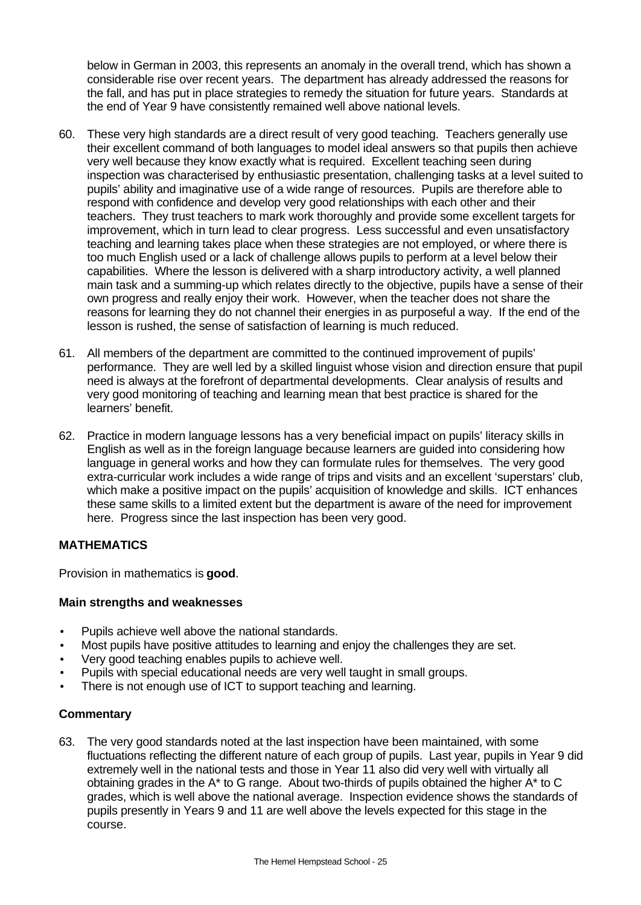below in German in 2003, this represents an anomaly in the overall trend, which has shown a considerable rise over recent years. The department has already addressed the reasons for the fall, and has put in place strategies to remedy the situation for future years. Standards at the end of Year 9 have consistently remained well above national levels.

- 60. These very high standards are a direct result of very good teaching. Teachers generally use their excellent command of both languages to model ideal answers so that pupils then achieve very well because they know exactly what is required. Excellent teaching seen during inspection was characterised by enthusiastic presentation, challenging tasks at a level suited to pupils' ability and imaginative use of a wide range of resources. Pupils are therefore able to respond with confidence and develop very good relationships with each other and their teachers. They trust teachers to mark work thoroughly and provide some excellent targets for improvement, which in turn lead to clear progress. Less successful and even unsatisfactory teaching and learning takes place when these strategies are not employed, or where there is too much English used or a lack of challenge allows pupils to perform at a level below their capabilities. Where the lesson is delivered with a sharp introductory activity, a well planned main task and a summing-up which relates directly to the objective, pupils have a sense of their own progress and really enjoy their work. However, when the teacher does not share the reasons for learning they do not channel their energies in as purposeful a way. If the end of the lesson is rushed, the sense of satisfaction of learning is much reduced.
- 61. All members of the department are committed to the continued improvement of pupils' performance. They are well led by a skilled linguist whose vision and direction ensure that pupil need is always at the forefront of departmental developments. Clear analysis of results and very good monitoring of teaching and learning mean that best practice is shared for the learners' benefit.
- 62. Practice in modern language lessons has a very beneficial impact on pupils' literacy skills in English as well as in the foreign language because learners are guided into considering how language in general works and how they can formulate rules for themselves. The very good extra-curricular work includes a wide range of trips and visits and an excellent 'superstars' club, which make a positive impact on the pupils' acquisition of knowledge and skills. ICT enhances these same skills to a limited extent but the department is aware of the need for improvement here. Progress since the last inspection has been very good.

## **MATHEMATICS**

Provision in mathematics is **good**.

### **Main strengths and weaknesses**

- Pupils achieve well above the national standards.
- Most pupils have positive attitudes to learning and enjoy the challenges they are set.
- Very good teaching enables pupils to achieve well.
- Pupils with special educational needs are very well taught in small groups.
- There is not enough use of ICT to support teaching and learning.

### **Commentary**

63. The very good standards noted at the last inspection have been maintained, with some fluctuations reflecting the different nature of each group of pupils. Last year, pupils in Year 9 did extremely well in the national tests and those in Year 11 also did very well with virtually all obtaining grades in the A\* to G range. About two-thirds of pupils obtained the higher A\* to C grades, which is well above the national average. Inspection evidence shows the standards of pupils presently in Years 9 and 11 are well above the levels expected for this stage in the course.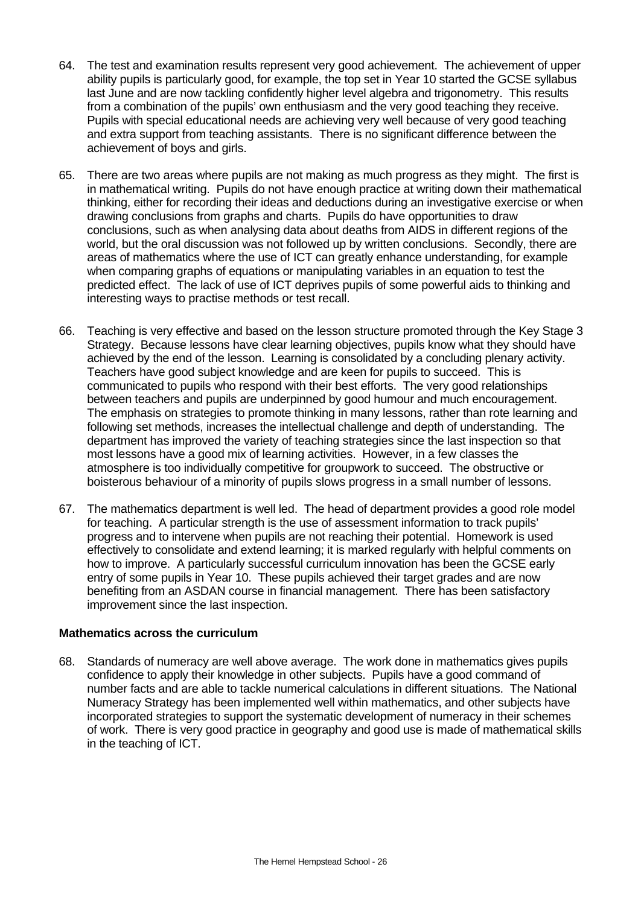- 64. The test and examination results represent very good achievement. The achievement of upper ability pupils is particularly good, for example, the top set in Year 10 started the GCSE syllabus last June and are now tackling confidently higher level algebra and trigonometry. This results from a combination of the pupils' own enthusiasm and the very good teaching they receive. Pupils with special educational needs are achieving very well because of very good teaching and extra support from teaching assistants. There is no significant difference between the achievement of boys and girls.
- 65. There are two areas where pupils are not making as much progress as they might. The first is in mathematical writing. Pupils do not have enough practice at writing down their mathematical thinking, either for recording their ideas and deductions during an investigative exercise or when drawing conclusions from graphs and charts. Pupils do have opportunities to draw conclusions, such as when analysing data about deaths from AIDS in different regions of the world, but the oral discussion was not followed up by written conclusions. Secondly, there are areas of mathematics where the use of ICT can greatly enhance understanding, for example when comparing graphs of equations or manipulating variables in an equation to test the predicted effect. The lack of use of ICT deprives pupils of some powerful aids to thinking and interesting ways to practise methods or test recall.
- 66. Teaching is very effective and based on the lesson structure promoted through the Key Stage 3 Strategy. Because lessons have clear learning objectives, pupils know what they should have achieved by the end of the lesson. Learning is consolidated by a concluding plenary activity. Teachers have good subject knowledge and are keen for pupils to succeed. This is communicated to pupils who respond with their best efforts. The very good relationships between teachers and pupils are underpinned by good humour and much encouragement. The emphasis on strategies to promote thinking in many lessons, rather than rote learning and following set methods, increases the intellectual challenge and depth of understanding. The department has improved the variety of teaching strategies since the last inspection so that most lessons have a good mix of learning activities. However, in a few classes the atmosphere is too individually competitive for groupwork to succeed. The obstructive or boisterous behaviour of a minority of pupils slows progress in a small number of lessons.
- 67. The mathematics department is well led. The head of department provides a good role model for teaching. A particular strength is the use of assessment information to track pupils' progress and to intervene when pupils are not reaching their potential. Homework is used effectively to consolidate and extend learning; it is marked regularly with helpful comments on how to improve. A particularly successful curriculum innovation has been the GCSE early entry of some pupils in Year 10. These pupils achieved their target grades and are now benefiting from an ASDAN course in financial management. There has been satisfactory improvement since the last inspection.

### **Mathematics across the curriculum**

68. Standards of numeracy are well above average. The work done in mathematics gives pupils confidence to apply their knowledge in other subjects. Pupils have a good command of number facts and are able to tackle numerical calculations in different situations. The National Numeracy Strategy has been implemented well within mathematics, and other subjects have incorporated strategies to support the systematic development of numeracy in their schemes of work. There is very good practice in geography and good use is made of mathematical skills in the teaching of ICT.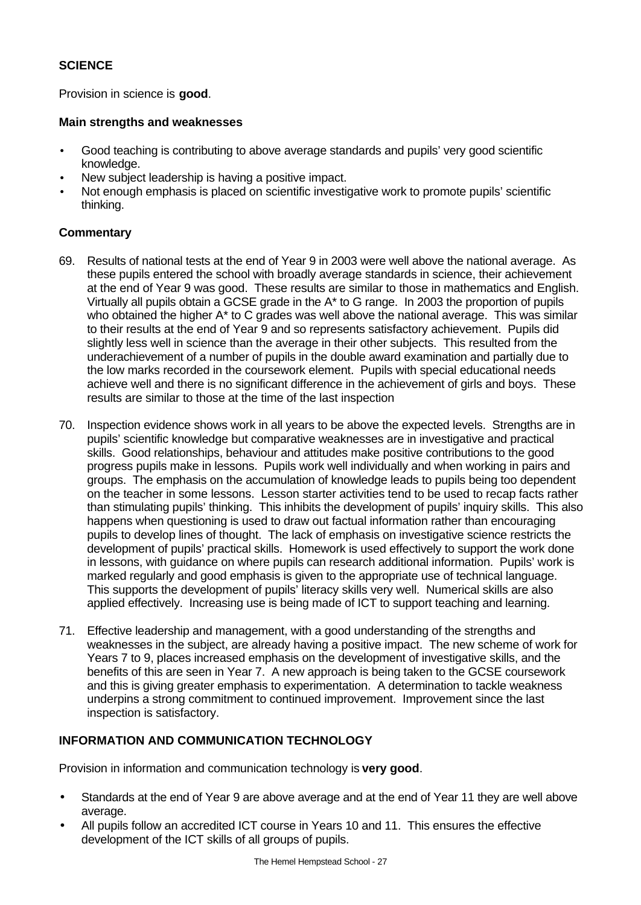### **SCIENCE**

Provision in science is **good**.

#### **Main strengths and weaknesses**

- Good teaching is contributing to above average standards and pupils' very good scientific knowledge.
- New subject leadership is having a positive impact.
- Not enough emphasis is placed on scientific investigative work to promote pupils' scientific thinking.

### **Commentary**

- 69. Results of national tests at the end of Year 9 in 2003 were well above the national average. As these pupils entered the school with broadly average standards in science, their achievement at the end of Year 9 was good. These results are similar to those in mathematics and English. Virtually all pupils obtain a GCSE grade in the A\* to G range. In 2003 the proportion of pupils who obtained the higher A<sup>\*</sup> to C grades was well above the national average. This was similar to their results at the end of Year 9 and so represents satisfactory achievement. Pupils did slightly less well in science than the average in their other subjects. This resulted from the underachievement of a number of pupils in the double award examination and partially due to the low marks recorded in the coursework element. Pupils with special educational needs achieve well and there is no significant difference in the achievement of girls and boys. These results are similar to those at the time of the last inspection
- 70. Inspection evidence shows work in all years to be above the expected levels. Strengths are in pupils' scientific knowledge but comparative weaknesses are in investigative and practical skills. Good relationships, behaviour and attitudes make positive contributions to the good progress pupils make in lessons. Pupils work well individually and when working in pairs and groups. The emphasis on the accumulation of knowledge leads to pupils being too dependent on the teacher in some lessons. Lesson starter activities tend to be used to recap facts rather than stimulating pupils' thinking. This inhibits the development of pupils' inquiry skills. This also happens when questioning is used to draw out factual information rather than encouraging pupils to develop lines of thought. The lack of emphasis on investigative science restricts the development of pupils' practical skills. Homework is used effectively to support the work done in lessons, with guidance on where pupils can research additional information. Pupils' work is marked regularly and good emphasis is given to the appropriate use of technical language. This supports the development of pupils' literacy skills very well. Numerical skills are also applied effectively. Increasing use is being made of ICT to support teaching and learning.
- 71. Effective leadership and management, with a good understanding of the strengths and weaknesses in the subject, are already having a positive impact. The new scheme of work for Years 7 to 9, places increased emphasis on the development of investigative skills, and the benefits of this are seen in Year 7. A new approach is being taken to the GCSE coursework and this is giving greater emphasis to experimentation. A determination to tackle weakness underpins a strong commitment to continued improvement. Improvement since the last inspection is satisfactory.

## **INFORMATION AND COMMUNICATION TECHNOLOGY**

Provision in information and communication technology is **very good**.

- Standards at the end of Year 9 are above average and at the end of Year 11 they are well above average.
- All pupils follow an accredited ICT course in Years 10 and 11. This ensures the effective development of the ICT skills of all groups of pupils.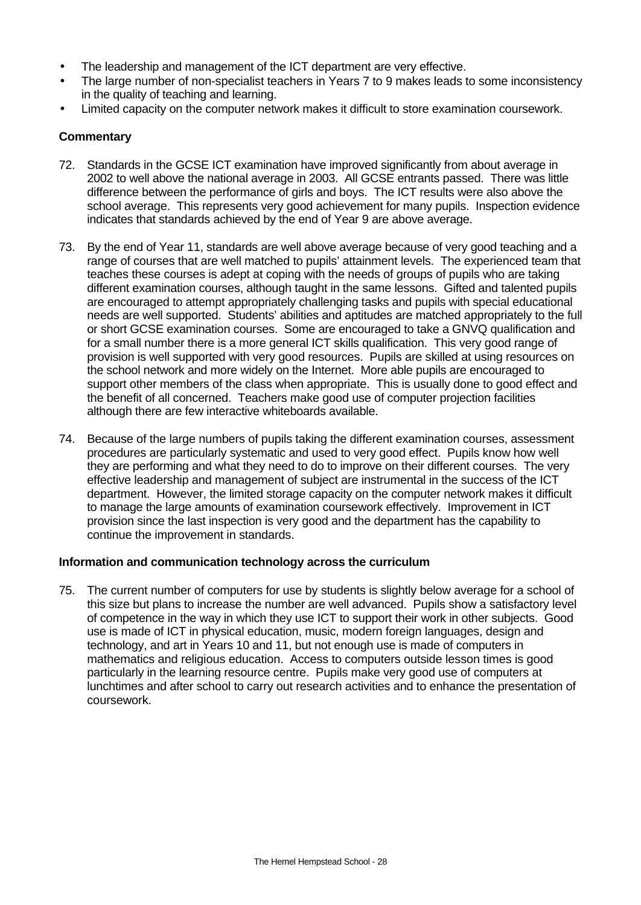- The leadership and management of the ICT department are very effective.
- The large number of non-specialist teachers in Years 7 to 9 makes leads to some inconsistency in the quality of teaching and learning.
- Limited capacity on the computer network makes it difficult to store examination coursework.

- 72. Standards in the GCSE ICT examination have improved significantly from about average in 2002 to well above the national average in 2003. All GCSE entrants passed. There was little difference between the performance of girls and boys. The ICT results were also above the school average. This represents very good achievement for many pupils. Inspection evidence indicates that standards achieved by the end of Year 9 are above average.
- 73. By the end of Year 11, standards are well above average because of very good teaching and a range of courses that are well matched to pupils' attainment levels. The experienced team that teaches these courses is adept at coping with the needs of groups of pupils who are taking different examination courses, although taught in the same lessons. Gifted and talented pupils are encouraged to attempt appropriately challenging tasks and pupils with special educational needs are well supported. Students' abilities and aptitudes are matched appropriately to the full or short GCSE examination courses. Some are encouraged to take a GNVQ qualification and for a small number there is a more general ICT skills qualification. This very good range of provision is well supported with very good resources. Pupils are skilled at using resources on the school network and more widely on the Internet. More able pupils are encouraged to support other members of the class when appropriate. This is usually done to good effect and the benefit of all concerned. Teachers make good use of computer projection facilities although there are few interactive whiteboards available.
- 74. Because of the large numbers of pupils taking the different examination courses, assessment procedures are particularly systematic and used to very good effect. Pupils know how well they are performing and what they need to do to improve on their different courses. The very effective leadership and management of subject are instrumental in the success of the ICT department. However, the limited storage capacity on the computer network makes it difficult to manage the large amounts of examination coursework effectively. Improvement in ICT provision since the last inspection is very good and the department has the capability to continue the improvement in standards.

### **Information and communication technology across the curriculum**

75. The current number of computers for use by students is slightly below average for a school of this size but plans to increase the number are well advanced. Pupils show a satisfactory level of competence in the way in which they use ICT to support their work in other subjects. Good use is made of ICT in physical education, music, modern foreign languages, design and technology, and art in Years 10 and 11, but not enough use is made of computers in mathematics and religious education. Access to computers outside lesson times is good particularly in the learning resource centre. Pupils make very good use of computers at lunchtimes and after school to carry out research activities and to enhance the presentation of coursework.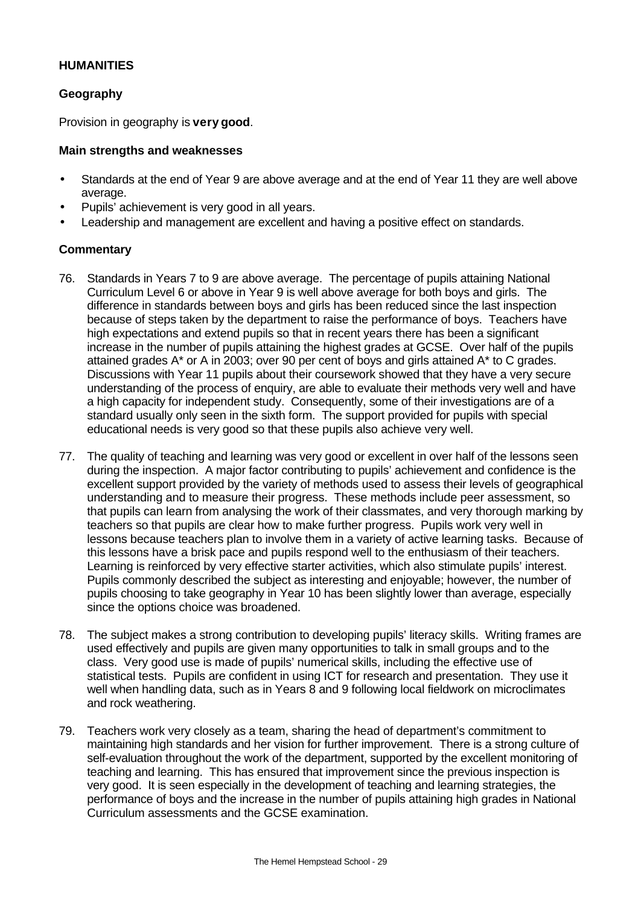### **HUMANITIES**

### **Geography**

Provision in geography is **very good**.

#### **Main strengths and weaknesses**

- Standards at the end of Year 9 are above average and at the end of Year 11 they are well above average.
- Pupils' achievement is very good in all years.
- Leadership and management are excellent and having a positive effect on standards.

- 76. Standards in Years 7 to 9 are above average. The percentage of pupils attaining National Curriculum Level 6 or above in Year 9 is well above average for both boys and girls. The difference in standards between boys and girls has been reduced since the last inspection because of steps taken by the department to raise the performance of boys. Teachers have high expectations and extend pupils so that in recent years there has been a significant increase in the number of pupils attaining the highest grades at GCSE. Over half of the pupils attained grades A\* or A in 2003; over 90 per cent of boys and girls attained A\* to C grades. Discussions with Year 11 pupils about their coursework showed that they have a very secure understanding of the process of enquiry, are able to evaluate their methods very well and have a high capacity for independent study. Consequently, some of their investigations are of a standard usually only seen in the sixth form. The support provided for pupils with special educational needs is very good so that these pupils also achieve very well.
- 77. The quality of teaching and learning was very good or excellent in over half of the lessons seen during the inspection. A major factor contributing to pupils' achievement and confidence is the excellent support provided by the variety of methods used to assess their levels of geographical understanding and to measure their progress. These methods include peer assessment, so that pupils can learn from analysing the work of their classmates, and very thorough marking by teachers so that pupils are clear how to make further progress. Pupils work very well in lessons because teachers plan to involve them in a variety of active learning tasks. Because of this lessons have a brisk pace and pupils respond well to the enthusiasm of their teachers. Learning is reinforced by very effective starter activities, which also stimulate pupils' interest. Pupils commonly described the subject as interesting and enjoyable; however, the number of pupils choosing to take geography in Year 10 has been slightly lower than average, especially since the options choice was broadened.
- 78. The subject makes a strong contribution to developing pupils' literacy skills. Writing frames are used effectively and pupils are given many opportunities to talk in small groups and to the class. Very good use is made of pupils' numerical skills, including the effective use of statistical tests. Pupils are confident in using ICT for research and presentation. They use it well when handling data, such as in Years 8 and 9 following local fieldwork on microclimates and rock weathering.
- 79. Teachers work very closely as a team, sharing the head of department's commitment to maintaining high standards and her vision for further improvement. There is a strong culture of self-evaluation throughout the work of the department, supported by the excellent monitoring of teaching and learning. This has ensured that improvement since the previous inspection is very good. It is seen especially in the development of teaching and learning strategies, the performance of boys and the increase in the number of pupils attaining high grades in National Curriculum assessments and the GCSE examination.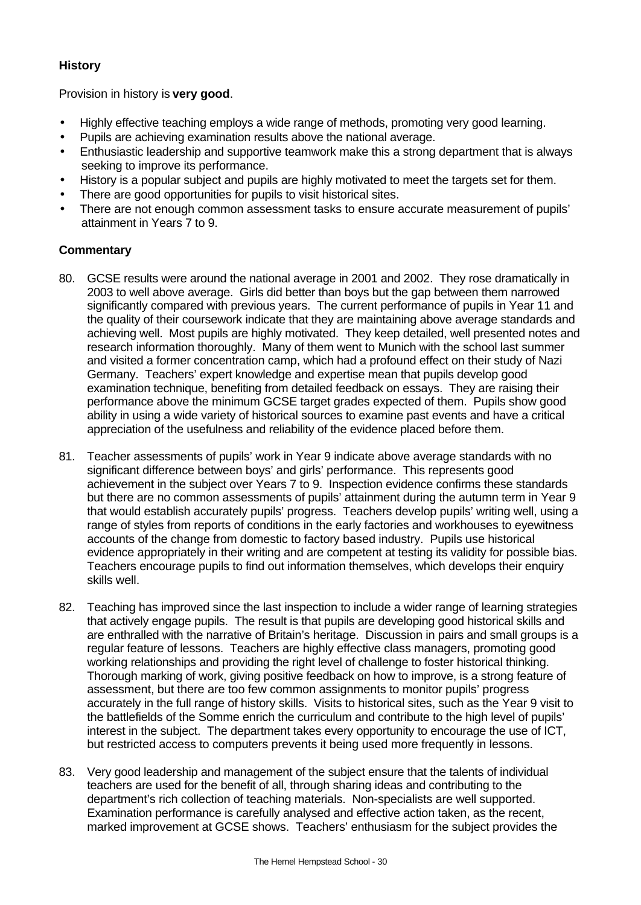### **History**

Provision in history is **very good**.

- Highly effective teaching employs a wide range of methods, promoting very good learning.
- Pupils are achieving examination results above the national average.
- Enthusiastic leadership and supportive teamwork make this a strong department that is always seeking to improve its performance.
- History is a popular subject and pupils are highly motivated to meet the targets set for them.
- There are good opportunities for pupils to visit historical sites.
- There are not enough common assessment tasks to ensure accurate measurement of pupils' attainment in Years 7 to 9.

- 80. GCSE results were around the national average in 2001 and 2002. They rose dramatically in 2003 to well above average. Girls did better than boys but the gap between them narrowed significantly compared with previous years. The current performance of pupils in Year 11 and the quality of their coursework indicate that they are maintaining above average standards and achieving well. Most pupils are highly motivated. They keep detailed, well presented notes and research information thoroughly. Many of them went to Munich with the school last summer and visited a former concentration camp, which had a profound effect on their study of Nazi Germany. Teachers' expert knowledge and expertise mean that pupils develop good examination technique, benefiting from detailed feedback on essays. They are raising their performance above the minimum GCSE target grades expected of them. Pupils show good ability in using a wide variety of historical sources to examine past events and have a critical appreciation of the usefulness and reliability of the evidence placed before them.
- 81. Teacher assessments of pupils' work in Year 9 indicate above average standards with no significant difference between boys' and girls' performance. This represents good achievement in the subject over Years 7 to 9. Inspection evidence confirms these standards but there are no common assessments of pupils' attainment during the autumn term in Year 9 that would establish accurately pupils' progress. Teachers develop pupils' writing well, using a range of styles from reports of conditions in the early factories and workhouses to eyewitness accounts of the change from domestic to factory based industry. Pupils use historical evidence appropriately in their writing and are competent at testing its validity for possible bias. Teachers encourage pupils to find out information themselves, which develops their enquiry skills well.
- 82. Teaching has improved since the last inspection to include a wider range of learning strategies that actively engage pupils. The result is that pupils are developing good historical skills and are enthralled with the narrative of Britain's heritage. Discussion in pairs and small groups is a regular feature of lessons. Teachers are highly effective class managers, promoting good working relationships and providing the right level of challenge to foster historical thinking. Thorough marking of work, giving positive feedback on how to improve, is a strong feature of assessment, but there are too few common assignments to monitor pupils' progress accurately in the full range of history skills. Visits to historical sites, such as the Year 9 visit to the battlefields of the Somme enrich the curriculum and contribute to the high level of pupils' interest in the subject. The department takes every opportunity to encourage the use of ICT, but restricted access to computers prevents it being used more frequently in lessons.
- 83. Very good leadership and management of the subject ensure that the talents of individual teachers are used for the benefit of all, through sharing ideas and contributing to the department's rich collection of teaching materials. Non-specialists are well supported. Examination performance is carefully analysed and effective action taken, as the recent, marked improvement at GCSE shows. Teachers' enthusiasm for the subject provides the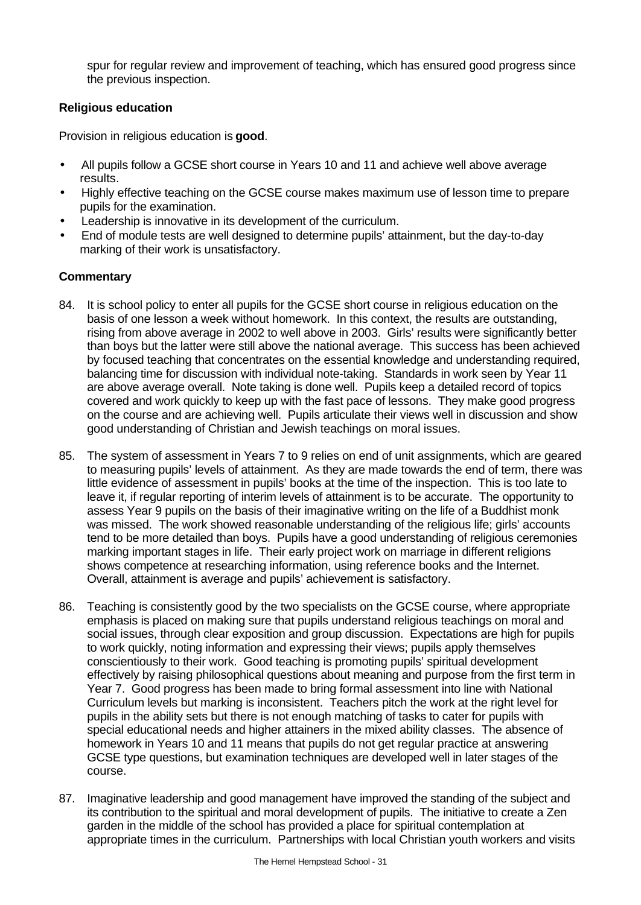spur for regular review and improvement of teaching, which has ensured good progress since the previous inspection.

### **Religious education**

Provision in religious education is **good**.

- All pupils follow a GCSE short course in Years 10 and 11 and achieve well above average results.
- Highly effective teaching on the GCSE course makes maximum use of lesson time to prepare pupils for the examination.
- Leadership is innovative in its development of the curriculum.
- End of module tests are well designed to determine pupils' attainment, but the day-to-day marking of their work is unsatisfactory.

- 84. It is school policy to enter all pupils for the GCSE short course in religious education on the basis of one lesson a week without homework. In this context, the results are outstanding, rising from above average in 2002 to well above in 2003. Girls' results were significantly better than boys but the latter were still above the national average. This success has been achieved by focused teaching that concentrates on the essential knowledge and understanding required, balancing time for discussion with individual note-taking. Standards in work seen by Year 11 are above average overall. Note taking is done well. Pupils keep a detailed record of topics covered and work quickly to keep up with the fast pace of lessons. They make good progress on the course and are achieving well. Pupils articulate their views well in discussion and show good understanding of Christian and Jewish teachings on moral issues.
- 85. The system of assessment in Years 7 to 9 relies on end of unit assignments, which are geared to measuring pupils' levels of attainment. As they are made towards the end of term, there was little evidence of assessment in pupils' books at the time of the inspection. This is too late to leave it, if regular reporting of interim levels of attainment is to be accurate. The opportunity to assess Year 9 pupils on the basis of their imaginative writing on the life of a Buddhist monk was missed. The work showed reasonable understanding of the religious life; girls' accounts tend to be more detailed than boys. Pupils have a good understanding of religious ceremonies marking important stages in life. Their early project work on marriage in different religions shows competence at researching information, using reference books and the Internet. Overall, attainment is average and pupils' achievement is satisfactory.
- 86. Teaching is consistently good by the two specialists on the GCSE course, where appropriate emphasis is placed on making sure that pupils understand religious teachings on moral and social issues, through clear exposition and group discussion. Expectations are high for pupils to work quickly, noting information and expressing their views; pupils apply themselves conscientiously to their work. Good teaching is promoting pupils' spiritual development effectively by raising philosophical questions about meaning and purpose from the first term in Year 7. Good progress has been made to bring formal assessment into line with National Curriculum levels but marking is inconsistent. Teachers pitch the work at the right level for pupils in the ability sets but there is not enough matching of tasks to cater for pupils with special educational needs and higher attainers in the mixed ability classes. The absence of homework in Years 10 and 11 means that pupils do not get regular practice at answering GCSE type questions, but examination techniques are developed well in later stages of the course.
- 87. Imaginative leadership and good management have improved the standing of the subject and its contribution to the spiritual and moral development of pupils. The initiative to create a Zen garden in the middle of the school has provided a place for spiritual contemplation at appropriate times in the curriculum. Partnerships with local Christian youth workers and visits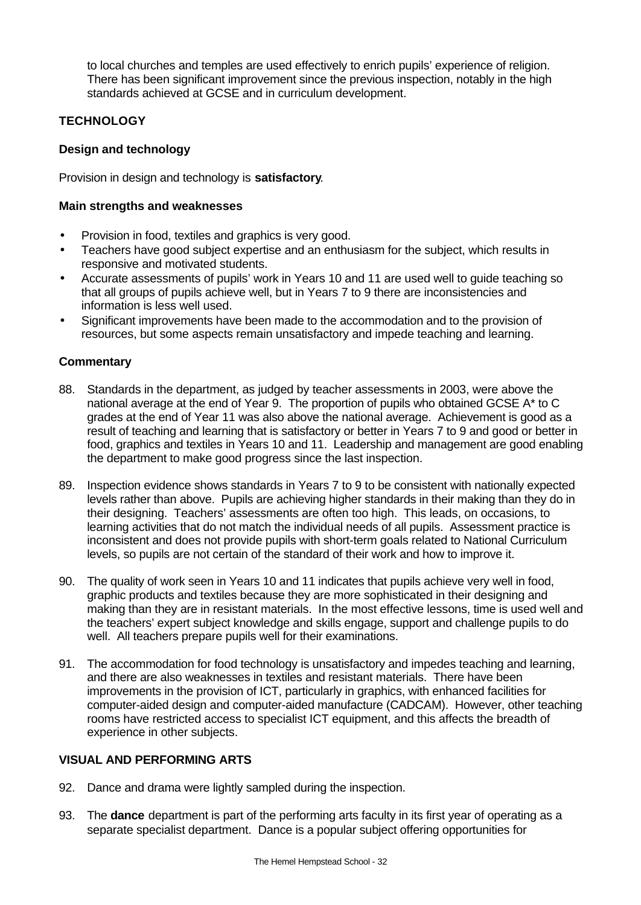to local churches and temples are used effectively to enrich pupils' experience of religion. There has been significant improvement since the previous inspection, notably in the high standards achieved at GCSE and in curriculum development.

# **TECHNOLOGY**

### **Design and technology**

Provision in design and technology is **satisfactory**.

### **Main strengths and weaknesses**

- Provision in food, textiles and graphics is very good.
- Teachers have good subject expertise and an enthusiasm for the subject, which results in responsive and motivated students.
- Accurate assessments of pupils' work in Years 10 and 11 are used well to guide teaching so that all groups of pupils achieve well, but in Years 7 to 9 there are inconsistencies and information is less well used.
- Significant improvements have been made to the accommodation and to the provision of resources, but some aspects remain unsatisfactory and impede teaching and learning.

### **Commentary**

- 88. Standards in the department, as judged by teacher assessments in 2003, were above the national average at the end of Year 9. The proportion of pupils who obtained GCSE A\* to C grades at the end of Year 11 was also above the national average. Achievement is good as a result of teaching and learning that is satisfactory or better in Years 7 to 9 and good or better in food, graphics and textiles in Years 10 and 11. Leadership and management are good enabling the department to make good progress since the last inspection.
- 89. Inspection evidence shows standards in Years 7 to 9 to be consistent with nationally expected levels rather than above. Pupils are achieving higher standards in their making than they do in their designing. Teachers' assessments are often too high. This leads, on occasions, to learning activities that do not match the individual needs of all pupils. Assessment practice is inconsistent and does not provide pupils with short-term goals related to National Curriculum levels, so pupils are not certain of the standard of their work and how to improve it.
- 90. The quality of work seen in Years 10 and 11 indicates that pupils achieve very well in food, graphic products and textiles because they are more sophisticated in their designing and making than they are in resistant materials. In the most effective lessons, time is used well and the teachers' expert subject knowledge and skills engage, support and challenge pupils to do well. All teachers prepare pupils well for their examinations.
- 91. The accommodation for food technology is unsatisfactory and impedes teaching and learning, and there are also weaknesses in textiles and resistant materials. There have been improvements in the provision of ICT, particularly in graphics, with enhanced facilities for computer-aided design and computer-aided manufacture (CADCAM). However, other teaching rooms have restricted access to specialist ICT equipment, and this affects the breadth of experience in other subjects.

### **VISUAL AND PERFORMING ARTS**

- 92. Dance and drama were lightly sampled during the inspection.
- 93. The **dance** department is part of the performing arts faculty in its first year of operating as a separate specialist department.Dance is a popular subject offering opportunities for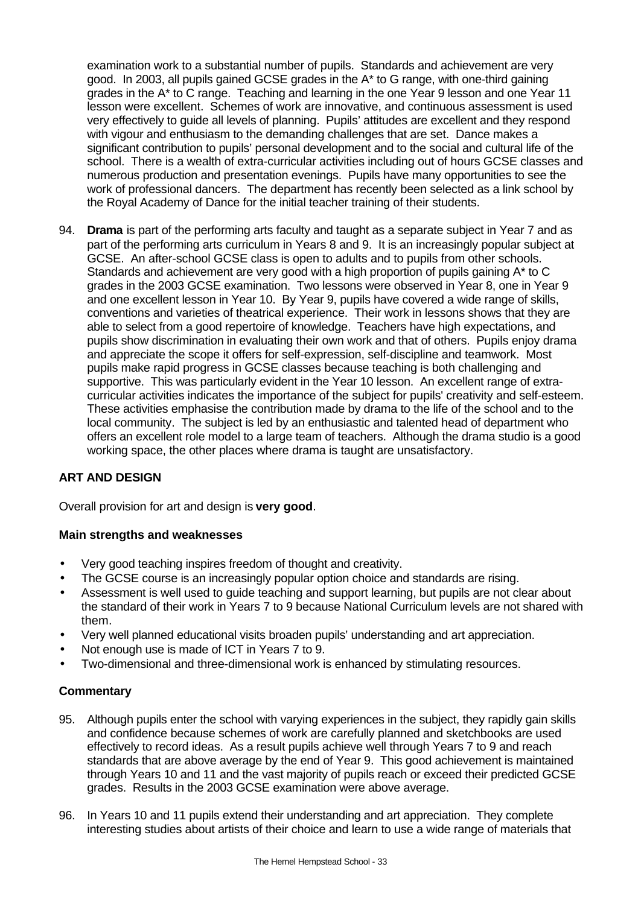examination work to a substantial number of pupils. Standards and achievement are very good. In 2003, all pupils gained GCSE grades in the A\* to G range, with one-third gaining grades in the A\* to C range. Teaching and learning in the one Year 9 lesson and one Year 11 lesson were excellent. Schemes of work are innovative, and continuous assessment is used very effectively to guide all levels of planning. Pupils' attitudes are excellent and they respond with vigour and enthusiasm to the demanding challenges that are set. Dance makes a significant contribution to pupils' personal development and to the social and cultural life of the school. There is a wealth of extra-curricular activities including out of hours GCSE classes and numerous production and presentation evenings. Pupils have many opportunities to see the work of professional dancers. The department has recently been selected as a link school by the Royal Academy of Dance for the initial teacher training of their students.

94. **Drama** is part of the performing arts faculty and taught as a separate subject in Year 7 and as part of the performing arts curriculum in Years 8 and 9. It is an increasingly popular subject at GCSE. An after-school GCSE class is open to adults and to pupils from other schools. Standards and achievement are very good with a high proportion of pupils gaining A\* to C grades in the 2003 GCSE examination. Two lessons were observed in Year 8, one in Year 9 and one excellent lesson in Year 10. By Year 9, pupils have covered a wide range of skills, conventions and varieties of theatrical experience. Their work in lessons shows that they are able to select from a good repertoire of knowledge. Teachers have high expectations, and pupils show discrimination in evaluating their own work and that of others. Pupils enjoy drama and appreciate the scope it offers for self-expression, self-discipline and teamwork. Most pupils make rapid progress in GCSE classes because teaching is both challenging and supportive. This was particularly evident in the Year 10 lesson. An excellent range of extracurricular activities indicates the importance of the subject for pupils' creativity and self-esteem. These activities emphasise the contribution made by drama to the life of the school and to the local community. The subject is led by an enthusiastic and talented head of department who offers an excellent role model to a large team of teachers. Although the drama studio is a good working space, the other places where drama is taught are unsatisfactory.

## **ART AND DESIGN**

Overall provision for art and design is **very good**.

### **Main strengths and weaknesses**

- Very good teaching inspires freedom of thought and creativity.
- The GCSE course is an increasingly popular option choice and standards are rising.
- Assessment is well used to guide teaching and support learning, but pupils are not clear about the standard of their work in Years 7 to 9 because National Curriculum levels are not shared with them.
- Very well planned educational visits broaden pupils' understanding and art appreciation.
- Not enough use is made of ICT in Years 7 to 9.
- Two-dimensional and three-dimensional work is enhanced by stimulating resources.

- 95. Although pupils enter the school with varying experiences in the subject, they rapidly gain skills and confidence because schemes of work are carefully planned and sketchbooks are used effectively to record ideas. As a result pupils achieve well through Years 7 to 9 and reach standards that are above average by the end of Year 9. This good achievement is maintained through Years 10 and 11 and the vast majority of pupils reach or exceed their predicted GCSE grades. Results in the 2003 GCSE examination were above average.
- 96. In Years 10 and 11 pupils extend their understanding and art appreciation. They complete interesting studies about artists of their choice and learn to use a wide range of materials that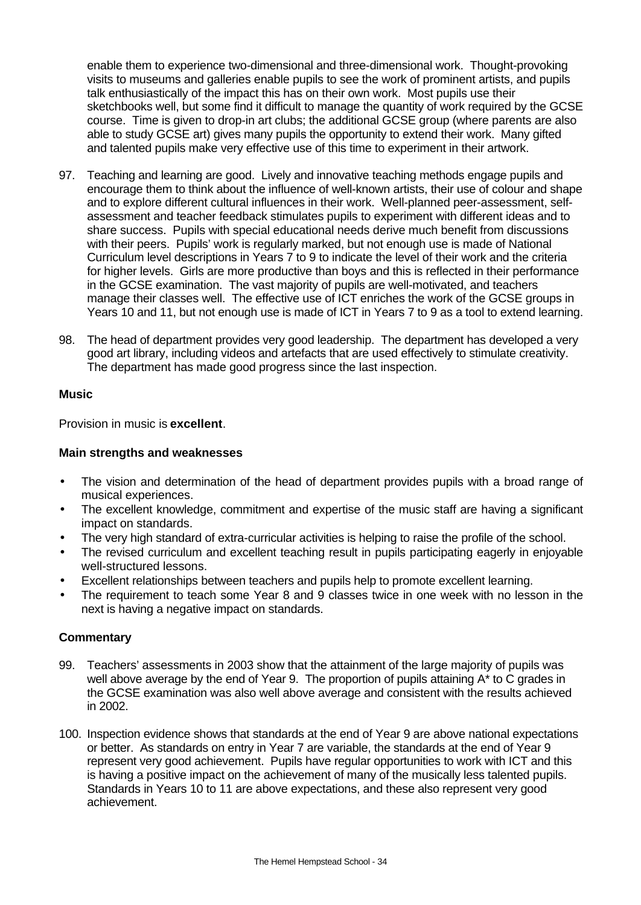enable them to experience two-dimensional and three-dimensional work. Thought-provoking visits to museums and galleries enable pupils to see the work of prominent artists, and pupils talk enthusiastically of the impact this has on their own work. Most pupils use their sketchbooks well, but some find it difficult to manage the quantity of work required by the GCSE course. Time is given to drop-in art clubs; the additional GCSE group (where parents are also able to study GCSE art) gives many pupils the opportunity to extend their work. Many gifted and talented pupils make very effective use of this time to experiment in their artwork.

- 97. Teaching and learning are good. Lively and innovative teaching methods engage pupils and encourage them to think about the influence of well-known artists, their use of colour and shape and to explore different cultural influences in their work. Well-planned peer-assessment, selfassessment and teacher feedback stimulates pupils to experiment with different ideas and to share success. Pupils with special educational needs derive much benefit from discussions with their peers. Pupils' work is regularly marked, but not enough use is made of National Curriculum level descriptions in Years 7 to 9 to indicate the level of their work and the criteria for higher levels. Girls are more productive than boys and this is reflected in their performance in the GCSE examination. The vast majority of pupils are well-motivated, and teachers manage their classes well. The effective use of ICT enriches the work of the GCSE groups in Years 10 and 11, but not enough use is made of ICT in Years 7 to 9 as a tool to extend learning.
- 98. The head of department provides very good leadership. The department has developed a very good art library, including videos and artefacts that are used effectively to stimulate creativity. The department has made good progress since the last inspection.

### **Music**

Provision in music is **excellent**.

### **Main strengths and weaknesses**

- The vision and determination of the head of department provides pupils with a broad range of musical experiences.
- The excellent knowledge, commitment and expertise of the music staff are having a significant impact on standards.
- The very high standard of extra-curricular activities is helping to raise the profile of the school.
- The revised curriculum and excellent teaching result in pupils participating eagerly in enjoyable well-structured lessons.
- Excellent relationships between teachers and pupils help to promote excellent learning.
- The requirement to teach some Year 8 and 9 classes twice in one week with no lesson in the next is having a negative impact on standards.

- 99. Teachers' assessments in 2003 show that the attainment of the large majority of pupils was well above average by the end of Year 9. The proportion of pupils attaining A<sup>\*</sup> to C grades in the GCSE examination was also well above average and consistent with the results achieved in 2002.
- 100. Inspection evidence shows that standards at the end of Year 9 are above national expectations or better. As standards on entry in Year 7 are variable, the standards at the end of Year 9 represent very good achievement. Pupils have regular opportunities to work with ICT and this is having a positive impact on the achievement of many of the musically less talented pupils. Standards in Years 10 to 11 are above expectations, and these also represent very good achievement.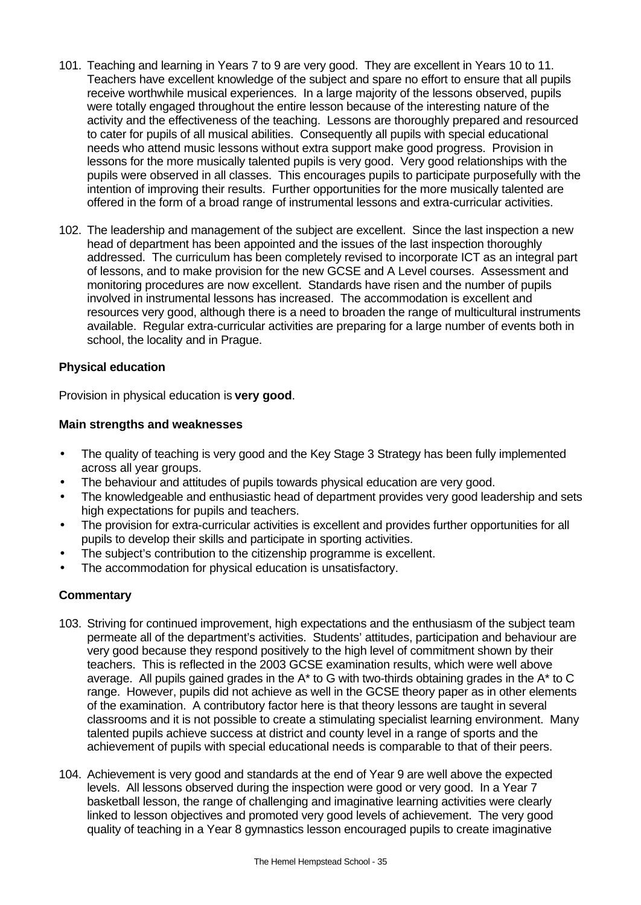- 101. Teaching and learning in Years 7 to 9 are very good. They are excellent in Years 10 to 11. Teachers have excellent knowledge of the subject and spare no effort to ensure that all pupils receive worthwhile musical experiences. In a large majority of the lessons observed, pupils were totally engaged throughout the entire lesson because of the interesting nature of the activity and the effectiveness of the teaching. Lessons are thoroughly prepared and resourced to cater for pupils of all musical abilities. Consequently all pupils with special educational needs who attend music lessons without extra support make good progress. Provision in lessons for the more musically talented pupils is very good. Very good relationships with the pupils were observed in all classes. This encourages pupils to participate purposefully with the intention of improving their results. Further opportunities for the more musically talented are offered in the form of a broad range of instrumental lessons and extra-curricular activities.
- 102. The leadership and management of the subject are excellent. Since the last inspection a new head of department has been appointed and the issues of the last inspection thoroughly addressed. The curriculum has been completely revised to incorporate ICT as an integral part of lessons, and to make provision for the new GCSE and A Level courses. Assessment and monitoring procedures are now excellent. Standards have risen and the number of pupils involved in instrumental lessons has increased. The accommodation is excellent and resources very good, although there is a need to broaden the range of multicultural instruments available. Regular extra-curricular activities are preparing for a large number of events both in school, the locality and in Prague.

#### **Physical education**

Provision in physical education is **very good**.

#### **Main strengths and weaknesses**

- The quality of teaching is very good and the Key Stage 3 Strategy has been fully implemented across all year groups.
- The behaviour and attitudes of pupils towards physical education are very good.
- The knowledgeable and enthusiastic head of department provides very good leadership and sets high expectations for pupils and teachers.
- The provision for extra-curricular activities is excellent and provides further opportunities for all pupils to develop their skills and participate in sporting activities.
- The subject's contribution to the citizenship programme is excellent.
- The accommodation for physical education is unsatisfactory.

- 103. Striving for continued improvement, high expectations and the enthusiasm of the subject team permeate all of the department's activities. Students' attitudes, participation and behaviour are very good because they respond positively to the high level of commitment shown by their teachers. This is reflected in the 2003 GCSE examination results, which were well above average. All pupils gained grades in the  $A^*$  to G with two-thirds obtaining grades in the  $A^*$  to C range. However, pupils did not achieve as well in the GCSE theory paper as in other elements of the examination. A contributory factor here is that theory lessons are taught in several classrooms and it is not possible to create a stimulating specialist learning environment. Many talented pupils achieve success at district and county level in a range of sports and the achievement of pupils with special educational needs is comparable to that of their peers.
- 104. Achievement is very good and standards at the end of Year 9 are well above the expected levels. All lessons observed during the inspection were good or very good. In a Year 7 basketball lesson, the range of challenging and imaginative learning activities were clearly linked to lesson objectives and promoted very good levels of achievement. The very good quality of teaching in a Year 8 gymnastics lesson encouraged pupils to create imaginative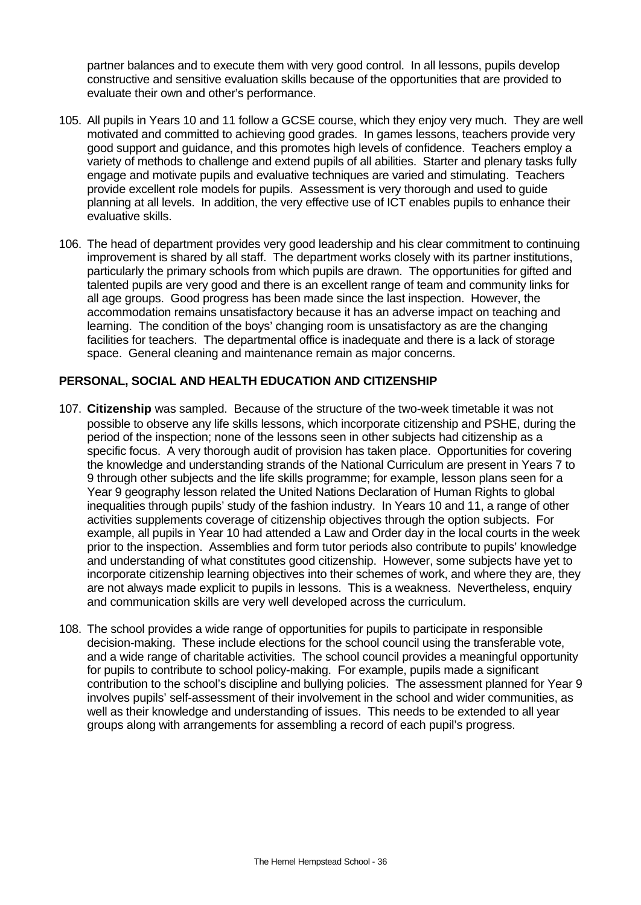partner balances and to execute them with very good control. In all lessons, pupils develop constructive and sensitive evaluation skills because of the opportunities that are provided to evaluate their own and other's performance.

- 105. All pupils in Years 10 and 11 follow a GCSE course, which they enjoy very much. They are well motivated and committed to achieving good grades. In games lessons, teachers provide very good support and guidance, and this promotes high levels of confidence. Teachers employ a variety of methods to challenge and extend pupils of all abilities. Starter and plenary tasks fully engage and motivate pupils and evaluative techniques are varied and stimulating. Teachers provide excellent role models for pupils. Assessment is very thorough and used to guide planning at all levels. In addition, the very effective use of ICT enables pupils to enhance their evaluative skills.
- 106. The head of department provides very good leadership and his clear commitment to continuing improvement is shared by all staff. The department works closely with its partner institutions, particularly the primary schools from which pupils are drawn. The opportunities for gifted and talented pupils are very good and there is an excellent range of team and community links for all age groups. Good progress has been made since the last inspection. However, the accommodation remains unsatisfactory because it has an adverse impact on teaching and learning. The condition of the boys' changing room is unsatisfactory as are the changing facilities for teachers. The departmental office is inadequate and there is a lack of storage space. General cleaning and maintenance remain as major concerns.

### **PERSONAL, SOCIAL AND HEALTH EDUCATION AND CITIZENSHIP**

- 107. **Citizenship** was sampled. Because of the structure of the two-week timetable it was not possible to observe any life skills lessons, which incorporate citizenship and PSHE, during the period of the inspection; none of the lessons seen in other subjects had citizenship as a specific focus. A very thorough audit of provision has taken place. Opportunities for covering the knowledge and understanding strands of the National Curriculum are present in Years 7 to 9 through other subjects and the life skills programme; for example, lesson plans seen for a Year 9 geography lesson related the United Nations Declaration of Human Rights to global inequalities through pupils' study of the fashion industry. In Years 10 and 11, a range of other activities supplements coverage of citizenship objectives through the option subjects. For example, all pupils in Year 10 had attended a Law and Order day in the local courts in the week prior to the inspection. Assemblies and form tutor periods also contribute to pupils' knowledge and understanding of what constitutes good citizenship. However, some subjects have yet to incorporate citizenship learning objectives into their schemes of work, and where they are, they are not always made explicit to pupils in lessons. This is a weakness. Nevertheless, enquiry and communication skills are very well developed across the curriculum.
- 108. The school provides a wide range of opportunities for pupils to participate in responsible decision-making. These include elections for the school council using the transferable vote, and a wide range of charitable activities. The school council provides a meaningful opportunity for pupils to contribute to school policy-making. For example, pupils made a significant contribution to the school's discipline and bullying policies. The assessment planned for Year 9 involves pupils' self-assessment of their involvement in the school and wider communities, as well as their knowledge and understanding of issues. This needs to be extended to all year groups along with arrangements for assembling a record of each pupil's progress.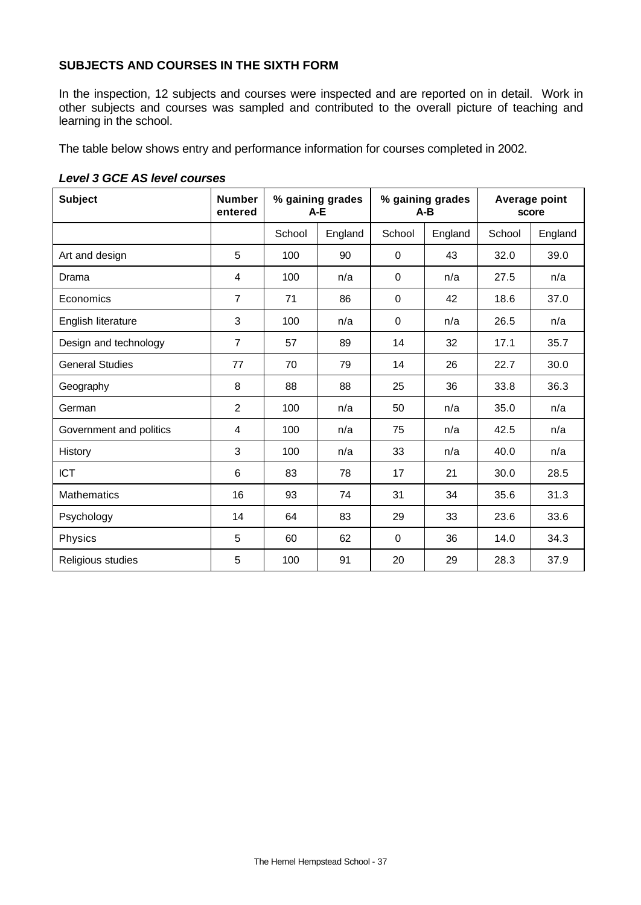# **SUBJECTS AND COURSES IN THE SIXTH FORM**

In the inspection, 12 subjects and courses were inspected and are reported on in detail. Work in other subjects and courses was sampled and contributed to the overall picture of teaching and learning in the school.

The table below shows entry and performance information for courses completed in 2002.

| <b>Subject</b>          | <b>Number</b><br>entered | % gaining grades<br>$A-E$ |         | % gaining grades<br>$A-B$ |         | Average point<br>score |         |
|-------------------------|--------------------------|---------------------------|---------|---------------------------|---------|------------------------|---------|
|                         |                          | School                    | England | School                    | England | School                 | England |
| Art and design          | 5                        | 100                       | 90      | 0                         | 43      | 32.0                   | 39.0    |
| Drama                   | 4                        | 100                       | n/a     | 0                         | n/a     | 27.5                   | n/a     |
| Economics               | $\overline{7}$           | 71                        | 86      | $\mathbf 0$               | 42      | 18.6                   | 37.0    |
| English literature      | 3                        | 100                       | n/a     | $\mathbf 0$               | n/a     | 26.5                   | n/a     |
| Design and technology   | $\overline{7}$           | 57                        | 89      | 14                        | 32      | 17.1                   | 35.7    |
| <b>General Studies</b>  | 77                       | 70                        | 79      | 14                        | 26      | 22.7                   | 30.0    |
| Geography               | 8                        | 88                        | 88      | 25                        | 36      | 33.8                   | 36.3    |
| German                  | $\overline{2}$           | 100                       | n/a     | 50                        | n/a     | 35.0                   | n/a     |
| Government and politics | 4                        | 100                       | n/a     | 75                        | n/a     | 42.5                   | n/a     |
| History                 | 3                        | 100                       | n/a     | 33                        | n/a     | 40.0                   | n/a     |
| <b>ICT</b>              | 6                        | 83                        | 78      | 17                        | 21      | 30.0                   | 28.5    |
| <b>Mathematics</b>      | 16                       | 93                        | 74      | 31                        | 34      | 35.6                   | 31.3    |
| Psychology              | 14                       | 64                        | 83      | 29                        | 33      | 23.6                   | 33.6    |
| Physics                 | 5                        | 60                        | 62      | $\mathbf 0$               | 36      | 14.0                   | 34.3    |
| Religious studies       | 5                        | 100                       | 91      | 20                        | 29      | 28.3                   | 37.9    |

#### *Level 3 GCE AS level courses*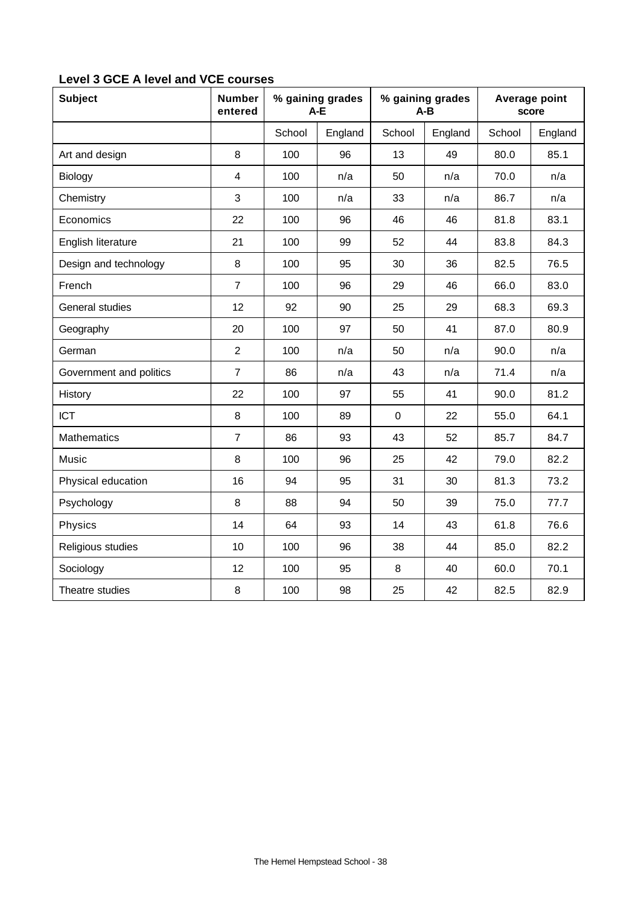| <b>Subject</b>          | <b>Number</b><br>entered | % gaining grades<br>A-E |         | % gaining grades<br>$A-B$ |         | Average point<br>score |         |
|-------------------------|--------------------------|-------------------------|---------|---------------------------|---------|------------------------|---------|
|                         |                          | School                  | England | School                    | England | School                 | England |
| Art and design          | 8                        | 100                     | 96      | 13                        | 49      | 80.0                   | 85.1    |
| Biology                 | 4                        | 100                     | n/a     | 50                        | n/a     | 70.0                   | n/a     |
| Chemistry               | 3                        | 100                     | n/a     | 33                        | n/a     | 86.7                   | n/a     |
| Economics               | 22                       | 100                     | 96      | 46                        | 46      | 81.8                   | 83.1    |
| English literature      | 21                       | 100                     | 99      | 52                        | 44      | 83.8                   | 84.3    |
| Design and technology   | 8                        | 100                     | 95      | 30                        | 36      | 82.5                   | 76.5    |
| French                  | $\overline{7}$           | 100                     | 96      | 29                        | 46      | 66.0                   | 83.0    |
| General studies         | 12                       | 92                      | 90      | 25                        | 29      | 68.3                   | 69.3    |
| Geography               | 20                       | 100                     | 97      | 50                        | 41      | 87.0                   | 80.9    |
| German                  | $\overline{2}$           | 100                     | n/a     | 50                        | n/a     | 90.0                   | n/a     |
| Government and politics | $\overline{7}$           | 86                      | n/a     | 43                        | n/a     | 71.4                   | n/a     |
| History                 | 22                       | 100                     | 97      | 55                        | 41      | 90.0                   | 81.2    |
| <b>ICT</b>              | 8                        | 100                     | 89      | $\mathbf 0$               | 22      | 55.0                   | 64.1    |
| <b>Mathematics</b>      | $\overline{7}$           | 86                      | 93      | 43                        | 52      | 85.7                   | 84.7    |
| Music                   | 8                        | 100                     | 96      | 25                        | 42      | 79.0                   | 82.2    |
| Physical education      | 16                       | 94                      | 95      | 31                        | 30      | 81.3                   | 73.2    |
| Psychology              | 8                        | 88                      | 94      | 50                        | 39      | 75.0                   | 77.7    |
| Physics                 | 14                       | 64                      | 93      | 14                        | 43      | 61.8                   | 76.6    |
| Religious studies       | 10                       | 100                     | 96      | 38                        | 44      | 85.0                   | 82.2    |
| Sociology               | 12                       | 100                     | 95      | 8                         | 40      | 60.0                   | 70.1    |
| Theatre studies         | 8                        | 100                     | 98      | 25                        | 42      | 82.5                   | 82.9    |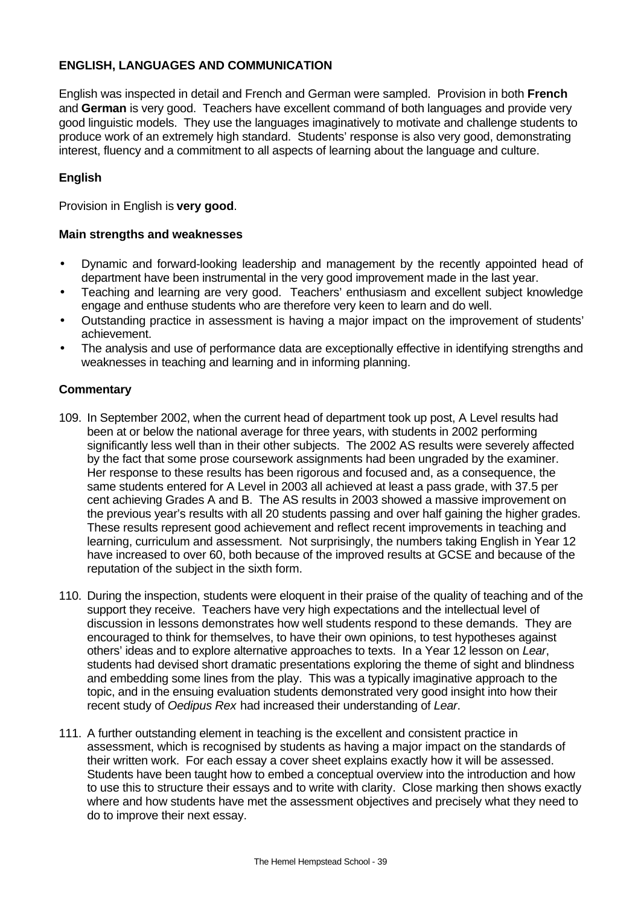### **ENGLISH, LANGUAGES AND COMMUNICATION**

English was inspected in detail and French and German were sampled. Provision in both **French** and **German** is very good. Teachers have excellent command of both languages and provide very good linguistic models. They use the languages imaginatively to motivate and challenge students to produce work of an extremely high standard. Students' response is also very good, demonstrating interest, fluency and a commitment to all aspects of learning about the language and culture.

### **English**

Provision in English is **very good**.

#### **Main strengths and weaknesses**

- Dynamic and forward-looking leadership and management by the recently appointed head of department have been instrumental in the very good improvement made in the last year.
- Teaching and learning are very good. Teachers' enthusiasm and excellent subject knowledge engage and enthuse students who are therefore very keen to learn and do well.
- Outstanding practice in assessment is having a major impact on the improvement of students' achievement.
- The analysis and use of performance data are exceptionally effective in identifying strengths and weaknesses in teaching and learning and in informing planning.

- 109. In September 2002, when the current head of department took up post, A Level results had been at or below the national average for three years, with students in 2002 performing significantly less well than in their other subjects. The 2002 AS results were severely affected by the fact that some prose coursework assignments had been ungraded by the examiner. Her response to these results has been rigorous and focused and, as a consequence, the same students entered for A Level in 2003 all achieved at least a pass grade, with 37.5 per cent achieving Grades A and B. The AS results in 2003 showed a massive improvement on the previous year's results with all 20 students passing and over half gaining the higher grades. These results represent good achievement and reflect recent improvements in teaching and learning, curriculum and assessment. Not surprisingly, the numbers taking English in Year 12 have increased to over 60, both because of the improved results at GCSE and because of the reputation of the subject in the sixth form.
- 110. During the inspection, students were eloquent in their praise of the quality of teaching and of the support they receive. Teachers have very high expectations and the intellectual level of discussion in lessons demonstrates how well students respond to these demands. They are encouraged to think for themselves, to have their own opinions, to test hypotheses against others' ideas and to explore alternative approaches to texts. In a Year 12 lesson on *Lear*, students had devised short dramatic presentations exploring the theme of sight and blindness and embedding some lines from the play. This was a typically imaginative approach to the topic, and in the ensuing evaluation students demonstrated very good insight into how their recent study of *Oedipus Rex* had increased their understanding of *Lear*.
- 111. A further outstanding element in teaching is the excellent and consistent practice in assessment, which is recognised by students as having a major impact on the standards of their written work. For each essay a cover sheet explains exactly how it will be assessed. Students have been taught how to embed a conceptual overview into the introduction and how to use this to structure their essays and to write with clarity. Close marking then shows exactly where and how students have met the assessment objectives and precisely what they need to do to improve their next essay.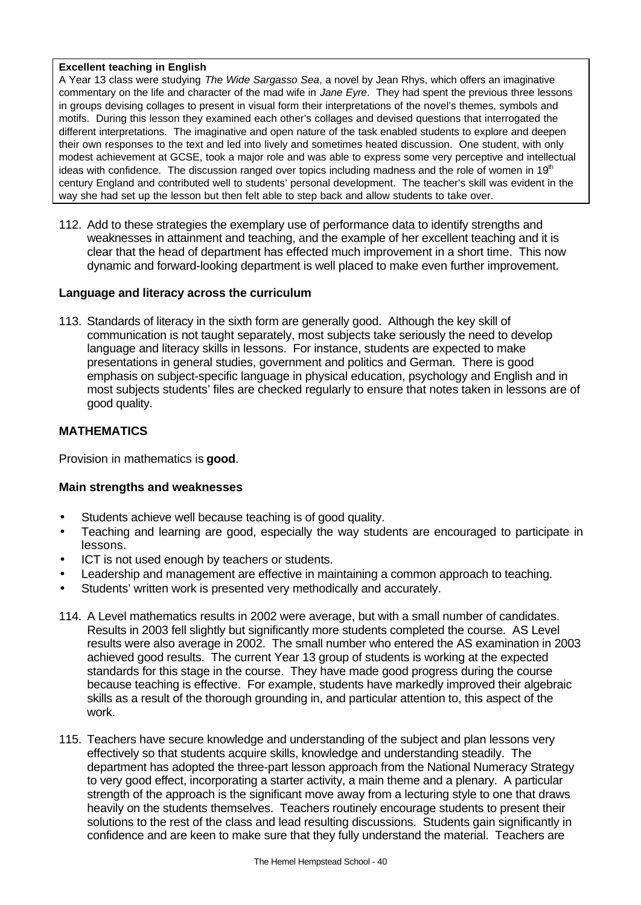#### **Excellent teaching in English**

A Year 13 class were studying *The Wide Sargasso Sea*, a novel by Jean Rhys, which offers an imaginative commentary on the life and character of the mad wife in *Jane Eyre*. They had spent the previous three lessons in groups devising collages to present in visual form their interpretations of the novel's themes, symbols and motifs. During this lesson they examined each other's collages and devised questions that interrogated the different interpretations. The imaginative and open nature of the task enabled students to explore and deepen their own responses to the text and led into lively and sometimes heated discussion. One student, with only modest achievement at GCSE, took a major role and was able to express some very perceptive and intellectual ideas with confidence. The discussion ranged over topics including madness and the role of women in 19<sup>th</sup> century England and contributed well to students' personal development. The teacher's skill was evident in the way she had set up the lesson but then felt able to step back and allow students to take over.

112. Add to these strategies the exemplary use of performance data to identify strengths and weaknesses in attainment and teaching, and the example of her excellent teaching and it is clear that the head of department has effected much improvement in a short time. This now dynamic and forward-looking department is well placed to make even further improvement.

### **Language and literacy across the curriculum**

113. Standards of literacy in the sixth form are generally good. Although the key skill of communication is not taught separately, most subjects take seriously the need to develop language and literacy skills in lessons. For instance, students are expected to make presentations in general studies, government and politics and German. There is good emphasis on subject-specific language in physical education, psychology and English and in most subjects students' files are checked regularly to ensure that notes taken in lessons are of good quality.

### **MATHEMATICS**

Provision in mathematics is **good**.

- Students achieve well because teaching is of good quality.
- Teaching and learning are good, especially the way students are encouraged to participate in lessons.
- ICT is not used enough by teachers or students.
- Leadership and management are effective in maintaining a common approach to teaching.
- Students' written work is presented very methodically and accurately.
- 114. A Level mathematics results in 2002 were average, but with a small number of candidates. Results in 2003 fell slightly but significantly more students completed the course. AS Level results were also average in 2002. The small number who entered the AS examination in 2003 achieved good results. The current Year 13 group of students is working at the expected standards for this stage in the course. They have made good progress during the course because teaching is effective. For example, students have markedly improved their algebraic skills as a result of the thorough grounding in, and particular attention to, this aspect of the work.
- 115. Teachers have secure knowledge and understanding of the subject and plan lessons very effectively so that students acquire skills, knowledge and understanding steadily. The department has adopted the three-part lesson approach from the National Numeracy Strategy to very good effect, incorporating a starter activity, a main theme and a plenary. A particular strength of the approach is the significant move away from a lecturing style to one that draws heavily on the students themselves. Teachers routinely encourage students to present their solutions to the rest of the class and lead resulting discussions. Students gain significantly in confidence and are keen to make sure that they fully understand the material. Teachers are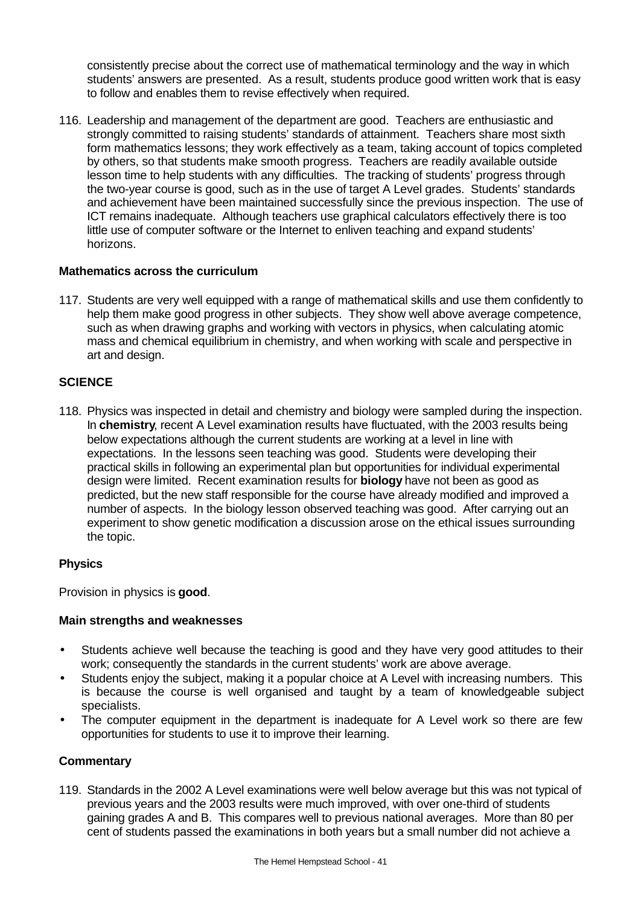consistently precise about the correct use of mathematical terminology and the way in which students' answers are presented. As a result, students produce good written work that is easy to follow and enables them to revise effectively when required.

116. Leadership and management of the department are good. Teachers are enthusiastic and strongly committed to raising students' standards of attainment. Teachers share most sixth form mathematics lessons; they work effectively as a team, taking account of topics completed by others, so that students make smooth progress. Teachers are readily available outside lesson time to help students with any difficulties. The tracking of students' progress through the two-year course is good, such as in the use of target A Level grades. Students' standards and achievement have been maintained successfully since the previous inspection. The use of ICT remains inadequate. Although teachers use graphical calculators effectively there is too little use of computer software or the Internet to enliven teaching and expand students' horizons.

### **Mathematics across the curriculum**

117. Students are very well equipped with a range of mathematical skills and use them confidently to help them make good progress in other subjects. They show well above average competence, such as when drawing graphs and working with vectors in physics, when calculating atomic mass and chemical equilibrium in chemistry, and when working with scale and perspective in art and design.

### **SCIENCE**

118. Physics was inspected in detail and chemistry and biology were sampled during the inspection. In **chemistry**, recent A Level examination results have fluctuated, with the 2003 results being below expectations although the current students are working at a level in line with expectations. In the lessons seen teaching was good. Students were developing their practical skills in following an experimental plan but opportunities for individual experimental design were limited. Recent examination results for **biology** have not been as good as predicted, but the new staff responsible for the course have already modified and improved a number of aspects. In the biology lesson observed teaching was good. After carrying out an experiment to show genetic modification a discussion arose on the ethical issues surrounding the topic.

### **Physics**

Provision in physics is **good**.

### **Main strengths and weaknesses**

- Students achieve well because the teaching is good and they have very good attitudes to their work; consequently the standards in the current students' work are above average.
- Students enjoy the subject, making it a popular choice at A Level with increasing numbers. This is because the course is well organised and taught by a team of knowledgeable subject specialists.
- The computer equipment in the department is inadequate for A Level work so there are few opportunities for students to use it to improve their learning.

### **Commentary**

119. Standards in the 2002 A Level examinations were well below average but this was not typical of previous years and the 2003 results were much improved, with over one-third of students gaining grades A and B. This compares well to previous national averages. More than 80 per cent of students passed the examinations in both years but a small number did not achieve a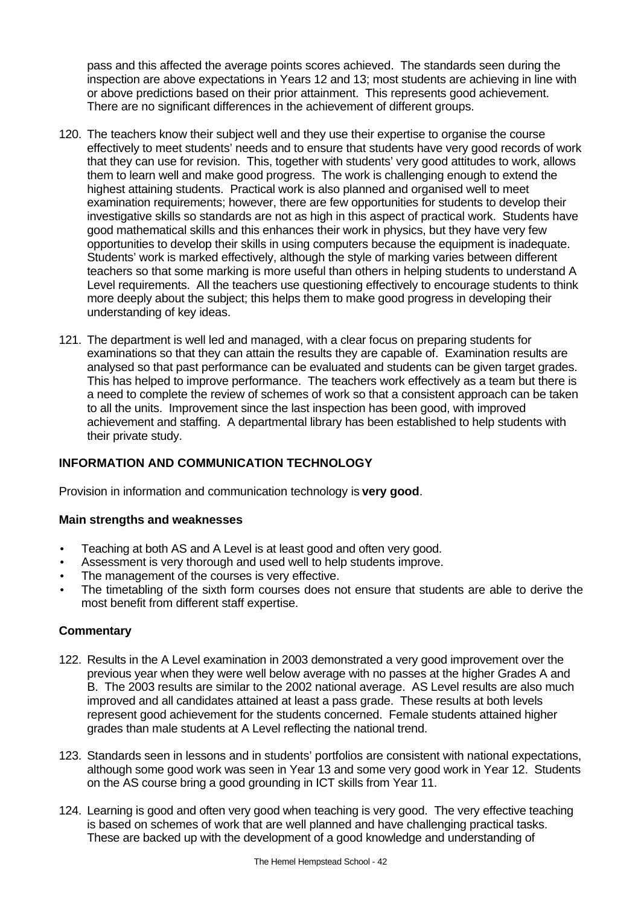pass and this affected the average points scores achieved. The standards seen during the inspection are above expectations in Years 12 and 13; most students are achieving in line with or above predictions based on their prior attainment. This represents good achievement. There are no significant differences in the achievement of different groups.

- 120. The teachers know their subject well and they use their expertise to organise the course effectively to meet students' needs and to ensure that students have very good records of work that they can use for revision. This, together with students' very good attitudes to work, allows them to learn well and make good progress. The work is challenging enough to extend the highest attaining students. Practical work is also planned and organised well to meet examination requirements; however, there are few opportunities for students to develop their investigative skills so standards are not as high in this aspect of practical work. Students have good mathematical skills and this enhances their work in physics, but they have very few opportunities to develop their skills in using computers because the equipment is inadequate. Students' work is marked effectively, although the style of marking varies between different teachers so that some marking is more useful than others in helping students to understand A Level requirements. All the teachers use questioning effectively to encourage students to think more deeply about the subject; this helps them to make good progress in developing their understanding of key ideas.
- 121. The department is well led and managed, with a clear focus on preparing students for examinations so that they can attain the results they are capable of. Examination results are analysed so that past performance can be evaluated and students can be given target grades. This has helped to improve performance. The teachers work effectively as a team but there is a need to complete the review of schemes of work so that a consistent approach can be taken to all the units. Improvement since the last inspection has been good, with improved achievement and staffing. A departmental library has been established to help students with their private study.

## **INFORMATION AND COMMUNICATION TECHNOLOGY**

Provision in information and communication technology is **very good**.

### **Main strengths and weaknesses**

- Teaching at both AS and A Level is at least good and often very good.
- Assessment is very thorough and used well to help students improve.
- The management of the courses is very effective.
- The timetabling of the sixth form courses does not ensure that students are able to derive the most benefit from different staff expertise.

- 122. Results in the A Level examination in 2003 demonstrated a very good improvement over the previous year when they were well below average with no passes at the higher Grades A and B. The 2003 results are similar to the 2002 national average. AS Level results are also much improved and all candidates attained at least a pass grade. These results at both levels represent good achievement for the students concerned. Female students attained higher grades than male students at A Level reflecting the national trend.
- 123. Standards seen in lessons and in students' portfolios are consistent with national expectations, although some good work was seen in Year 13 and some very good work in Year 12. Students on the AS course bring a good grounding in ICT skills from Year 11.
- 124. Learning is good and often very good when teaching is very good. The very effective teaching is based on schemes of work that are well planned and have challenging practical tasks. These are backed up with the development of a good knowledge and understanding of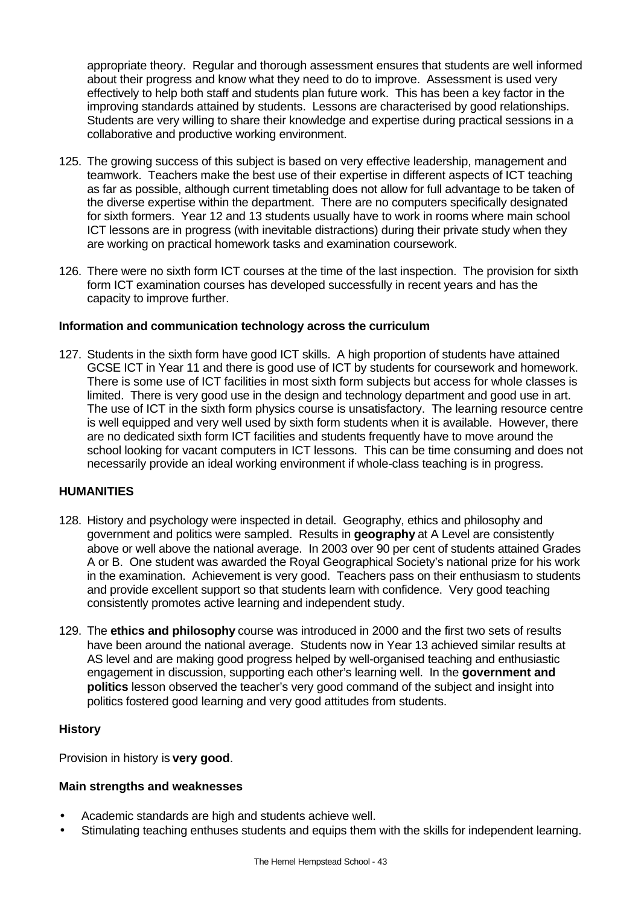appropriate theory. Regular and thorough assessment ensures that students are well informed about their progress and know what they need to do to improve. Assessment is used very effectively to help both staff and students plan future work. This has been a key factor in the improving standards attained by students. Lessons are characterised by good relationships. Students are very willing to share their knowledge and expertise during practical sessions in a collaborative and productive working environment.

- 125. The growing success of this subject is based on very effective leadership, management and teamwork. Teachers make the best use of their expertise in different aspects of ICT teaching as far as possible, although current timetabling does not allow for full advantage to be taken of the diverse expertise within the department. There are no computers specifically designated for sixth formers. Year 12 and 13 students usually have to work in rooms where main school ICT lessons are in progress (with inevitable distractions) during their private study when they are working on practical homework tasks and examination coursework.
- 126. There were no sixth form ICT courses at the time of the last inspection. The provision for sixth form ICT examination courses has developed successfully in recent years and has the capacity to improve further.

### **Information and communication technology across the curriculum**

127. Students in the sixth form have good ICT skills. A high proportion of students have attained GCSE ICT in Year 11 and there is good use of ICT by students for coursework and homework. There is some use of ICT facilities in most sixth form subjects but access for whole classes is limited. There is very good use in the design and technology department and good use in art. The use of ICT in the sixth form physics course is unsatisfactory. The learning resource centre is well equipped and very well used by sixth form students when it is available. However, there are no dedicated sixth form ICT facilities and students frequently have to move around the school looking for vacant computers in ICT lessons. This can be time consuming and does not necessarily provide an ideal working environment if whole-class teaching is in progress.

### **HUMANITIES**

- 128. History and psychology were inspected in detail. Geography, ethics and philosophy and government and politics were sampled. Results in **geography** at A Level are consistently above or well above the national average. In 2003 over 90 per cent of students attained Grades A or B. One student was awarded the Royal Geographical Society's national prize for his work in the examination. Achievement is very good. Teachers pass on their enthusiasm to students and provide excellent support so that students learn with confidence. Very good teaching consistently promotes active learning and independent study.
- 129. The **ethics and philosophy** course was introduced in 2000 and the first two sets of results have been around the national average. Students now in Year 13 achieved similar results at AS level and are making good progress helped by well-organised teaching and enthusiastic engagement in discussion, supporting each other's learning well. In the **government and politics** lesson observed the teacher's very good command of the subject and insight into politics fostered good learning and very good attitudes from students.

### **History**

Provision in history is **very good**.

- Academic standards are high and students achieve well.
- Stimulating teaching enthuses students and equips them with the skills for independent learning.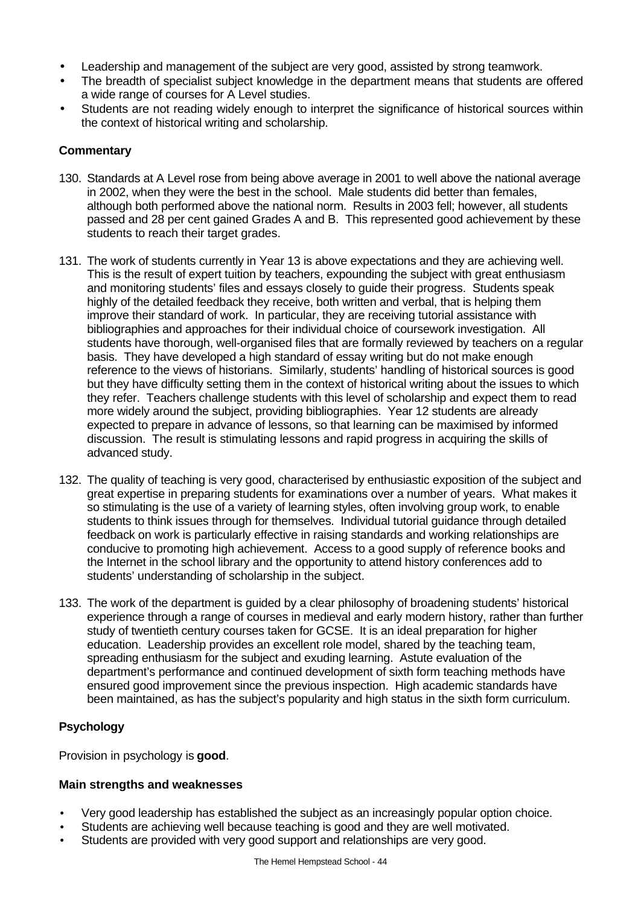- Leadership and management of the subject are very good, assisted by strong teamwork.
- The breadth of specialist subject knowledge in the department means that students are offered a wide range of courses for A Level studies.
- Students are not reading widely enough to interpret the significance of historical sources within the context of historical writing and scholarship.

- 130. Standards at A Level rose from being above average in 2001 to well above the national average in 2002, when they were the best in the school. Male students did better than females, although both performed above the national norm. Results in 2003 fell; however, all students passed and 28 per cent gained Grades A and B. This represented good achievement by these students to reach their target grades.
- 131. The work of students currently in Year 13 is above expectations and they are achieving well. This is the result of expert tuition by teachers, expounding the subject with great enthusiasm and monitoring students' files and essays closely to guide their progress. Students speak highly of the detailed feedback they receive, both written and verbal, that is helping them improve their standard of work. In particular, they are receiving tutorial assistance with bibliographies and approaches for their individual choice of coursework investigation. All students have thorough, well-organised files that are formally reviewed by teachers on a regular basis. They have developed a high standard of essay writing but do not make enough reference to the views of historians. Similarly, students' handling of historical sources is good but they have difficulty setting them in the context of historical writing about the issues to which they refer. Teachers challenge students with this level of scholarship and expect them to read more widely around the subject, providing bibliographies. Year 12 students are already expected to prepare in advance of lessons, so that learning can be maximised by informed discussion. The result is stimulating lessons and rapid progress in acquiring the skills of advanced study.
- 132. The quality of teaching is very good, characterised by enthusiastic exposition of the subject and great expertise in preparing students for examinations over a number of years. What makes it so stimulating is the use of a variety of learning styles, often involving group work, to enable students to think issues through for themselves. Individual tutorial guidance through detailed feedback on work is particularly effective in raising standards and working relationships are conducive to promoting high achievement. Access to a good supply of reference books and the Internet in the school library and the opportunity to attend history conferences add to students' understanding of scholarship in the subject.
- 133. The work of the department is guided by a clear philosophy of broadening students' historical experience through a range of courses in medieval and early modern history, rather than further study of twentieth century courses taken for GCSE. It is an ideal preparation for higher education. Leadership provides an excellent role model, shared by the teaching team, spreading enthusiasm for the subject and exuding learning. Astute evaluation of the department's performance and continued development of sixth form teaching methods have ensured good improvement since the previous inspection. High academic standards have been maintained, as has the subject's popularity and high status in the sixth form curriculum.

## **Psychology**

Provision in psychology is **good**.

- Very good leadership has established the subject as an increasingly popular option choice.
- Students are achieving well because teaching is good and they are well motivated.
- Students are provided with very good support and relationships are very good.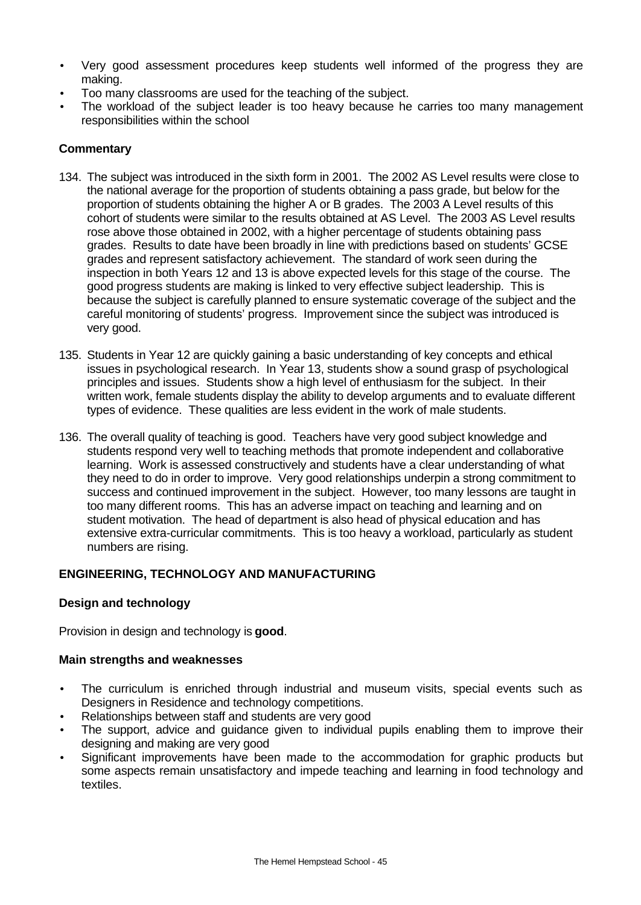- Very good assessment procedures keep students well informed of the progress they are making.
- Too many classrooms are used for the teaching of the subject.
- The workload of the subject leader is too heavy because he carries too many management responsibilities within the school

- 134. The subject was introduced in the sixth form in 2001. The 2002 AS Level results were close to the national average for the proportion of students obtaining a pass grade, but below for the proportion of students obtaining the higher A or B grades. The 2003 A Level results of this cohort of students were similar to the results obtained at AS Level. The 2003 AS Level results rose above those obtained in 2002, with a higher percentage of students obtaining pass grades. Results to date have been broadly in line with predictions based on students' GCSE grades and represent satisfactory achievement. The standard of work seen during the inspection in both Years 12 and 13 is above expected levels for this stage of the course. The good progress students are making is linked to very effective subject leadership. This is because the subject is carefully planned to ensure systematic coverage of the subject and the careful monitoring of students' progress. Improvement since the subject was introduced is very good.
- 135. Students in Year 12 are quickly gaining a basic understanding of key concepts and ethical issues in psychological research. In Year 13, students show a sound grasp of psychological principles and issues. Students show a high level of enthusiasm for the subject. In their written work, female students display the ability to develop arguments and to evaluate different types of evidence. These qualities are less evident in the work of male students.
- 136. The overall quality of teaching is good. Teachers have very good subject knowledge and students respond very well to teaching methods that promote independent and collaborative learning. Work is assessed constructively and students have a clear understanding of what they need to do in order to improve. Very good relationships underpin a strong commitment to success and continued improvement in the subject. However, too many lessons are taught in too many different rooms. This has an adverse impact on teaching and learning and on student motivation. The head of department is also head of physical education and has extensive extra-curricular commitments. This is too heavy a workload, particularly as student numbers are rising.

## **ENGINEERING, TECHNOLOGY AND MANUFACTURING**

### **Design and technology**

Provision in design and technology is **good**.

- The curriculum is enriched through industrial and museum visits, special events such as Designers in Residence and technology competitions.
- Relationships between staff and students are very good
- The support, advice and guidance given to individual pupils enabling them to improve their designing and making are very good
- Significant improvements have been made to the accommodation for graphic products but some aspects remain unsatisfactory and impede teaching and learning in food technology and textiles.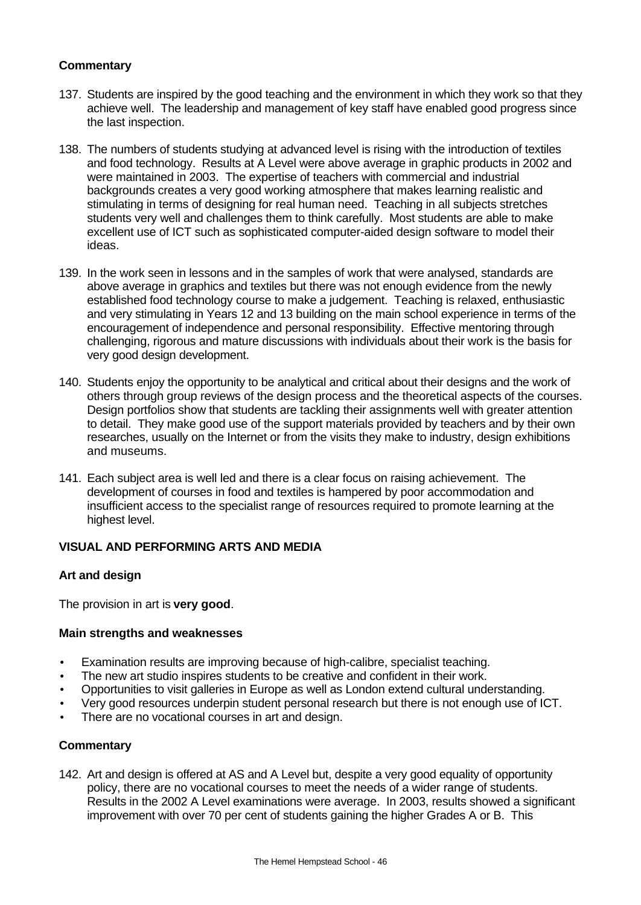- 137. Students are inspired by the good teaching and the environment in which they work so that they achieve well. The leadership and management of key staff have enabled good progress since the last inspection.
- 138. The numbers of students studying at advanced level is rising with the introduction of textiles and food technology. Results at A Level were above average in graphic products in 2002 and were maintained in 2003. The expertise of teachers with commercial and industrial backgrounds creates a very good working atmosphere that makes learning realistic and stimulating in terms of designing for real human need. Teaching in all subjects stretches students very well and challenges them to think carefully. Most students are able to make excellent use of ICT such as sophisticated computer-aided design software to model their ideas.
- 139. In the work seen in lessons and in the samples of work that were analysed, standards are above average in graphics and textiles but there was not enough evidence from the newly established food technology course to make a judgement. Teaching is relaxed, enthusiastic and very stimulating in Years 12 and 13 building on the main school experience in terms of the encouragement of independence and personal responsibility. Effective mentoring through challenging, rigorous and mature discussions with individuals about their work is the basis for very good design development.
- 140. Students enjoy the opportunity to be analytical and critical about their designs and the work of others through group reviews of the design process and the theoretical aspects of the courses. Design portfolios show that students are tackling their assignments well with greater attention to detail. They make good use of the support materials provided by teachers and by their own researches, usually on the Internet or from the visits they make to industry, design exhibitions and museums.
- 141. Each subject area is well led and there is a clear focus on raising achievement. The development of courses in food and textiles is hampered by poor accommodation and insufficient access to the specialist range of resources required to promote learning at the highest level.

### **VISUAL AND PERFORMING ARTS AND MEDIA**

### **Art and design**

The provision in art is **very good**.

### **Main strengths and weaknesses**

- Examination results are improving because of high-calibre, specialist teaching.
- The new art studio inspires students to be creative and confident in their work.
- Opportunities to visit galleries in Europe as well as London extend cultural understanding.
- Very good resources underpin student personal research but there is not enough use of ICT.
- There are no vocational courses in art and design.

### **Commentary**

142. Art and design is offered at AS and A Level but, despite a very good equality of opportunity policy, there are no vocational courses to meet the needs of a wider range of students. Results in the 2002 A Level examinations were average. In 2003, results showed a significant improvement with over 70 per cent of students gaining the higher Grades A or B. This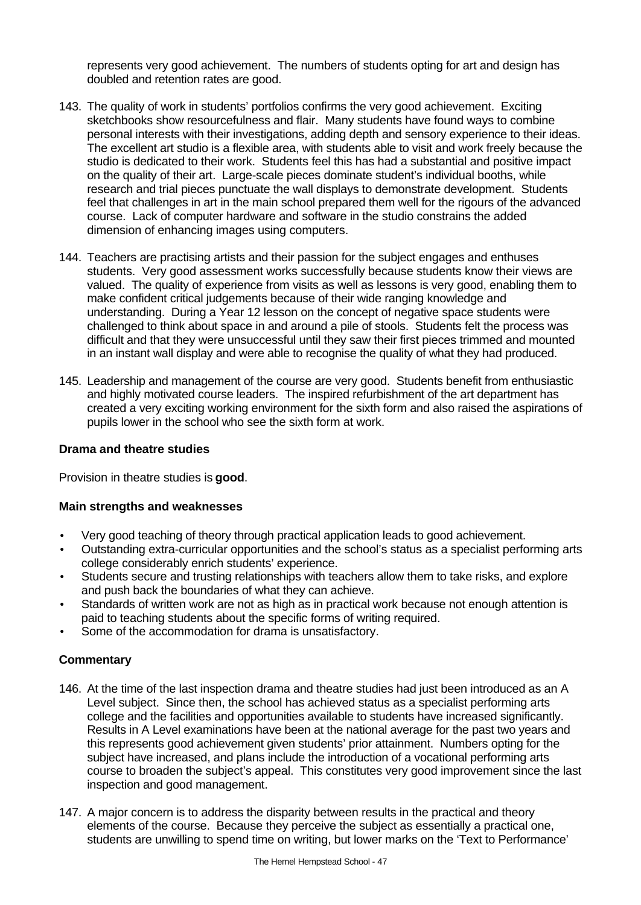represents very good achievement. The numbers of students opting for art and design has doubled and retention rates are good.

- 143. The quality of work in students' portfolios confirms the very good achievement. Exciting sketchbooks show resourcefulness and flair. Many students have found ways to combine personal interests with their investigations, adding depth and sensory experience to their ideas. The excellent art studio is a flexible area, with students able to visit and work freely because the studio is dedicated to their work. Students feel this has had a substantial and positive impact on the quality of their art. Large-scale pieces dominate student's individual booths, while research and trial pieces punctuate the wall displays to demonstrate development. Students feel that challenges in art in the main school prepared them well for the rigours of the advanced course. Lack of computer hardware and software in the studio constrains the added dimension of enhancing images using computers.
- 144. Teachers are practising artists and their passion for the subject engages and enthuses students. Very good assessment works successfully because students know their views are valued. The quality of experience from visits as well as lessons is very good, enabling them to make confident critical judgements because of their wide ranging knowledge and understanding. During a Year 12 lesson on the concept of negative space students were challenged to think about space in and around a pile of stools. Students felt the process was difficult and that they were unsuccessful until they saw their first pieces trimmed and mounted in an instant wall display and were able to recognise the quality of what they had produced.
- 145. Leadership and management of the course are very good. Students benefit from enthusiastic and highly motivated course leaders. The inspired refurbishment of the art department has created a very exciting working environment for the sixth form and also raised the aspirations of pupils lower in the school who see the sixth form at work.

### **Drama and theatre studies**

Provision in theatre studies is **good**.

#### **Main strengths and weaknesses**

- Very good teaching of theory through practical application leads to good achievement.
- Outstanding extra-curricular opportunities and the school's status as a specialist performing arts college considerably enrich students' experience.
- Students secure and trusting relationships with teachers allow them to take risks, and explore and push back the boundaries of what they can achieve.
- Standards of written work are not as high as in practical work because not enough attention is paid to teaching students about the specific forms of writing required.
- Some of the accommodation for drama is unsatisfactory.

- 146. At the time of the last inspection drama and theatre studies had just been introduced as an A Level subject. Since then, the school has achieved status as a specialist performing arts college and the facilities and opportunities available to students have increased significantly. Results in A Level examinations have been at the national average for the past two years and this represents good achievement given students' prior attainment. Numbers opting for the subject have increased, and plans include the introduction of a vocational performing arts course to broaden the subject's appeal. This constitutes very good improvement since the last inspection and good management.
- 147. A major concern is to address the disparity between results in the practical and theory elements of the course. Because they perceive the subject as essentially a practical one, students are unwilling to spend time on writing, but lower marks on the 'Text to Performance'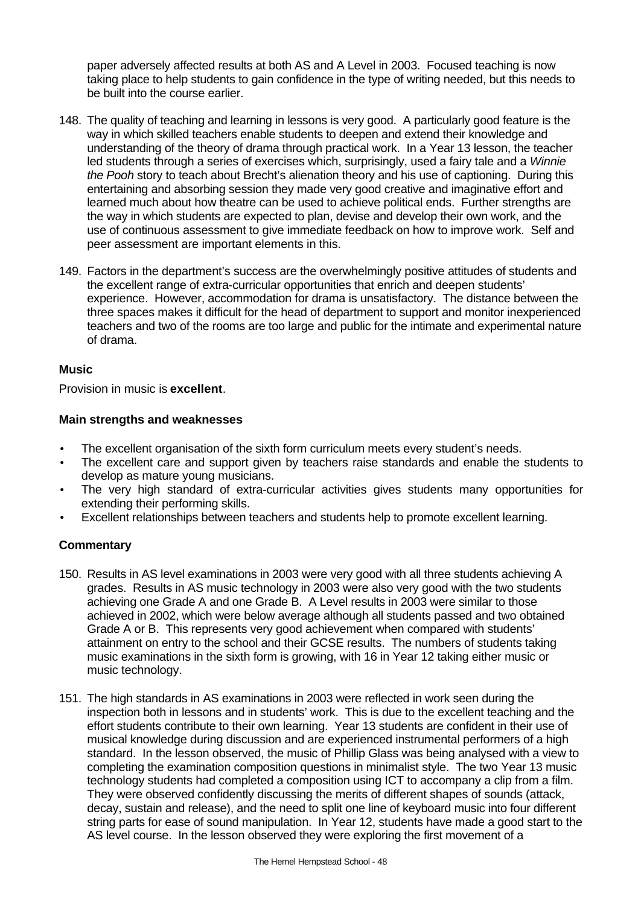paper adversely affected results at both AS and A Level in 2003. Focused teaching is now taking place to help students to gain confidence in the type of writing needed, but this needs to be built into the course earlier.

- 148. The quality of teaching and learning in lessons is very good. A particularly good feature is the way in which skilled teachers enable students to deepen and extend their knowledge and understanding of the theory of drama through practical work. In a Year 13 lesson, the teacher led students through a series of exercises which, surprisingly, used a fairy tale and a *Winnie the Pooh* story to teach about Brecht's alienation theory and his use of captioning. During this entertaining and absorbing session they made very good creative and imaginative effort and learned much about how theatre can be used to achieve political ends. Further strengths are the way in which students are expected to plan, devise and develop their own work, and the use of continuous assessment to give immediate feedback on how to improve work. Self and peer assessment are important elements in this.
- 149. Factors in the department's success are the overwhelmingly positive attitudes of students and the excellent range of extra-curricular opportunities that enrich and deepen students' experience. However, accommodation for drama is unsatisfactory. The distance between the three spaces makes it difficult for the head of department to support and monitor inexperienced teachers and two of the rooms are too large and public for the intimate and experimental nature of drama.

### **Music**

Provision in music is **excellent**.

### **Main strengths and weaknesses**

- The excellent organisation of the sixth form curriculum meets every student's needs.
- The excellent care and support given by teachers raise standards and enable the students to develop as mature young musicians.
- The very high standard of extra-curricular activities gives students many opportunities for extending their performing skills.
- Excellent relationships between teachers and students help to promote excellent learning.

- 150. Results in AS level examinations in 2003 were very good with all three students achieving A grades. Results in AS music technology in 2003 were also very good with the two students achieving one Grade A and one Grade B. A Level results in 2003 were similar to those achieved in 2002, which were below average although all students passed and two obtained Grade A or B. This represents very good achievement when compared with students' attainment on entry to the school and their GCSE results. The numbers of students taking music examinations in the sixth form is growing, with 16 in Year 12 taking either music or music technology.
- 151. The high standards in AS examinations in 2003 were reflected in work seen during the inspection both in lessons and in students' work. This is due to the excellent teaching and the effort students contribute to their own learning. Year 13 students are confident in their use of musical knowledge during discussion and are experienced instrumental performers of a high standard. In the lesson observed, the music of Phillip Glass was being analysed with a view to completing the examination composition questions in minimalist style. The two Year 13 music technology students had completed a composition using ICT to accompany a clip from a film. They were observed confidently discussing the merits of different shapes of sounds (attack, decay, sustain and release), and the need to split one line of keyboard music into four different string parts for ease of sound manipulation. In Year 12, students have made a good start to the AS level course. In the lesson observed they were exploring the first movement of a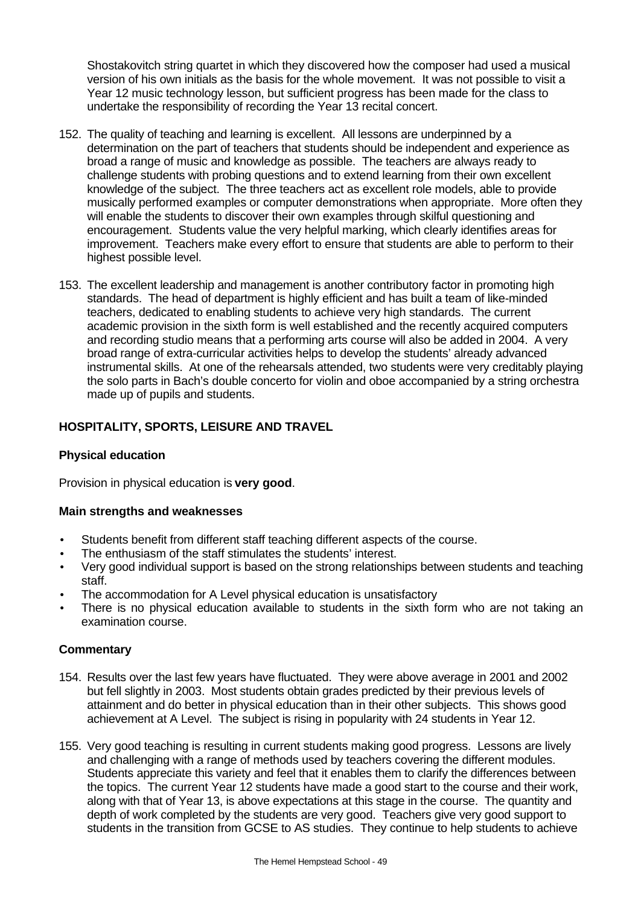Shostakovitch string quartet in which they discovered how the composer had used a musical version of his own initials as the basis for the whole movement. It was not possible to visit a Year 12 music technology lesson, but sufficient progress has been made for the class to undertake the responsibility of recording the Year 13 recital concert.

- 152. The quality of teaching and learning is excellent. All lessons are underpinned by a determination on the part of teachers that students should be independent and experience as broad a range of music and knowledge as possible. The teachers are always ready to challenge students with probing questions and to extend learning from their own excellent knowledge of the subject. The three teachers act as excellent role models, able to provide musically performed examples or computer demonstrations when appropriate. More often they will enable the students to discover their own examples through skilful questioning and encouragement. Students value the very helpful marking, which clearly identifies areas for improvement. Teachers make every effort to ensure that students are able to perform to their highest possible level.
- 153. The excellent leadership and management is another contributory factor in promoting high standards. The head of department is highly efficient and has built a team of like-minded teachers, dedicated to enabling students to achieve very high standards. The current academic provision in the sixth form is well established and the recently acquired computers and recording studio means that a performing arts course will also be added in 2004. A very broad range of extra-curricular activities helps to develop the students' already advanced instrumental skills. At one of the rehearsals attended, two students were very creditably playing the solo parts in Bach's double concerto for violin and oboe accompanied by a string orchestra made up of pupils and students.

# **HOSPITALITY, SPORTS, LEISURE AND TRAVEL**

### **Physical education**

Provision in physical education is **very good**.

### **Main strengths and weaknesses**

- Students benefit from different staff teaching different aspects of the course.
- The enthusiasm of the staff stimulates the students' interest.
- Very good individual support is based on the strong relationships between students and teaching staff.
- The accommodation for A Level physical education is unsatisfactory
- There is no physical education available to students in the sixth form who are not taking an examination course.

- 154. Results over the last few years have fluctuated. They were above average in 2001 and 2002 but fell slightly in 2003. Most students obtain grades predicted by their previous levels of attainment and do better in physical education than in their other subjects. This shows good achievement at A Level. The subject is rising in popularity with 24 students in Year 12.
- 155. Very good teaching is resulting in current students making good progress. Lessons are lively and challenging with a range of methods used by teachers covering the different modules. Students appreciate this variety and feel that it enables them to clarify the differences between the topics. The current Year 12 students have made a good start to the course and their work, along with that of Year 13, is above expectations at this stage in the course. The quantity and depth of work completed by the students are very good. Teachers give very good support to students in the transition from GCSE to AS studies. They continue to help students to achieve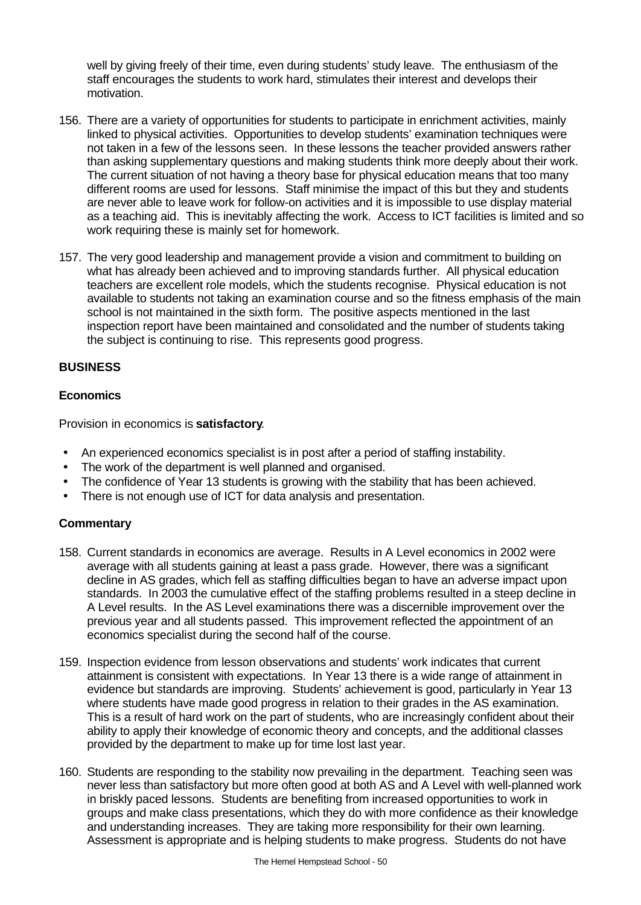well by giving freely of their time, even during students' study leave. The enthusiasm of the staff encourages the students to work hard, stimulates their interest and develops their motivation.

- 156. There are a variety of opportunities for students to participate in enrichment activities, mainly linked to physical activities. Opportunities to develop students' examination techniques were not taken in a few of the lessons seen. In these lessons the teacher provided answers rather than asking supplementary questions and making students think more deeply about their work. The current situation of not having a theory base for physical education means that too many different rooms are used for lessons. Staff minimise the impact of this but they and students are never able to leave work for follow-on activities and it is impossible to use display material as a teaching aid. This is inevitably affecting the work. Access to ICT facilities is limited and so work requiring these is mainly set for homework.
- 157. The very good leadership and management provide a vision and commitment to building on what has already been achieved and to improving standards further. All physical education teachers are excellent role models, which the students recognise. Physical education is not available to students not taking an examination course and so the fitness emphasis of the main school is not maintained in the sixth form. The positive aspects mentioned in the last inspection report have been maintained and consolidated and the number of students taking the subject is continuing to rise. This represents good progress.

### **BUSINESS**

### **Economics**

Provision in economics is **satisfactory**.

- An experienced economics specialist is in post after a period of staffing instability.
- The work of the department is well planned and organised.
- The confidence of Year 13 students is growing with the stability that has been achieved.
- There is not enough use of ICT for data analysis and presentation.

- 158. Current standards in economics are average. Results in A Level economics in 2002 were average with all students gaining at least a pass grade. However, there was a significant decline in AS grades, which fell as staffing difficulties began to have an adverse impact upon standards. In 2003 the cumulative effect of the staffing problems resulted in a steep decline in A Level results. In the AS Level examinations there was a discernible improvement over the previous year and all students passed. This improvement reflected the appointment of an economics specialist during the second half of the course.
- 159. Inspection evidence from lesson observations and students' work indicates that current attainment is consistent with expectations. In Year 13 there is a wide range of attainment in evidence but standards are improving. Students' achievement is good, particularly in Year 13 where students have made good progress in relation to their grades in the AS examination. This is a result of hard work on the part of students, who are increasingly confident about their ability to apply their knowledge of economic theory and concepts, and the additional classes provided by the department to make up for time lost last year.
- 160. Students are responding to the stability now prevailing in the department. Teaching seen was never less than satisfactory but more often good at both AS and A Level with well-planned work in briskly paced lessons. Students are benefiting from increased opportunities to work in groups and make class presentations, which they do with more confidence as their knowledge and understanding increases. They are taking more responsibility for their own learning. Assessment is appropriate and is helping students to make progress. Students do not have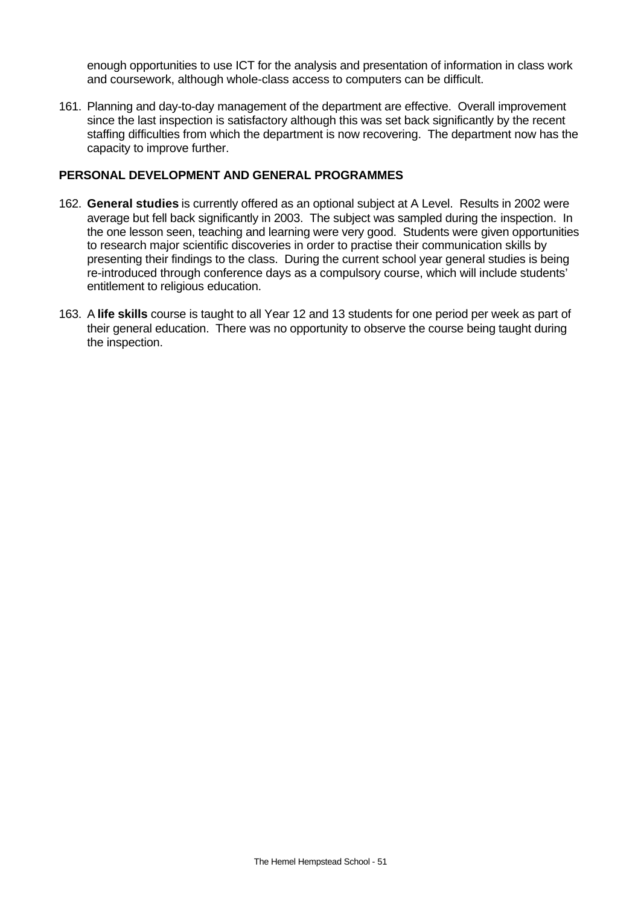enough opportunities to use ICT for the analysis and presentation of information in class work and coursework, although whole-class access to computers can be difficult.

161. Planning and day-to-day management of the department are effective. Overall improvement since the last inspection is satisfactory although this was set back significantly by the recent staffing difficulties from which the department is now recovering. The department now has the capacity to improve further.

#### **PERSONAL DEVELOPMENT AND GENERAL PROGRAMMES**

- 162. **General studies** is currently offered as an optional subject at A Level. Results in 2002 were average but fell back significantly in 2003. The subject was sampled during the inspection. In the one lesson seen, teaching and learning were very good. Students were given opportunities to research major scientific discoveries in order to practise their communication skills by presenting their findings to the class. During the current school year general studies is being re-introduced through conference days as a compulsory course, which will include students' entitlement to religious education.
- 163. A **life skills** course is taught to all Year 12 and 13 students for one period per week as part of their general education. There was no opportunity to observe the course being taught during the inspection.